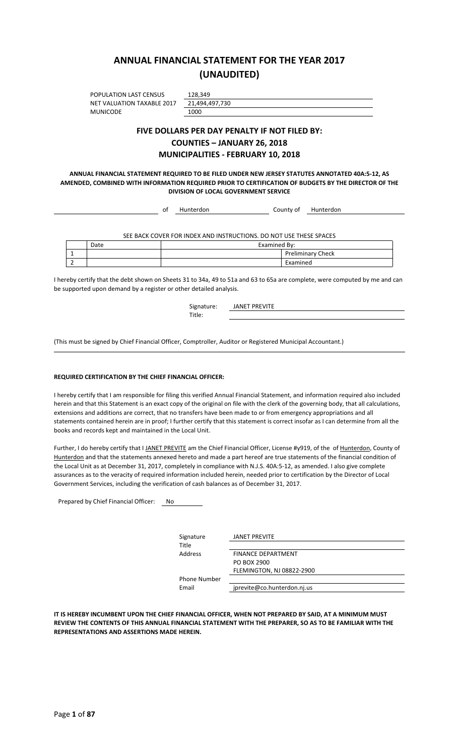## **ANNUAL FINANCIAL STATEMENT FOR THE YEAR 2017 (UNAUDITED)**

POPULATION LAST CENSUS NET VALUATION TAXABLE 2017 **MUNICODE** 

| 128,349        |
|----------------|
| 21,494,497,730 |
| 1000           |

### **FIVE DOLLARS PER DAY PENALTY IF NOT FILED BY: COUNTIES – JANUARY 26, 2018 MUNICIPALITIES - FEBRUARY 10, 2018**

**ANNUAL FINANCIAL STATEMENT REQUIRED TO BE FILED UNDER NEW JERSEY STATUTES ANNOTATED 40A:5-12, AS AMENDED, COMBINED WITH INFORMATION REQUIRED PRIOR TO CERTIFICATION OF BUDGETS BY THE DIRECTOR OF THE DIVISION OF LOCAL GOVERNMENT SERVICE**

|      | оf | Hunterdon | County of                                                          | Hunterdon                |  |
|------|----|-----------|--------------------------------------------------------------------|--------------------------|--|
|      |    |           |                                                                    |                          |  |
|      |    |           | SEE BACK COVER FOR INDEX AND INSTRUCTIONS. DO NOT USE THESE SPACES |                          |  |
|      |    |           |                                                                    |                          |  |
| Date |    |           | Examined By:                                                       |                          |  |
|      |    |           |                                                                    | <b>Preliminary Check</b> |  |

I hereby certify that the debt shown on Sheets 31 to 34a, 49 to 51a and 63 to 65a are complete, were computed by me and can be supported upon demand by a register or other detailed analysis.

| Signature: | <b>JANET PREVITE</b> |
|------------|----------------------|
| Title:     |                      |

(This must be signed by Chief Financial Officer, Comptroller, Auditor or Registered Municipal Accountant.)

#### **REQUIRED CERTIFICATION BY THE CHIEF FINANCIAL OFFICER:**

I hereby certify that I am responsible for filing this verified Annual Financial Statement, and information required also included herein and that this Statement is an exact copy of the original on file with the clerk of the governing body, that all calculations, extensions and additions are correct, that no transfers have been made to or from emergency appropriations and all statements contained herein are in proof; I further certify that this statement is correct insofar as I can determine from all the books and records kept and maintained in the Local Unit.

Further, I do hereby certify that I JANET PREVITE am the Chief Financial Officer, License #y919, of the of Hunterdon, County of Hunterdon and that the statements annexed hereto and made a part hereof are true statements of the financial condition of the Local Unit as at December 31, 2017, completely in compliance with N.J.S. 40A:5-12, as amended. I also give complete assurances as to the veracity of required information included herein, needed prior to certification by the Director of Local Government Services, including the verification of cash balances as of December 31, 2017.

Prepared by Chief Financial Officer: No

| Signature           | <b>JANET PREVITE</b>        |
|---------------------|-----------------------------|
| Title               |                             |
| Address             | <b>FINANCE DEPARTMENT</b>   |
|                     | PO BOX 2900                 |
|                     | FLEMINGTON, NJ 08822-2900   |
| <b>Phone Number</b> |                             |
| Email               | jprevite@co.hunterdon.nj.us |

**IT IS HEREBY INCUMBENT UPON THE CHIEF FINANCIAL OFFICER, WHEN NOT PREPARED BY SAID, AT A MINIMUM MUST REVIEW THE CONTENTS OF THIS ANNUAL FINANCIAL STATEMENT WITH THE PREPARER, SO AS TO BE FAMILIAR WITH THE REPRESENTATIONS AND ASSERTIONS MADE HEREIN.**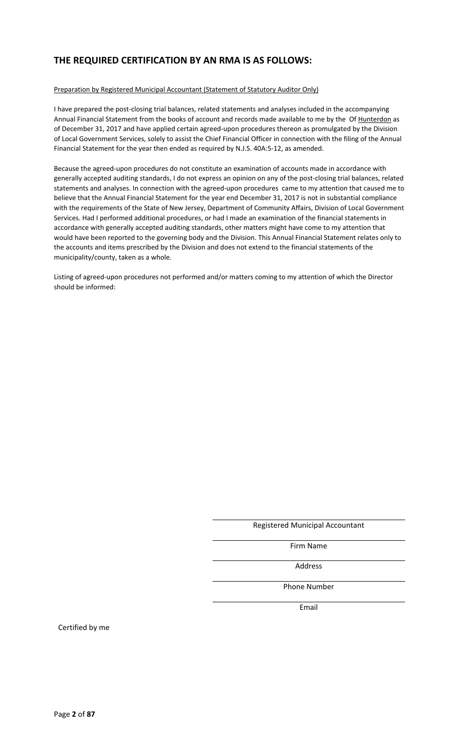## **THE REQUIRED CERTIFICATION BY AN RMA IS AS FOLLOWS:**

#### Preparation by Registered Municipal Accountant (Statement of Statutory Auditor Only)

I have prepared the post-closing trial balances, related statements and analyses included in the accompanying Annual Financial Statement from the books of account and records made available to me by the Of Hunterdon as of December 31, 2017 and have applied certain agreed-upon procedures thereon as promulgated by the Division of Local Government Services, solely to assist the Chief Financial Officer in connection with the filing of the Annual Financial Statement for the year then ended as required by N.J.S. 40A:5-12, as amended.

Because the agreed-upon procedures do not constitute an examination of accounts made in accordance with generally accepted auditing standards, I do not express an opinion on any of the post-closing trial balances, related statements and analyses. In connection with the agreed-upon procedures came to my attention that caused me to believe that the Annual Financial Statement for the year end December 31, 2017 is not in substantial compliance with the requirements of the State of New Jersey, Department of Community Affairs, Division of Local Government Services. Had I performed additional procedures, or had I made an examination of the financial statements in accordance with generally accepted auditing standards, other matters might have come to my attention that would have been reported to the governing body and the Division. This Annual Financial Statement relates only to the accounts and items prescribed by the Division and does not extend to the financial statements of the municipality/county, taken as a whole.

Listing of agreed-upon procedures not performed and/or matters coming to my attention of which the Director should be informed:

#### Registered Municipal Accountant

Firm Name

Address

Phone Number

Email

Certified by me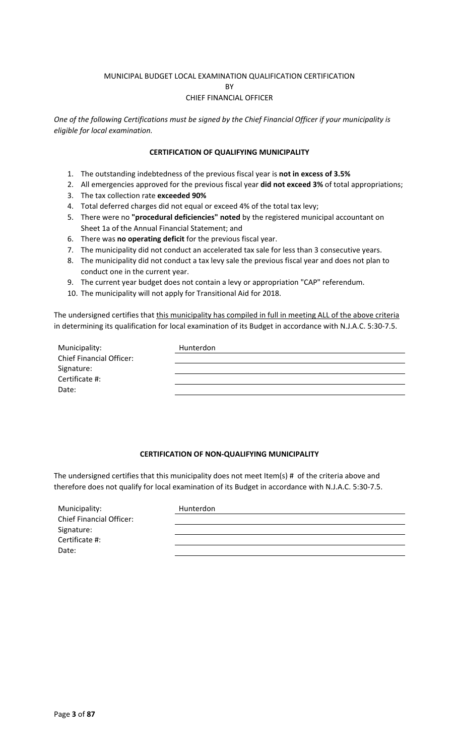### MUNICIPAL BUDGET LOCAL EXAMINATION QUALIFICATION CERTIFICATION

**RV** 

### CHIEF FINANCIAL OFFICER

*One of the following Certifications must be signed by the Chief Financial Officer if your municipality is eligible for local examination.*

### **CERTIFICATION OF QUALIFYING MUNICIPALITY**

- 1. The outstanding indebtedness of the previous fiscal year is **not in excess of 3.5%**
- 2. All emergencies approved for the previous fiscal year **did not exceed 3%** of total appropriations;
- 3. The tax collection rate **exceeded 90%**
- 4. Total deferred charges did not equal or exceed 4% of the total tax levy;
- 5. There were no **"procedural deficiencies" noted** by the registered municipal accountant on Sheet 1a of the Annual Financial Statement; and
- 6. There was **no operating deficit** for the previous fiscal year.
- 7. The municipality did not conduct an accelerated tax sale for less than 3 consecutive years.
- 8. The municipality did not conduct a tax levy sale the previous fiscal year and does not plan to conduct one in the current year.
- 9. The current year budget does not contain a levy or appropriation "CAP" referendum.
- 10. The municipality will not apply for Transitional Aid for 2018.

The undersigned certifies that this municipality has compiled in full in meeting ALL of the above criteria in determining its qualification for local examination of its Budget in accordance with N.J.A.C. 5:30-7.5.

| Municipality:                   | Hunterdon |
|---------------------------------|-----------|
| <b>Chief Financial Officer:</b> |           |
| Signature:                      |           |
| Certificate #:                  |           |
| Date:                           |           |

### **CERTIFICATION OF NON-QUALIFYING MUNICIPALITY**

The undersigned certifies that this municipality does not meet Item(s) # of the criteria above and therefore does not qualify for local examination of its Budget in accordance with N.J.A.C. 5:30-7.5.

| Municipality:                   | Hunterdon |
|---------------------------------|-----------|
| <b>Chief Financial Officer:</b> |           |
| Signature:                      |           |
| Certificate #:                  |           |
| Date:                           |           |
|                                 |           |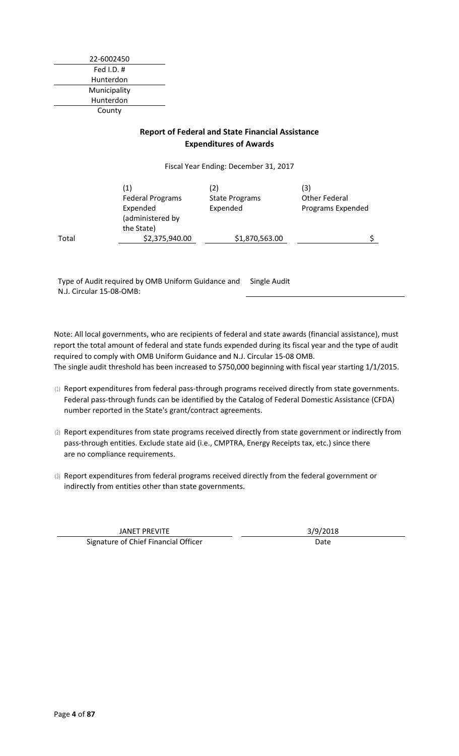22-6002450 Fed I.D. # Hunterdon Municipality Hunterdon County

### **Report of Federal and State Financial Assistance Expenditures of Awards**

Fiscal Year Ending: December 31, 2017

|       | $\left(1\right)$<br><b>Federal Programs</b><br>Expended<br>(administered by | (2)<br><b>State Programs</b><br>Expended | (3)<br>Other Federal<br>Programs Expended |
|-------|-----------------------------------------------------------------------------|------------------------------------------|-------------------------------------------|
| Total | the State)<br>\$2,375,940.00                                                | \$1,870,563.00                           |                                           |

Type of Audit required by OMB Uniform Guidance and Single Audit N.J. Circular 15-08-OMB:

Note: All local governments, who are recipients of federal and state awards (financial assistance), must report the total amount of federal and state funds expended during its fiscal year and the type of audit required to comply with OMB Uniform Guidance and N.J. Circular 15-08 OMB. The single audit threshold has been increased to \$750,000 beginning with fiscal year starting 1/1/2015.

- (1) Report expenditures from federal pass-through programs received directly from state governments. Federal pass-through funds can be identified by the Catalog of Federal Domestic Assistance (CFDA) number reported in the State's grant/contract agreements.
- (2) Report expenditures from state programs received directly from state government or indirectly from pass-through entities. Exclude state aid (i.e., CMPTRA, Energy Receipts tax, etc.) since there are no compliance requirements.
- (3) Report expenditures from federal programs received directly from the federal government or indirectly from entities other than state governments.

JANET PREVITE 3/9/2018 Signature of Chief Financial Officer **Date** Date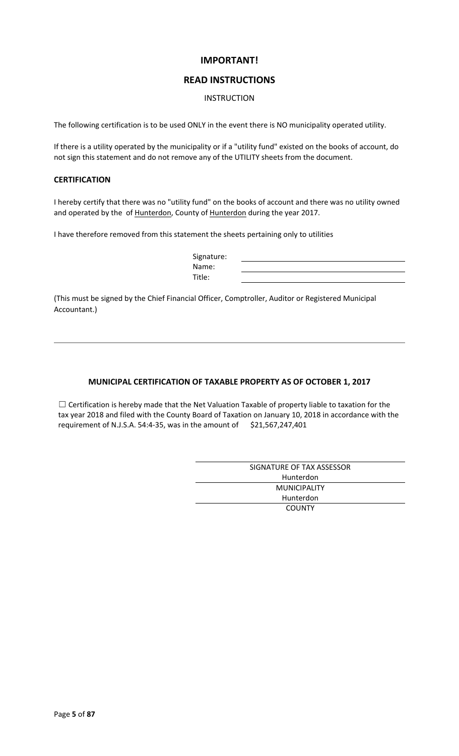### **IMPORTANT!**

### **READ INSTRUCTIONS**

### INSTRUCTION

The following certification is to be used ONLY in the event there is NO municipality operated utility.

If there is a utility operated by the municipality or if a "utility fund" existed on the books of account, do not sign this statement and do not remove any of the UTILITY sheets from the document.

### **CERTIFICATION**

I hereby certify that there was no "utility fund" on the books of account and there was no utility owned and operated by the of Hunterdon, County of Hunterdon during the year 2017.

I have therefore removed from this statement the sheets pertaining only to utilities

| Signature: |  |
|------------|--|
| Name:      |  |
| Title:     |  |

(This must be signed by the Chief Financial Officer, Comptroller, Auditor or Registered Municipal Accountant.)

### **MUNICIPAL CERTIFICATION OF TAXABLE PROPERTY AS OF OCTOBER 1, 2017**

☐ Certification is hereby made that the Net Valuation Taxable of property liable to taxation for the tax year 2018 and filed with the County Board of Taxation on January 10, 2018 in accordance with the requirement of N.J.S.A. 54:4-35, was in the amount of  $$21,567,247,401$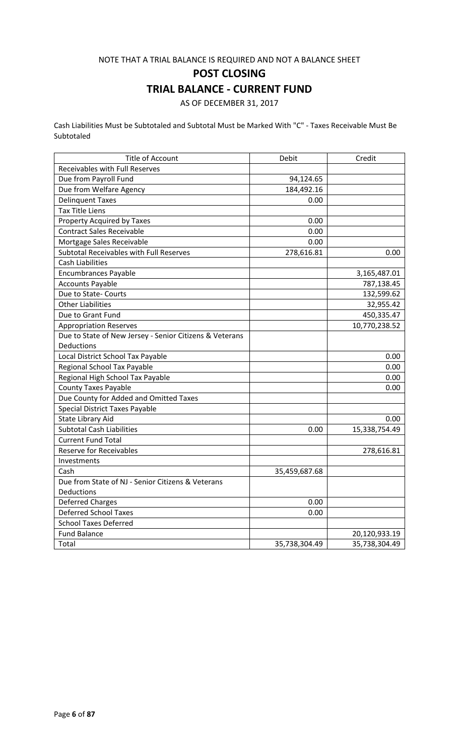### NOTE THAT A TRIAL BALANCE IS REQUIRED AND NOT A BALANCE SHEET

**POST CLOSING**

## **TRIAL BALANCE - CURRENT FUND**

AS OF DECEMBER 31, 2017

Cash Liabilities Must be Subtotaled and Subtotal Must be Marked With "C" - Taxes Receivable Must Be Subtotaled

| <b>Title of Account</b>                                 | Debit         | Credit        |
|---------------------------------------------------------|---------------|---------------|
| Receivables with Full Reserves                          |               |               |
| Due from Payroll Fund                                   | 94,124.65     |               |
| Due from Welfare Agency                                 | 184,492.16    |               |
| <b>Delinquent Taxes</b>                                 | 0.00          |               |
| <b>Tax Title Liens</b>                                  |               |               |
| Property Acquired by Taxes                              | 0.00          |               |
| <b>Contract Sales Receivable</b>                        | 0.00          |               |
| Mortgage Sales Receivable                               | 0.00          |               |
| Subtotal Receivables with Full Reserves                 | 278,616.81    | 0.00          |
| <b>Cash Liabilities</b>                                 |               |               |
| <b>Encumbrances Payable</b>                             |               | 3,165,487.01  |
| <b>Accounts Payable</b>                                 |               | 787,138.45    |
| Due to State- Courts                                    |               | 132,599.62    |
| <b>Other Liabilities</b>                                |               | 32,955.42     |
| Due to Grant Fund                                       |               | 450,335.47    |
| <b>Appropriation Reserves</b>                           |               | 10,770,238.52 |
| Due to State of New Jersey - Senior Citizens & Veterans |               |               |
| Deductions                                              |               |               |
| Local District School Tax Payable                       |               | 0.00          |
| Regional School Tax Payable                             |               | 0.00          |
| Regional High School Tax Payable                        |               | 0.00          |
| <b>County Taxes Payable</b>                             |               | 0.00          |
| Due County for Added and Omitted Taxes                  |               |               |
| <b>Special District Taxes Payable</b>                   |               |               |
| State Library Aid                                       |               | 0.00          |
| <b>Subtotal Cash Liabilities</b>                        | 0.00          | 15,338,754.49 |
| <b>Current Fund Total</b>                               |               |               |
| <b>Reserve for Receivables</b>                          |               | 278,616.81    |
| Investments                                             |               |               |
| Cash                                                    | 35,459,687.68 |               |
| Due from State of NJ - Senior Citizens & Veterans       |               |               |
| Deductions                                              |               |               |
| <b>Deferred Charges</b>                                 | 0.00          |               |
| <b>Deferred School Taxes</b>                            | 0.00          |               |
| <b>School Taxes Deferred</b>                            |               |               |
| <b>Fund Balance</b>                                     |               | 20,120,933.19 |
| Total                                                   | 35,738,304.49 | 35,738,304.49 |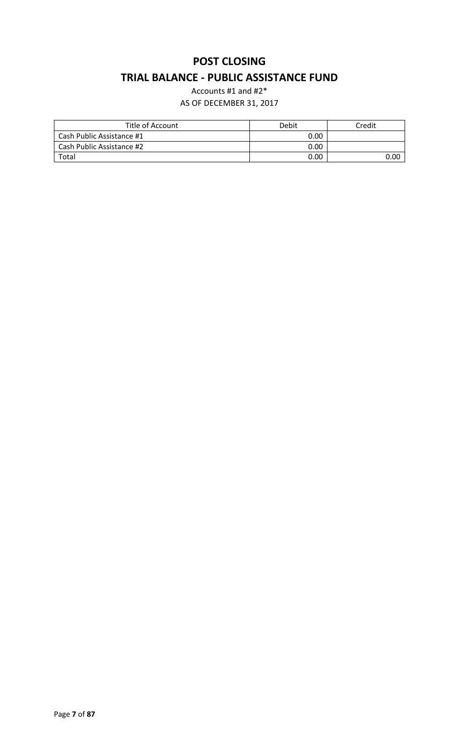# **POST CLOSING TRIAL BALANCE - PUBLIC ASSISTANCE FUND**

Accounts #1 and #2\*

| Title of Account          | Debit | Credit |
|---------------------------|-------|--------|
| Cash Public Assistance #1 | 0.00  |        |
| Cash Public Assistance #2 | 0.00  |        |
| Total                     | 0.00  | 0.00   |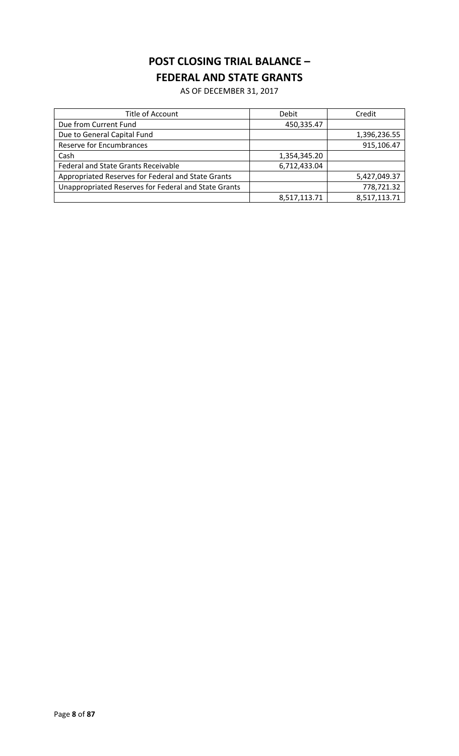# **POST CLOSING TRIAL BALANCE – FEDERAL AND STATE GRANTS**

| Title of Account                                     | Debit        | Credit       |
|------------------------------------------------------|--------------|--------------|
| Due from Current Fund                                | 450,335.47   |              |
| Due to General Capital Fund                          |              | 1,396,236.55 |
| <b>Reserve for Encumbrances</b>                      |              | 915,106.47   |
| Cash                                                 | 1,354,345.20 |              |
| <b>Federal and State Grants Receivable</b>           | 6,712,433.04 |              |
| Appropriated Reserves for Federal and State Grants   |              | 5,427,049.37 |
| Unappropriated Reserves for Federal and State Grants |              | 778,721.32   |
|                                                      | 8,517,113.71 | 8,517,113.71 |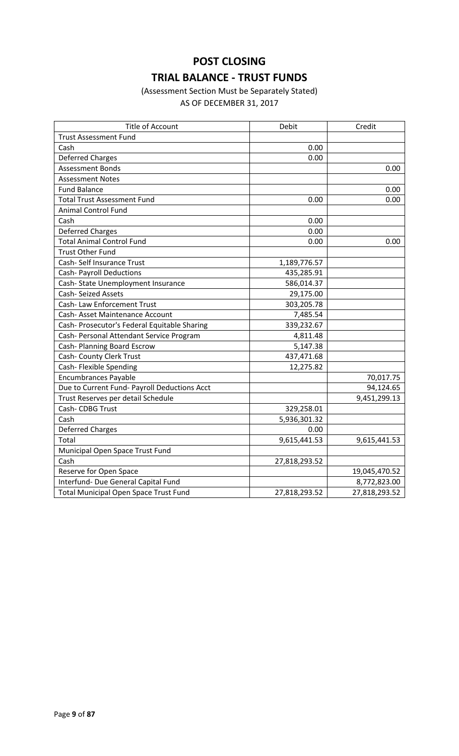# **POST CLOSING TRIAL BALANCE - TRUST FUNDS**

# (Assessment Section Must be Separately Stated)

| <b>Title of Account</b>                      | Debit         | Credit        |
|----------------------------------------------|---------------|---------------|
| <b>Trust Assessment Fund</b>                 |               |               |
| Cash                                         | 0.00          |               |
| <b>Deferred Charges</b>                      | 0.00          |               |
| Assessment Bonds                             |               | 0.00          |
| <b>Assessment Notes</b>                      |               |               |
| <b>Fund Balance</b>                          |               | 0.00          |
| <b>Total Trust Assessment Fund</b>           | 0.00          | 0.00          |
| <b>Animal Control Fund</b>                   |               |               |
| Cash                                         | 0.00          |               |
| <b>Deferred Charges</b>                      | 0.00          |               |
| <b>Total Animal Control Fund</b>             | 0.00          | 0.00          |
| <b>Trust Other Fund</b>                      |               |               |
| Cash-Self Insurance Trust                    | 1,189,776.57  |               |
| <b>Cash- Payroll Deductions</b>              | 435,285.91    |               |
| Cash-State Unemployment Insurance            | 586,014.37    |               |
| <b>Cash-Seized Assets</b>                    | 29,175.00     |               |
| Cash- Law Enforcement Trust                  | 303,205.78    |               |
| Cash- Asset Maintenance Account              | 7,485.54      |               |
| Cash- Prosecutor's Federal Equitable Sharing | 339,232.67    |               |
| Cash- Personal Attendant Service Program     | 4,811.48      |               |
| Cash- Planning Board Escrow                  | 5,147.38      |               |
| Cash- County Clerk Trust                     | 437,471.68    |               |
| Cash- Flexible Spending                      | 12,275.82     |               |
| <b>Encumbrances Payable</b>                  |               | 70,017.75     |
| Due to Current Fund- Payroll Deductions Acct |               | 94,124.65     |
| Trust Reserves per detail Schedule           |               | 9,451,299.13  |
| Cash- CDBG Trust                             | 329,258.01    |               |
| Cash                                         | 5,936,301.32  |               |
| <b>Deferred Charges</b>                      | 0.00          |               |
| Total                                        | 9,615,441.53  | 9,615,441.53  |
| Municipal Open Space Trust Fund              |               |               |
| Cash                                         | 27,818,293.52 |               |
| Reserve for Open Space                       |               | 19,045,470.52 |
| Interfund- Due General Capital Fund          |               | 8,772,823.00  |
| <b>Total Municipal Open Space Trust Fund</b> | 27,818,293.52 | 27,818,293.52 |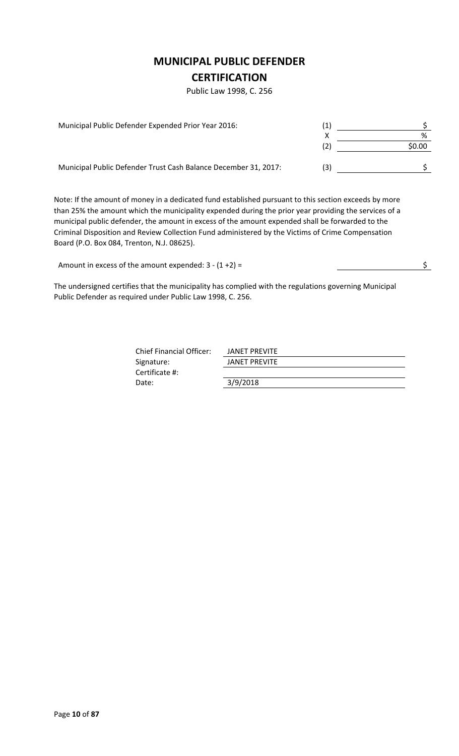## **MUNICIPAL PUBLIC DEFENDER**

## **CERTIFICATION**

Public Law 1998, C. 256

| Municipal Public Defender Expended Prior Year 2016:             |     |        |
|-----------------------------------------------------------------|-----|--------|
|                                                                 |     | %      |
|                                                                 |     | \$0.00 |
| Municipal Public Defender Trust Cash Balance December 31, 2017: | (3) |        |

Note: If the amount of money in a dedicated fund established pursuant to this section exceeds by more than 25% the amount which the municipality expended during the prior year providing the services of a municipal public defender, the amount in excess of the amount expended shall be forwarded to the Criminal Disposition and Review Collection Fund administered by the Victims of Crime Compensation Board (P.O. Box 084, Trenton, N.J. 08625).

Amount in excess of the amount expended:  $3 - (1 + 2) =$ 

The undersigned certifies that the municipality has complied with the regulations governing Municipal Public Defender as required under Public Law 1998, C. 256.

| <b>Chief Financial Officer:</b> | JANET PREVITE        |
|---------------------------------|----------------------|
| Signature:                      | <b>JANET PREVITE</b> |
| Certificate #:                  |                      |
| Date:                           | 3/9/2018             |
|                                 |                      |

Page **10** of **87**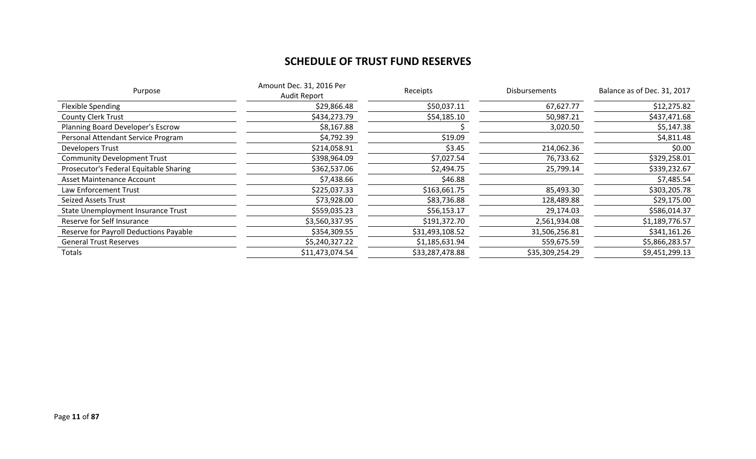# **SCHEDULE OF TRUST FUND RESERVES**

| Purpose                                | Amount Dec. 31, 2016 Per<br>Audit Report | Receipts        | <b>Disbursements</b> | Balance as of Dec. 31, 2017 |
|----------------------------------------|------------------------------------------|-----------------|----------------------|-----------------------------|
| Flexible Spending                      | \$29,866.48                              | \$50,037.11     | 67,627.77            | \$12,275.82                 |
| <b>County Clerk Trust</b>              | \$434,273.79                             | \$54,185.10     | 50,987.21            | \$437,471.68                |
| Planning Board Developer's Escrow      | \$8,167.88                               |                 | 3,020.50             | \$5,147.38                  |
| Personal Attendant Service Program     | \$4,792.39                               | \$19.09         |                      | \$4,811.48                  |
| Developers Trust                       | \$214,058.91                             | \$3.45          | 214,062.36           | \$0.00                      |
| <b>Community Development Trust</b>     | \$398,964.09                             | \$7,027.54      | 76,733.62            | \$329,258.01                |
| Prosecutor's Federal Equitable Sharing | \$362,537.06                             | \$2,494.75      | 25,799.14            | \$339,232.67                |
| Asset Maintenance Account              | \$7,438.66                               | \$46.88         |                      | \$7,485.54                  |
| Law Enforcement Trust                  | \$225,037.33                             | \$163,661.75    | 85,493.30            | \$303,205.78                |
| Seized Assets Trust                    | \$73,928.00                              | \$83,736.88     | 128,489.88           | \$29,175.00                 |
| State Unemployment Insurance Trust     | \$559,035.23                             | \$56,153.17     | 29,174.03            | \$586,014.37                |
| Reserve for Self Insurance             | \$3,560,337.95                           | \$191,372.70    | 2,561,934.08         | \$1,189,776.57              |
| Reserve for Payroll Deductions Payable | \$354,309.55                             | \$31,493,108.52 | 31,506,256.81        | \$341,161.26                |
| <b>General Trust Reserves</b>          | \$5,240,327.22                           | \$1,185,631.94  | 559,675.59           | \$5,866,283.57              |
| <b>Totals</b>                          | \$11,473,074.54                          | \$33,287,478.88 | \$35,309,254.29      | \$9,451,299.13              |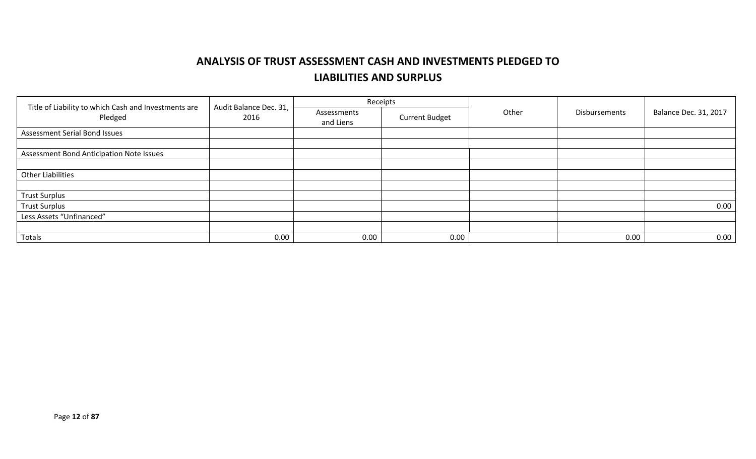# **ANALYSIS OF TRUST ASSESSMENT CASH AND INVESTMENTS PLEDGED TO LIABILITIES AND SURPLUS**

|                                                                 |                                |                          | Receipts              | Other |               |                              |
|-----------------------------------------------------------------|--------------------------------|--------------------------|-----------------------|-------|---------------|------------------------------|
| Title of Liability to which Cash and Investments are<br>Pledged | Audit Balance Dec. 31,<br>2016 | Assessments<br>and Liens | <b>Current Budget</b> |       | Disbursements | <b>Balance Dec. 31, 2017</b> |
| <b>Assessment Serial Bond Issues</b>                            |                                |                          |                       |       |               |                              |
|                                                                 |                                |                          |                       |       |               |                              |
| Assessment Bond Anticipation Note Issues                        |                                |                          |                       |       |               |                              |
|                                                                 |                                |                          |                       |       |               |                              |
| <b>Other Liabilities</b>                                        |                                |                          |                       |       |               |                              |
|                                                                 |                                |                          |                       |       |               |                              |
| <b>Trust Surplus</b>                                            |                                |                          |                       |       |               |                              |
| <b>Trust Surplus</b>                                            |                                |                          |                       |       |               | 0.00                         |
| Less Assets "Unfinanced"                                        |                                |                          |                       |       |               |                              |
|                                                                 |                                |                          |                       |       |               |                              |
| Totals                                                          | 0.00                           | 0.00                     | 0.00                  |       | 0.00          | 0.00                         |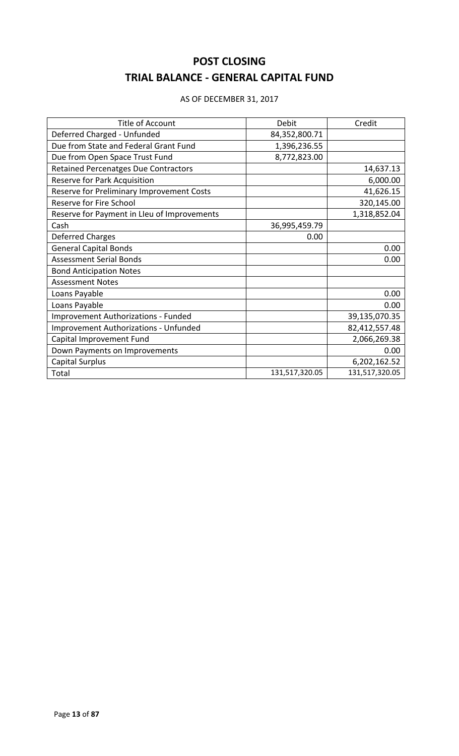# **POST CLOSING TRIAL BALANCE - GENERAL CAPITAL FUND**

| <b>Title of Account</b>                      | Debit          | Credit         |
|----------------------------------------------|----------------|----------------|
| Deferred Charged - Unfunded                  | 84,352,800.71  |                |
| Due from State and Federal Grant Fund        | 1,396,236.55   |                |
| Due from Open Space Trust Fund               | 8,772,823.00   |                |
| <b>Retained Percenatges Due Contractors</b>  |                | 14,637.13      |
| Reserve for Park Acquisition                 |                | 6,000.00       |
| Reserve for Preliminary Improvement Costs    |                | 41,626.15      |
| Reserve for Fire School                      |                | 320,145.00     |
| Reserve for Payment in Lleu of Improvements  |                | 1,318,852.04   |
| Cash                                         | 36,995,459.79  |                |
| <b>Deferred Charges</b>                      | 0.00           |                |
| <b>General Capital Bonds</b>                 |                | 0.00           |
| <b>Assessment Serial Bonds</b>               |                | 0.00           |
| <b>Bond Anticipation Notes</b>               |                |                |
| <b>Assessment Notes</b>                      |                |                |
| Loans Payable                                |                | 0.00           |
| Loans Payable                                |                | 0.00           |
| Improvement Authorizations - Funded          |                | 39,135,070.35  |
| <b>Improvement Authorizations - Unfunded</b> |                | 82,412,557.48  |
| Capital Improvement Fund                     |                | 2,066,269.38   |
| Down Payments on Improvements                |                | 0.00           |
| <b>Capital Surplus</b>                       |                | 6,202,162.52   |
| Total                                        | 131,517,320.05 | 131,517,320.05 |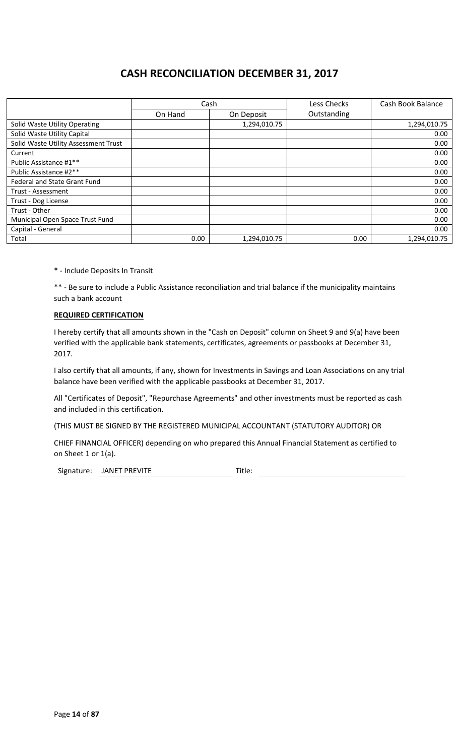# **CASH RECONCILIATION DECEMBER 31, 2017**

|                                      |         | Cash         | Less Checks | Cash Book Balance |
|--------------------------------------|---------|--------------|-------------|-------------------|
|                                      | On Hand | On Deposit   | Outstanding |                   |
| Solid Waste Utility Operating        |         | 1,294,010.75 |             | 1,294,010.75      |
| Solid Waste Utility Capital          |         |              |             | 0.00              |
| Solid Waste Utility Assessment Trust |         |              |             | 0.00              |
| Current                              |         |              |             | 0.00              |
| Public Assistance #1**               |         |              |             | 0.00              |
| Public Assistance #2**               |         |              |             | 0.00              |
| <b>Federal and State Grant Fund</b>  |         |              |             | 0.00              |
| Trust - Assessment                   |         |              |             | 0.00              |
| Trust - Dog License                  |         |              |             | 0.00              |
| Trust - Other                        |         |              |             | 0.00              |
| Municipal Open Space Trust Fund      |         |              |             | 0.00              |
| Capital - General                    |         |              |             | 0.00              |
| Total                                | 0.00    | 1,294,010.75 | 0.00        | 1,294,010.75      |

\* - Include Deposits In Transit

\*\* - Be sure to include a Public Assistance reconciliation and trial balance if the municipality maintains such a bank account

### **REQUIRED CERTIFICATION**

I hereby certify that all amounts shown in the "Cash on Deposit" column on Sheet 9 and 9(a) have been verified with the applicable bank statements, certificates, agreements or passbooks at December 31, 2017.

I also certify that all amounts, if any, shown for Investments in Savings and Loan Associations on any trial balance have been verified with the applicable passbooks at December 31, 2017.

All "Certificates of Deposit", "Repurchase Agreements" and other investments must be reported as cash and included in this certification.

(THIS MUST BE SIGNED BY THE REGISTERED MUNICIPAL ACCOUNTANT (STATUTORY AUDITOR) OR

CHIEF FINANCIAL OFFICER) depending on who prepared this Annual Financial Statement as certified to on Sheet 1 or 1(a).

Signature: JANET PREVITE Title: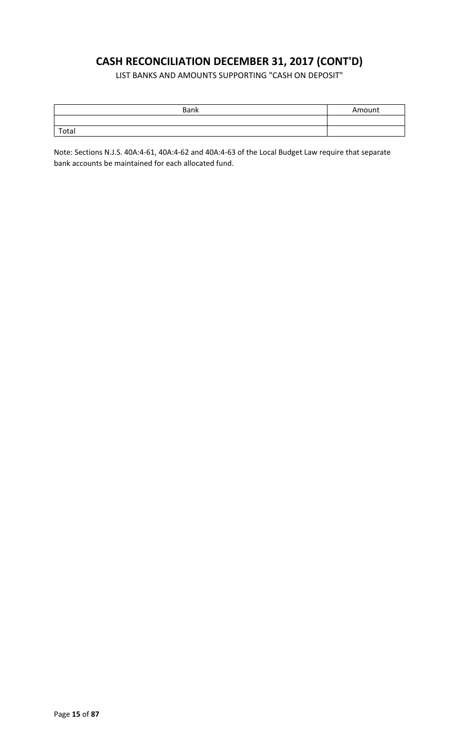# **CASH RECONCILIATION DECEMBER 31, 2017 (CONT'D)**

LIST BANKS AND AMOUNTS SUPPORTING "CASH ON DEPOSIT"

| <b>Bank</b> | Amount |
|-------------|--------|
|             |        |
| Total       |        |

Note: Sections N.J.S. 40A:4-61, 40A:4-62 and 40A:4-63 of the Local Budget Law require that separate bank accounts be maintained for each allocated fund.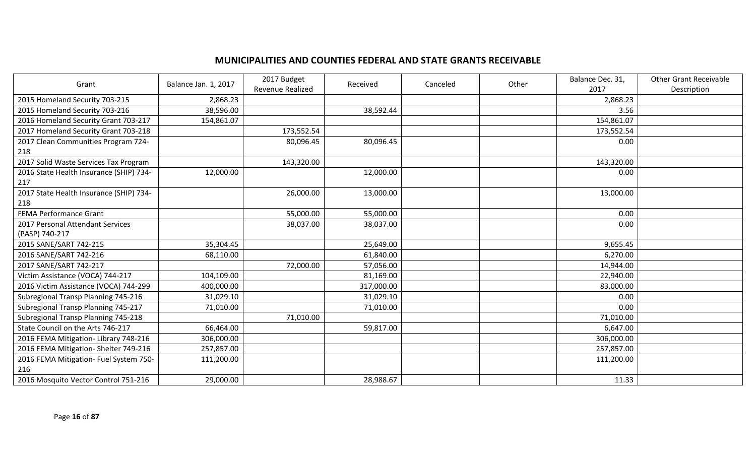## **MUNICIPALITIES AND COUNTIES FEDERAL AND STATE GRANTS RECEIVABLE**

| Grant                                   | Balance Jan. 1, 2017 | 2017 Budget<br><b>Revenue Realized</b> | Received   | Canceled | Other | Balance Dec. 31,<br>2017 | <b>Other Grant Receivable</b><br>Description |
|-----------------------------------------|----------------------|----------------------------------------|------------|----------|-------|--------------------------|----------------------------------------------|
| 2015 Homeland Security 703-215          | 2,868.23             |                                        |            |          |       | 2,868.23                 |                                              |
| 2015 Homeland Security 703-216          | 38,596.00            |                                        | 38,592.44  |          |       | 3.56                     |                                              |
| 2016 Homeland Security Grant 703-217    | 154,861.07           |                                        |            |          |       | 154,861.07               |                                              |
| 2017 Homeland Security Grant 703-218    |                      | 173,552.54                             |            |          |       | 173,552.54               |                                              |
| 2017 Clean Communities Program 724-     |                      | 80,096.45                              | 80,096.45  |          |       | 0.00                     |                                              |
| 218                                     |                      |                                        |            |          |       |                          |                                              |
| 2017 Solid Waste Services Tax Program   |                      | 143,320.00                             |            |          |       | 143,320.00               |                                              |
| 2016 State Health Insurance (SHIP) 734- | 12,000.00            |                                        | 12,000.00  |          |       | 0.00                     |                                              |
| 217                                     |                      |                                        |            |          |       |                          |                                              |
| 2017 State Health Insurance (SHIP) 734- |                      | 26,000.00                              | 13,000.00  |          |       | 13,000.00                |                                              |
| 218                                     |                      |                                        |            |          |       |                          |                                              |
| <b>FEMA Performance Grant</b>           |                      | 55,000.00                              | 55,000.00  |          |       | 0.00                     |                                              |
| 2017 Personal Attendant Services        |                      | 38,037.00                              | 38,037.00  |          |       | 0.00                     |                                              |
| (PASP) 740-217                          |                      |                                        |            |          |       |                          |                                              |
| 2015 SANE/SART 742-215                  | 35,304.45            |                                        | 25,649.00  |          |       | 9,655.45                 |                                              |
| 2016 SANE/SART 742-216                  | 68,110.00            |                                        | 61,840.00  |          |       | 6,270.00                 |                                              |
| 2017 SANE/SART 742-217                  |                      | 72,000.00                              | 57,056.00  |          |       | 14,944.00                |                                              |
| Victim Assistance (VOCA) 744-217        | 104,109.00           |                                        | 81,169.00  |          |       | 22,940.00                |                                              |
| 2016 Victim Assistance (VOCA) 744-299   | 400,000.00           |                                        | 317,000.00 |          |       | 83,000.00                |                                              |
| Subregional Transp Planning 745-216     | 31,029.10            |                                        | 31,029.10  |          |       | 0.00                     |                                              |
| Subregional Transp Planning 745-217     | 71,010.00            |                                        | 71,010.00  |          |       | 0.00                     |                                              |
| Subregional Transp Planning 745-218     |                      | 71,010.00                              |            |          |       | 71,010.00                |                                              |
| State Council on the Arts 746-217       | 66,464.00            |                                        | 59,817.00  |          |       | 6,647.00                 |                                              |
| 2016 FEMA Mitigation-Library 748-216    | 306,000.00           |                                        |            |          |       | 306,000.00               |                                              |
| 2016 FEMA Mitigation- Shelter 749-216   | 257,857.00           |                                        |            |          |       | 257,857.00               |                                              |
| 2016 FEMA Mitigation- Fuel System 750-  | 111,200.00           |                                        |            |          |       | 111,200.00               |                                              |
| 216                                     |                      |                                        |            |          |       |                          |                                              |
| 2016 Mosquito Vector Control 751-216    | 29,000.00            |                                        | 28,988.67  |          |       | 11.33                    |                                              |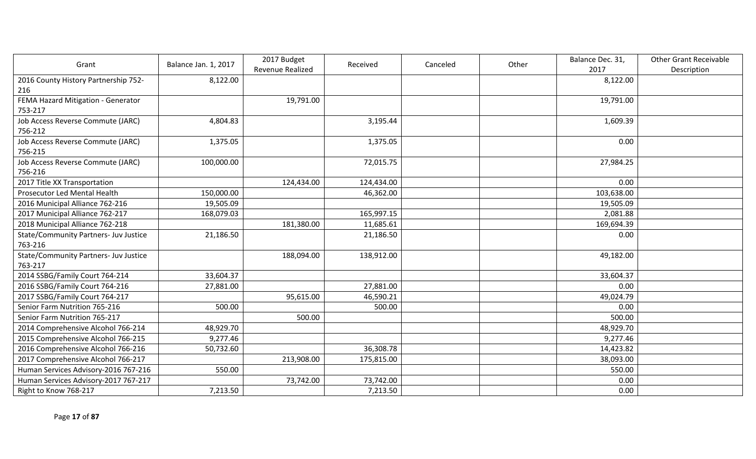| Grant                                 | Balance Jan. 1, 2017 | 2017 Budget      | Received   | Canceled | Other | Balance Dec. 31, | <b>Other Grant Receivable</b> |
|---------------------------------------|----------------------|------------------|------------|----------|-------|------------------|-------------------------------|
|                                       |                      | Revenue Realized |            |          |       | 2017             | Description                   |
| 2016 County History Partnership 752-  | 8,122.00             |                  |            |          |       | 8,122.00         |                               |
| 216                                   |                      |                  |            |          |       |                  |                               |
| FEMA Hazard Mitigation - Generator    |                      | 19,791.00        |            |          |       | 19,791.00        |                               |
| 753-217                               |                      |                  |            |          |       |                  |                               |
| Job Access Reverse Commute (JARC)     | 4,804.83             |                  | 3,195.44   |          |       | 1,609.39         |                               |
| 756-212                               |                      |                  |            |          |       |                  |                               |
| Job Access Reverse Commute (JARC)     | 1,375.05             |                  | 1,375.05   |          |       | 0.00             |                               |
| 756-215                               |                      |                  |            |          |       |                  |                               |
| Job Access Reverse Commute (JARC)     | 100,000.00           |                  | 72,015.75  |          |       | 27,984.25        |                               |
| 756-216                               |                      |                  |            |          |       |                  |                               |
| 2017 Title XX Transportation          |                      | 124,434.00       | 124,434.00 |          |       | 0.00             |                               |
| Prosecutor Led Mental Health          | 150,000.00           |                  | 46,362.00  |          |       | 103,638.00       |                               |
| 2016 Municipal Alliance 762-216       | 19,505.09            |                  |            |          |       | 19,505.09        |                               |
| 2017 Municipal Alliance 762-217       | 168,079.03           |                  | 165,997.15 |          |       | 2,081.88         |                               |
| 2018 Municipal Alliance 762-218       |                      | 181,380.00       | 11,685.61  |          |       | 169,694.39       |                               |
| State/Community Partners- Juv Justice | 21,186.50            |                  | 21,186.50  |          |       | 0.00             |                               |
| 763-216                               |                      |                  |            |          |       |                  |                               |
| State/Community Partners- Juv Justice |                      | 188,094.00       | 138,912.00 |          |       | 49,182.00        |                               |
| 763-217                               |                      |                  |            |          |       |                  |                               |
| 2014 SSBG/Family Court 764-214        | 33,604.37            |                  |            |          |       | 33,604.37        |                               |
| 2016 SSBG/Family Court 764-216        | 27,881.00            |                  | 27,881.00  |          |       | 0.00             |                               |
| 2017 SSBG/Family Court 764-217        |                      | 95,615.00        | 46,590.21  |          |       | 49,024.79        |                               |
| Senior Farm Nutrition 765-216         | 500.00               |                  | 500.00     |          |       | 0.00             |                               |
| Senior Farm Nutrition 765-217         |                      | 500.00           |            |          |       | 500.00           |                               |
| 2014 Comprehensive Alcohol 766-214    | 48,929.70            |                  |            |          |       | 48,929.70        |                               |
| 2015 Comprehensive Alcohol 766-215    | 9,277.46             |                  |            |          |       | 9,277.46         |                               |
| 2016 Comprehensive Alcohol 766-216    | 50,732.60            |                  | 36,308.78  |          |       | 14,423.82        |                               |
| 2017 Comprehensive Alcohol 766-217    |                      | 213,908.00       | 175,815.00 |          |       | 38,093.00        |                               |
| Human Services Advisory-2016 767-216  | 550.00               |                  |            |          |       | 550.00           |                               |
| Human Services Advisory-2017 767-217  |                      | 73,742.00        | 73,742.00  |          |       | 0.00             |                               |
| Right to Know 768-217                 | 7,213.50             |                  | 7,213.50   |          |       | 0.00             |                               |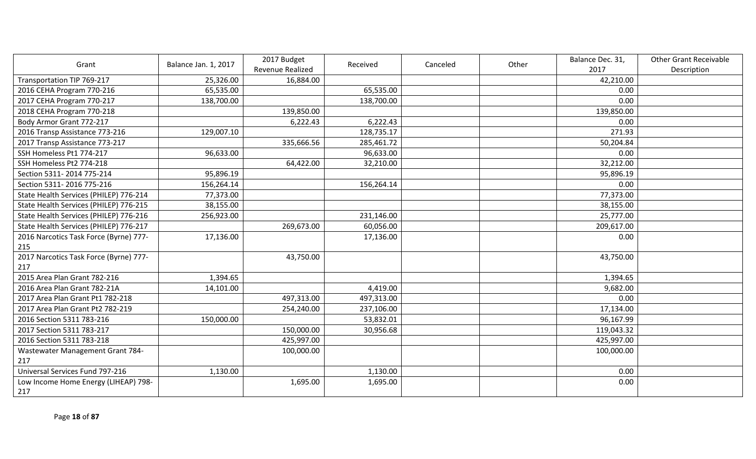| Grant                                  | Balance Jan. 1, 2017 | 2017 Budget      | Received   | Canceled | Other | Balance Dec. 31, | <b>Other Grant Receivable</b> |
|----------------------------------------|----------------------|------------------|------------|----------|-------|------------------|-------------------------------|
|                                        |                      | Revenue Realized |            |          |       | 2017             | Description                   |
| Transportation TIP 769-217             | 25,326.00            | 16,884.00        |            |          |       | 42,210.00        |                               |
| 2016 CEHA Program 770-216              | 65,535.00            |                  | 65,535.00  |          |       | 0.00             |                               |
| 2017 CEHA Program 770-217              | 138,700.00           |                  | 138,700.00 |          |       | 0.00             |                               |
| 2018 CEHA Program 770-218              |                      | 139,850.00       |            |          |       | 139,850.00       |                               |
| Body Armor Grant 772-217               |                      | 6,222.43         | 6,222.43   |          |       | 0.00             |                               |
| 2016 Transp Assistance 773-216         | 129,007.10           |                  | 128,735.17 |          |       | 271.93           |                               |
| 2017 Transp Assistance 773-217         |                      | 335,666.56       | 285,461.72 |          |       | 50,204.84        |                               |
| SSH Homeless Pt1 774-217               | 96,633.00            |                  | 96,633.00  |          |       | 0.00             |                               |
| SSH Homeless Pt2 774-218               |                      | 64,422.00        | 32,210.00  |          |       | 32,212.00        |                               |
| Section 5311-2014 775-214              | 95,896.19            |                  |            |          |       | 95,896.19        |                               |
| Section 5311-2016 775-216              | 156,264.14           |                  | 156,264.14 |          |       | 0.00             |                               |
| State Health Services (PHILEP) 776-214 | 77,373.00            |                  |            |          |       | 77,373.00        |                               |
| State Health Services (PHILEP) 776-215 | 38,155.00            |                  |            |          |       | 38,155.00        |                               |
| State Health Services (PHILEP) 776-216 | 256,923.00           |                  | 231,146.00 |          |       | 25,777.00        |                               |
| State Health Services (PHILEP) 776-217 |                      | 269,673.00       | 60,056.00  |          |       | 209,617.00       |                               |
| 2016 Narcotics Task Force (Byrne) 777- | 17,136.00            |                  | 17,136.00  |          |       | 0.00             |                               |
| 215                                    |                      |                  |            |          |       |                  |                               |
| 2017 Narcotics Task Force (Byrne) 777- |                      | 43,750.00        |            |          |       | 43,750.00        |                               |
| 217                                    |                      |                  |            |          |       |                  |                               |
| 2015 Area Plan Grant 782-216           | 1,394.65             |                  |            |          |       | 1,394.65         |                               |
| 2016 Area Plan Grant 782-21A           | 14,101.00            |                  | 4,419.00   |          |       | 9,682.00         |                               |
| 2017 Area Plan Grant Pt1 782-218       |                      | 497,313.00       | 497,313.00 |          |       | 0.00             |                               |
| 2017 Area Plan Grant Pt2 782-219       |                      | 254,240.00       | 237,106.00 |          |       | 17,134.00        |                               |
| 2016 Section 5311 783-216              | 150,000.00           |                  | 53,832.01  |          |       | 96,167.99        |                               |
| 2017 Section 5311 783-217              |                      | 150,000.00       | 30,956.68  |          |       | 119,043.32       |                               |
| 2016 Section 5311 783-218              |                      | 425,997.00       |            |          |       | 425,997.00       |                               |
| Wastewater Management Grant 784-       |                      | 100,000.00       |            |          |       | 100,000.00       |                               |
| 217                                    |                      |                  |            |          |       |                  |                               |
| Universal Services Fund 797-216        | 1,130.00             |                  | 1,130.00   |          |       | 0.00             |                               |
| Low Income Home Energy (LIHEAP) 798-   |                      | 1,695.00         | 1,695.00   |          |       | 0.00             |                               |
| 217                                    |                      |                  |            |          |       |                  |                               |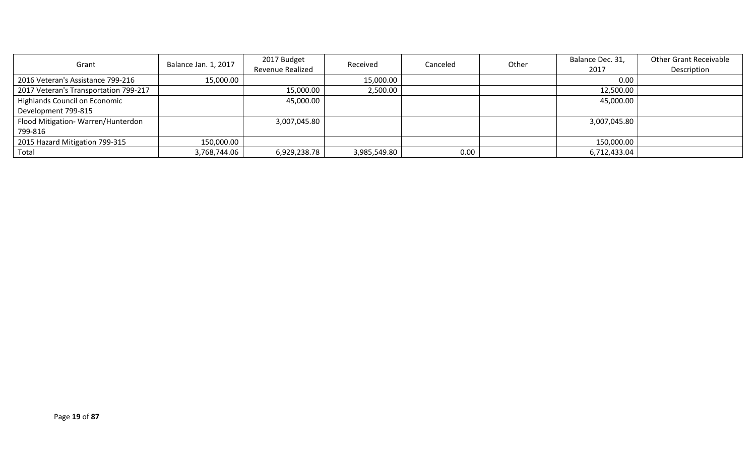| Grant                                 | Balance Jan. 1, 2017 | 2017 Budget      | Received     | Canceled | Other | Balance Dec. 31, | <b>Other Grant Receivable</b> |
|---------------------------------------|----------------------|------------------|--------------|----------|-------|------------------|-------------------------------|
|                                       |                      | Revenue Realized |              |          |       | 2017             | Description                   |
| 2016 Veteran's Assistance 799-216     | 15,000.00            |                  | 15,000.00    |          |       | 0.00             |                               |
| 2017 Veteran's Transportation 799-217 |                      | 15,000.00        | 2,500.00     |          |       | 12,500.00        |                               |
| <b>Highlands Council on Economic</b>  |                      | 45,000.00        |              |          |       | 45,000.00        |                               |
| Development 799-815                   |                      |                  |              |          |       |                  |                               |
| Flood Mitigation-Warren/Hunterdon     |                      | 3,007,045.80     |              |          |       | 3,007,045.80     |                               |
| 799-816                               |                      |                  |              |          |       |                  |                               |
| 2015 Hazard Mitigation 799-315        | 150,000.00           |                  |              |          |       | 150,000.00       |                               |
| Total                                 | 3,768,744.06         | 6,929,238.78     | 3,985,549.80 | 0.00     |       | 6,712,433.04     |                               |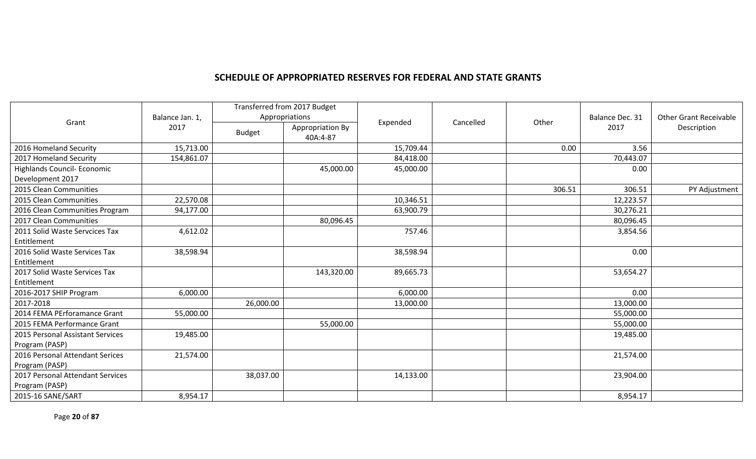### **SCHEDULE OF APPROPRIATED RESERVES FOR FEDERAL AND STATE GRANTS**

|                                                        |            | Transferred from 2017 Budget<br>Appropriations<br>Balance Jan. 1, |                              |           |           |        | Balance Dec. 31 | <b>Other Grant Receivable</b> |
|--------------------------------------------------------|------------|-------------------------------------------------------------------|------------------------------|-----------|-----------|--------|-----------------|-------------------------------|
| Grant                                                  | 2017       | <b>Budget</b>                                                     | Appropriation By<br>40A:4-87 | Expended  | Cancelled | Other  | 2017            | Description                   |
| 2016 Homeland Security                                 | 15,713.00  |                                                                   |                              | 15,709.44 |           | 0.00   | 3.56            |                               |
| 2017 Homeland Security                                 | 154,861.07 |                                                                   |                              | 84,418.00 |           |        | 70,443.07       |                               |
| <b>Highlands Council- Economic</b><br>Development 2017 |            |                                                                   | 45,000.00                    | 45,000.00 |           |        | 0.00            |                               |
| 2015 Clean Communities                                 |            |                                                                   |                              |           |           | 306.51 | 306.51          | PY Adjustment                 |
| 2015 Clean Communities                                 | 22,570.08  |                                                                   |                              | 10,346.51 |           |        | 12,223.57       |                               |
| 2016 Clean Communities Program                         | 94,177.00  |                                                                   |                              | 63,900.79 |           |        | 30,276.21       |                               |
| 2017 Clean Communities                                 |            |                                                                   | 80,096.45                    |           |           |        | 80,096.45       |                               |
| 2011 Solid Waste Servcices Tax<br>Entitlement          | 4,612.02   |                                                                   |                              | 757.46    |           |        | 3,854.56        |                               |
| 2016 Solid Waste Services Tax<br>Entitlement           | 38,598.94  |                                                                   |                              | 38,598.94 |           |        | 0.00            |                               |
| 2017 Solid Waste Services Tax<br>Entitlement           |            |                                                                   | 143,320.00                   | 89,665.73 |           |        | 53,654.27       |                               |
| 2016-2017 SHIP Program                                 | 6,000.00   |                                                                   |                              | 6,000.00  |           |        | 0.00            |                               |
| 2017-2018                                              |            | 26,000.00                                                         |                              | 13,000.00 |           |        | 13,000.00       |                               |
| 2014 FEMA PErforamance Grant                           | 55,000.00  |                                                                   |                              |           |           |        | 55,000.00       |                               |
| 2015 FEMA Performance Grant                            |            |                                                                   | 55,000.00                    |           |           |        | 55,000.00       |                               |
| 2015 Personal Assistant Services<br>Program (PASP)     | 19,485.00  |                                                                   |                              |           |           |        | 19,485.00       |                               |
| 2016 Personal Attendant Serices<br>Program (PASP)      | 21,574.00  |                                                                   |                              |           |           |        | 21,574.00       |                               |
| 2017 Personal Attendant Services<br>Program (PASP)     |            | 38,037.00                                                         |                              | 14,133.00 |           |        | 23,904.00       |                               |
| 2015-16 SANE/SART                                      | 8,954.17   |                                                                   |                              |           |           |        | 8,954.17        |                               |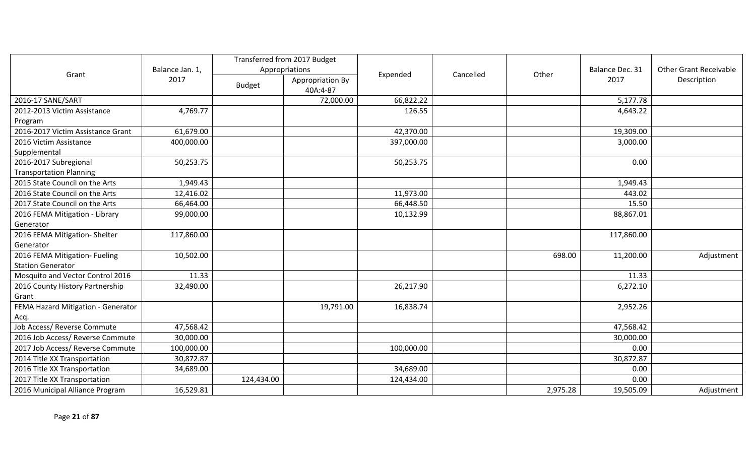|                                    |                 | Transferred from 2017 Budget |                  |            |           |          |                 |                               |
|------------------------------------|-----------------|------------------------------|------------------|------------|-----------|----------|-----------------|-------------------------------|
|                                    | Balance Jan. 1, | Appropriations               |                  |            |           |          | Balance Dec. 31 | <b>Other Grant Receivable</b> |
| Grant                              | 2017            | <b>Budget</b>                | Appropriation By | Expended   | Cancelled | Other    | 2017            | Description                   |
|                                    |                 |                              | 40A:4-87         |            |           |          |                 |                               |
| 2016-17 SANE/SART                  |                 |                              | 72,000.00        | 66,822.22  |           |          | 5,177.78        |                               |
| 2012-2013 Victim Assistance        | 4,769.77        |                              |                  | 126.55     |           |          | 4,643.22        |                               |
| Program                            |                 |                              |                  |            |           |          |                 |                               |
| 2016-2017 Victim Assistance Grant  | 61,679.00       |                              |                  | 42,370.00  |           |          | 19,309.00       |                               |
| 2016 Victim Assistance             | 400,000.00      |                              |                  | 397,000.00 |           |          | 3,000.00        |                               |
| Supplemental                       |                 |                              |                  |            |           |          |                 |                               |
| 2016-2017 Subregional              | 50,253.75       |                              |                  | 50,253.75  |           |          | 0.00            |                               |
| <b>Transportation Planning</b>     |                 |                              |                  |            |           |          |                 |                               |
| 2015 State Council on the Arts     | 1,949.43        |                              |                  |            |           |          | 1,949.43        |                               |
| 2016 State Council on the Arts     | 12,416.02       |                              |                  | 11,973.00  |           |          | 443.02          |                               |
| 2017 State Council on the Arts     | 66,464.00       |                              |                  | 66,448.50  |           |          | 15.50           |                               |
| 2016 FEMA Mitigation - Library     | 99,000.00       |                              |                  | 10,132.99  |           |          | 88,867.01       |                               |
| Generator                          |                 |                              |                  |            |           |          |                 |                               |
| 2016 FEMA Mitigation- Shelter      | 117,860.00      |                              |                  |            |           |          | 117,860.00      |                               |
| Generator                          |                 |                              |                  |            |           |          |                 |                               |
| 2016 FEMA Mitigation- Fueling      | 10,502.00       |                              |                  |            |           | 698.00   | 11,200.00       | Adjustment                    |
| <b>Station Generator</b>           |                 |                              |                  |            |           |          |                 |                               |
| Mosquito and Vector Control 2016   | 11.33           |                              |                  |            |           |          | 11.33           |                               |
| 2016 County History Partnership    | 32,490.00       |                              |                  | 26,217.90  |           |          | 6,272.10        |                               |
| Grant                              |                 |                              |                  |            |           |          |                 |                               |
| FEMA Hazard Mitigation - Generator |                 |                              | 19,791.00        | 16,838.74  |           |          | 2,952.26        |                               |
| Acq.                               |                 |                              |                  |            |           |          |                 |                               |
| Job Access/ Reverse Commute        | 47,568.42       |                              |                  |            |           |          | 47,568.42       |                               |
| 2016 Job Access/ Reverse Commute   | 30,000.00       |                              |                  |            |           |          | 30,000.00       |                               |
| 2017 Job Access/ Reverse Commute   | 100,000.00      |                              |                  | 100,000.00 |           |          | 0.00            |                               |
| 2014 Title XX Transportation       | 30,872.87       |                              |                  |            |           |          | 30,872.87       |                               |
| 2016 Title XX Transportation       | 34,689.00       |                              |                  | 34,689.00  |           |          | 0.00            |                               |
| 2017 Title XX Transportation       |                 | 124,434.00                   |                  | 124,434.00 |           |          | 0.00            |                               |
| 2016 Municipal Alliance Program    | 16,529.81       |                              |                  |            |           | 2,975.28 | 19,505.09       | Adjustment                    |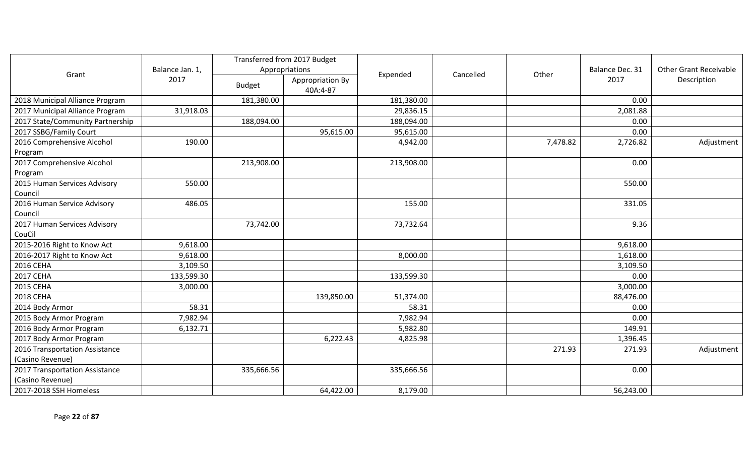|                                  |                 |                | Transferred from 2017 Budget |            |           |          |                 |                               |
|----------------------------------|-----------------|----------------|------------------------------|------------|-----------|----------|-----------------|-------------------------------|
|                                  | Balance Jan. 1, | Appropriations |                              | Expended   | Cancelled | Other    | Balance Dec. 31 | <b>Other Grant Receivable</b> |
| Grant                            | 2017            | <b>Budget</b>  | Appropriation By             |            |           |          | 2017            | Description                   |
|                                  |                 |                | 40A:4-87                     |            |           |          |                 |                               |
| 2018 Municipal Alliance Program  |                 | 181,380.00     |                              | 181,380.00 |           |          | 0.00            |                               |
| 2017 Municipal Alliance Program  | 31,918.03       |                |                              | 29,836.15  |           |          | 2,081.88        |                               |
| 2017 State/Community Partnership |                 | 188,094.00     |                              | 188,094.00 |           |          | 0.00            |                               |
| 2017 SSBG/Family Court           |                 |                | 95,615.00                    | 95,615.00  |           |          | 0.00            |                               |
| 2016 Comprehensive Alcohol       | 190.00          |                |                              | 4,942.00   |           | 7,478.82 | 2,726.82        | Adjustment                    |
| Program                          |                 |                |                              |            |           |          |                 |                               |
| 2017 Comprehensive Alcohol       |                 | 213,908.00     |                              | 213,908.00 |           |          | 0.00            |                               |
| Program                          |                 |                |                              |            |           |          |                 |                               |
| 2015 Human Services Advisory     | 550.00          |                |                              |            |           |          | 550.00          |                               |
| Council                          |                 |                |                              |            |           |          |                 |                               |
| 2016 Human Service Advisory      | 486.05          |                |                              | 155.00     |           |          | 331.05          |                               |
| Council                          |                 |                |                              |            |           |          |                 |                               |
| 2017 Human Services Advisory     |                 | 73,742.00      |                              | 73,732.64  |           |          | 9.36            |                               |
| CouCil                           |                 |                |                              |            |           |          |                 |                               |
| 2015-2016 Right to Know Act      | 9,618.00        |                |                              |            |           |          | 9,618.00        |                               |
| 2016-2017 Right to Know Act      | 9,618.00        |                |                              | 8,000.00   |           |          | 1,618.00        |                               |
| 2016 CEHA                        | 3,109.50        |                |                              |            |           |          | 3,109.50        |                               |
| <b>2017 CEHA</b>                 | 133,599.30      |                |                              | 133,599.30 |           |          | 0.00            |                               |
| 2015 CEHA                        | 3,000.00        |                |                              |            |           |          | 3,000.00        |                               |
| 2018 CEHA                        |                 |                | 139,850.00                   | 51,374.00  |           |          | 88,476.00       |                               |
| 2014 Body Armor                  | 58.31           |                |                              | 58.31      |           |          | 0.00            |                               |
| 2015 Body Armor Program          | 7,982.94        |                |                              | 7,982.94   |           |          | 0.00            |                               |
| 2016 Body Armor Program          | 6,132.71        |                |                              | 5,982.80   |           |          | 149.91          |                               |
| 2017 Body Armor Program          |                 |                | 6,222.43                     | 4,825.98   |           |          | 1,396.45        |                               |
| 2016 Transportation Assistance   |                 |                |                              |            |           | 271.93   | 271.93          | Adjustment                    |
| (Casino Revenue)                 |                 |                |                              |            |           |          |                 |                               |
| 2017 Transportation Assistance   |                 | 335,666.56     |                              | 335,666.56 |           |          | 0.00            |                               |
| (Casino Revenue)                 |                 |                |                              |            |           |          |                 |                               |
| 2017-2018 SSH Homeless           |                 |                | 64,422.00                    | 8,179.00   |           |          | 56,243.00       |                               |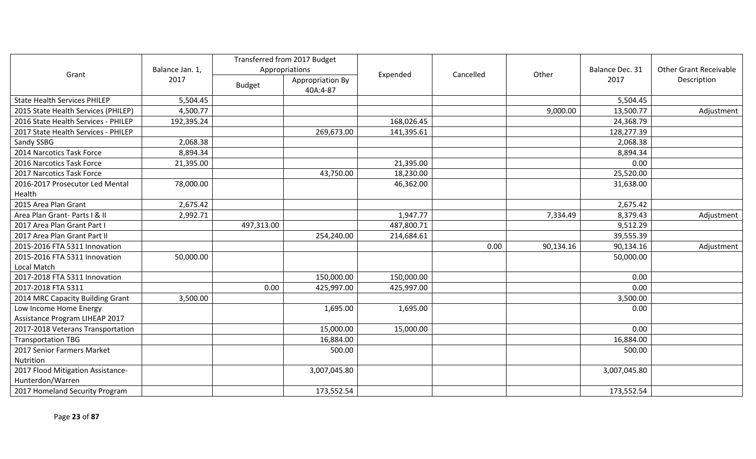|                                     |                 |                | Transferred from 2017 Budget |            |           |           |                 |                               |
|-------------------------------------|-----------------|----------------|------------------------------|------------|-----------|-----------|-----------------|-------------------------------|
| Grant                               | Balance Jan. 1, | Appropriations |                              | Expended   | Cancelled | Other     | Balance Dec. 31 | <b>Other Grant Receivable</b> |
|                                     | 2017            | <b>Budget</b>  | Appropriation By             |            |           |           | 2017            | Description                   |
|                                     |                 |                | 40A:4-87                     |            |           |           |                 |                               |
| <b>State Health Services PHILEP</b> | 5,504.45        |                |                              |            |           |           | 5,504.45        |                               |
| 2015 State Health Services (PHILEP) | 4,500.77        |                |                              |            |           | 9,000.00  | 13,500.77       | Adjustment                    |
| 2016 State Health Services - PHILEP | 192,395.24      |                |                              | 168,026.45 |           |           | 24,368.79       |                               |
| 2017 State Health Services - PHILEP |                 |                | 269,673.00                   | 141,395.61 |           |           | 128,277.39      |                               |
| Sandy SSBG                          | 2,068.38        |                |                              |            |           |           | 2,068.38        |                               |
| 2014 Narcotics Task Force           | 8,894.34        |                |                              |            |           |           | 8,894.34        |                               |
| 2016 Narcotics Task Force           | 21,395.00       |                |                              | 21,395.00  |           |           | 0.00            |                               |
| 2017 Narcotics Task Force           |                 |                | 43,750.00                    | 18,230.00  |           |           | 25,520.00       |                               |
| 2016-2017 Prosecutor Led Mental     | 78,000.00       |                |                              | 46,362.00  |           |           | 31,638.00       |                               |
| Health                              |                 |                |                              |            |           |           |                 |                               |
| 2015 Area Plan Grant                | 2,675.42        |                |                              |            |           |           | 2,675.42        |                               |
| Area Plan Grant- Parts I & II       | 2,992.71        |                |                              | 1,947.77   |           | 7,334.49  | 8,379.43        | Adjustment                    |
| 2017 Area Plan Grant Part I         |                 | 497,313.00     |                              | 487,800.71 |           | 9,512.29  |                 |                               |
| 2017 Area Plan Grant Part II        |                 |                | 254,240.00                   | 214,684.61 |           |           | 39,555.39       |                               |
| 2015-2016 FTA 5311 Innovation       |                 |                |                              |            | 0.00      | 90,134.16 | 90,134.16       | Adjustment                    |
| 2015-2016 FTA 5311 Innovation       | 50,000.00       |                |                              |            |           |           | 50,000.00       |                               |
| Local Match                         |                 |                |                              |            |           |           |                 |                               |
| 2017-2018 FTA 5311 Innovation       |                 |                | 150,000.00                   | 150,000.00 |           |           | 0.00            |                               |
| 2017-2018 FTA 5311                  |                 | 0.00           | 425,997.00                   | 425,997.00 |           |           | 0.00            |                               |
| 2014 MRC Capacity Building Grant    | 3,500.00        |                |                              |            |           |           | 3,500.00        |                               |
| Low Income Home Energy              |                 |                | 1,695.00                     | 1,695.00   |           |           | 0.00            |                               |
| Assistance Program LIHEAP 2017      |                 |                |                              |            |           |           |                 |                               |
| 2017-2018 Veterans Transportation   |                 |                | 15,000.00                    | 15,000.00  |           |           | 0.00            |                               |
| <b>Transportation TBG</b>           |                 |                | 16,884.00                    |            |           |           | 16,884.00       |                               |
| 2017 Senior Farmers Market          |                 |                | 500.00                       |            |           |           | 500.00          |                               |
| Nutrition                           |                 |                |                              |            |           |           |                 |                               |
| 2017 Flood Mitigation Assistance-   |                 |                | 3,007,045.80                 |            |           |           | 3,007,045.80    |                               |
| Hunterdon/Warren                    |                 |                |                              |            |           |           |                 |                               |
| 2017 Homeland Security Program      |                 |                | 173,552.54                   |            |           |           | 173,552.54      |                               |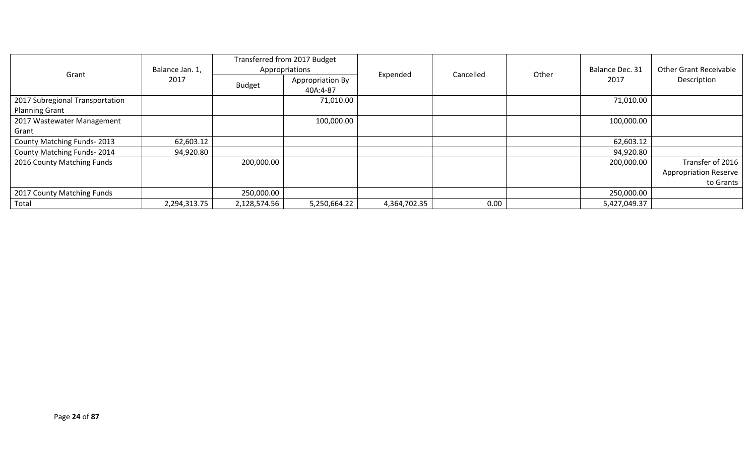|                                 |                 | Transferred from 2017 Budget |                  |              |           |       |                 |                               |             |
|---------------------------------|-----------------|------------------------------|------------------|--------------|-----------|-------|-----------------|-------------------------------|-------------|
| Grant                           | Balance Jan. 1, |                              | Appropriations   | Expended     | Cancelled | Other | Balance Dec. 31 | <b>Other Grant Receivable</b> |             |
|                                 | 2017            | <b>Budget</b>                | Appropriation By |              |           |       |                 | 2017                          | Description |
|                                 |                 |                              | 40A:4-87         |              |           |       |                 |                               |             |
| 2017 Subregional Transportation |                 |                              | 71,010.00        |              |           |       | 71,010.00       |                               |             |
| <b>Planning Grant</b>           |                 |                              |                  |              |           |       |                 |                               |             |
| 2017 Wastewater Management      |                 |                              | 100,000.00       |              |           |       | 100,000.00      |                               |             |
| Grant                           |                 |                              |                  |              |           |       |                 |                               |             |
| County Matching Funds-2013      | 62,603.12       |                              |                  |              |           |       | 62,603.12       |                               |             |
| County Matching Funds-2014      | 94,920.80       |                              |                  |              |           |       | 94,920.80       |                               |             |
| 2016 County Matching Funds      |                 | 200,000.00                   |                  |              |           |       | 200,000.00      | Transfer of 2016              |             |
|                                 |                 |                              |                  |              |           |       |                 | <b>Appropriation Reserve</b>  |             |
|                                 |                 |                              |                  |              |           |       |                 | to Grants                     |             |
| 2017 County Matching Funds      |                 | 250,000.00                   |                  |              |           |       | 250,000.00      |                               |             |
| Total                           | 2,294,313.75    | 2,128,574.56                 | 5,250,664.22     | 4,364,702.35 | 0.00      |       | 5,427,049.37    |                               |             |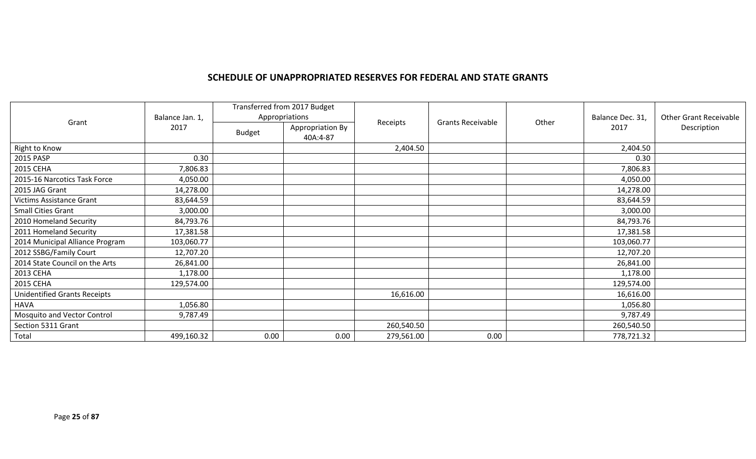### **SCHEDULE OF UNAPPROPRIATED RESERVES FOR FEDERAL AND STATE GRANTS**

|                                     |                 | Transferred from 2017 Budget |                              |            |                          |       |                  |                               |
|-------------------------------------|-----------------|------------------------------|------------------------------|------------|--------------------------|-------|------------------|-------------------------------|
| Grant                               | Balance Jan. 1, |                              | Appropriations               | Receipts   | <b>Grants Receivable</b> | Other | Balance Dec. 31, | <b>Other Grant Receivable</b> |
|                                     | 2017            | <b>Budget</b>                | Appropriation By<br>40A:4-87 |            |                          |       | 2017             | Description                   |
| Right to Know                       |                 |                              |                              | 2,404.50   |                          |       | 2,404.50         |                               |
| 2015 PASP                           | 0.30            |                              |                              |            |                          |       | 0.30             |                               |
| 2015 CEHA                           | 7,806.83        |                              |                              |            |                          |       | 7,806.83         |                               |
| 2015-16 Narcotics Task Force        | 4,050.00        |                              |                              |            |                          |       | 4,050.00         |                               |
| 2015 JAG Grant                      | 14,278.00       |                              |                              |            |                          |       | 14,278.00        |                               |
| <b>Victims Assistance Grant</b>     | 83,644.59       |                              |                              |            |                          |       | 83,644.59        |                               |
| <b>Small Cities Grant</b>           | 3,000.00        |                              |                              |            |                          |       | 3,000.00         |                               |
| 2010 Homeland Security              | 84,793.76       |                              |                              |            |                          |       | 84,793.76        |                               |
| 2011 Homeland Security              | 17,381.58       |                              |                              |            |                          |       | 17,381.58        |                               |
| 2014 Municipal Alliance Program     | 103,060.77      |                              |                              |            |                          |       | 103,060.77       |                               |
| 2012 SSBG/Family Court              | 12,707.20       |                              |                              |            |                          |       | 12,707.20        |                               |
| 2014 State Council on the Arts      | 26,841.00       |                              |                              |            |                          |       | 26,841.00        |                               |
| 2013 CEHA                           | 1,178.00        |                              |                              |            |                          |       | 1,178.00         |                               |
| 2015 CEHA                           | 129,574.00      |                              |                              |            |                          |       | 129,574.00       |                               |
| <b>Unidentified Grants Receipts</b> |                 |                              |                              | 16,616.00  |                          |       | 16,616.00        |                               |
| <b>HAVA</b>                         | 1,056.80        |                              |                              |            |                          |       | 1,056.80         |                               |
| Mosquito and Vector Control         | 9,787.49        |                              |                              |            |                          |       | 9,787.49         |                               |
| Section 5311 Grant                  |                 |                              |                              | 260,540.50 |                          |       | 260,540.50       |                               |
| Total                               | 499,160.32      | 0.00                         | 0.00                         | 279,561.00 | 0.00                     |       | 778,721.32       |                               |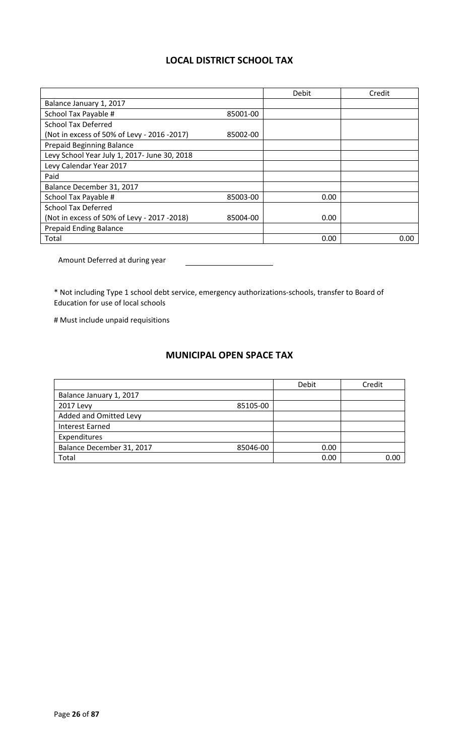## **LOCAL DISTRICT SCHOOL TAX**

|                                              |          | Debit | Credit |
|----------------------------------------------|----------|-------|--------|
| Balance January 1, 2017                      |          |       |        |
| School Tax Payable #                         | 85001-00 |       |        |
| <b>School Tax Deferred</b>                   |          |       |        |
| (Not in excess of 50% of Levy - 2016 -2017)  | 85002-00 |       |        |
| <b>Prepaid Beginning Balance</b>             |          |       |        |
| Levy School Year July 1, 2017- June 30, 2018 |          |       |        |
| Levy Calendar Year 2017                      |          |       |        |
| Paid                                         |          |       |        |
| Balance December 31, 2017                    |          |       |        |
| School Tax Payable #                         | 85003-00 | 0.00  |        |
| <b>School Tax Deferred</b>                   |          |       |        |
| (Not in excess of 50% of Levy - 2017 -2018)  | 85004-00 | 0.00  |        |
| <b>Prepaid Ending Balance</b>                |          |       |        |
| Total                                        |          | 0.00  | 0.00   |

Amount Deferred at during year

\* Not including Type 1 school debt service, emergency authorizations-schools, transfer to Board of Education for use of local schools

# Must include unpaid requisitions

# **MUNICIPAL OPEN SPACE TAX**

|                                       | Debit | Credit |
|---------------------------------------|-------|--------|
| Balance January 1, 2017               |       |        |
| 85105-00<br>2017 Levy                 |       |        |
| Added and Omitted Levy                |       |        |
| <b>Interest Earned</b>                |       |        |
| Expenditures                          |       |        |
| Balance December 31, 2017<br>85046-00 | 0.00  |        |
| Total                                 | 0.00  | റ ററ   |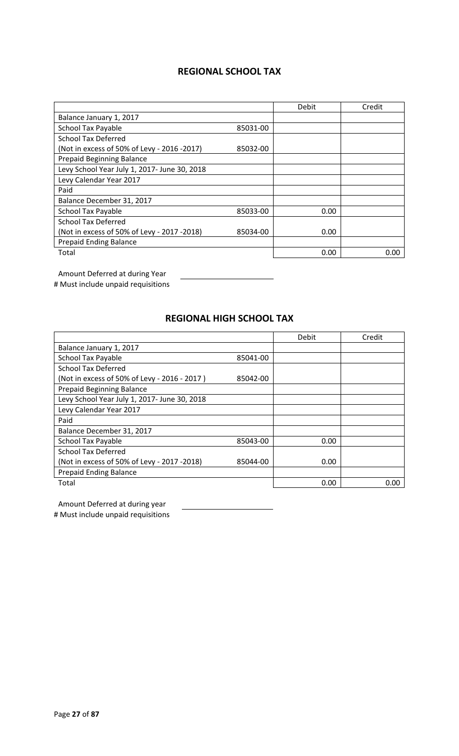## **REGIONAL SCHOOL TAX**

|                                              |          | Debit | Credit |
|----------------------------------------------|----------|-------|--------|
| Balance January 1, 2017                      |          |       |        |
| <b>School Tax Payable</b>                    | 85031-00 |       |        |
| <b>School Tax Deferred</b>                   |          |       |        |
| (Not in excess of 50% of Levy - 2016 -2017)  | 85032-00 |       |        |
| <b>Prepaid Beginning Balance</b>             |          |       |        |
| Levy School Year July 1, 2017- June 30, 2018 |          |       |        |
| Levy Calendar Year 2017                      |          |       |        |
| Paid                                         |          |       |        |
| Balance December 31, 2017                    |          |       |        |
| <b>School Tax Payable</b>                    | 85033-00 | 0.00  |        |
| <b>School Tax Deferred</b>                   |          |       |        |
| (Not in excess of 50% of Levy - 2017 -2018)  | 85034-00 | 0.00  |        |
| <b>Prepaid Ending Balance</b>                |          |       |        |
| Total                                        |          | 0.00  | 0.00   |

Amount Deferred at during Year

# Must include unpaid requisitions

## **REGIONAL HIGH SCHOOL TAX**

|                                              |          | Debit | Credit |
|----------------------------------------------|----------|-------|--------|
| Balance January 1, 2017                      |          |       |        |
| <b>School Tax Payable</b>                    | 85041-00 |       |        |
| <b>School Tax Deferred</b>                   |          |       |        |
| (Not in excess of 50% of Levy - 2016 - 2017) | 85042-00 |       |        |
| <b>Prepaid Beginning Balance</b>             |          |       |        |
| Levy School Year July 1, 2017- June 30, 2018 |          |       |        |
| Levy Calendar Year 2017                      |          |       |        |
| Paid                                         |          |       |        |
| Balance December 31, 2017                    |          |       |        |
| School Tax Payable                           | 85043-00 | 0.00  |        |
| <b>School Tax Deferred</b>                   |          |       |        |
| (Not in excess of 50% of Levy - 2017 -2018)  | 85044-00 | 0.00  |        |
| <b>Prepaid Ending Balance</b>                |          |       |        |
| Total                                        |          | 0.00  | 0.00   |

Amount Deferred at during year # Must include unpaid requisitions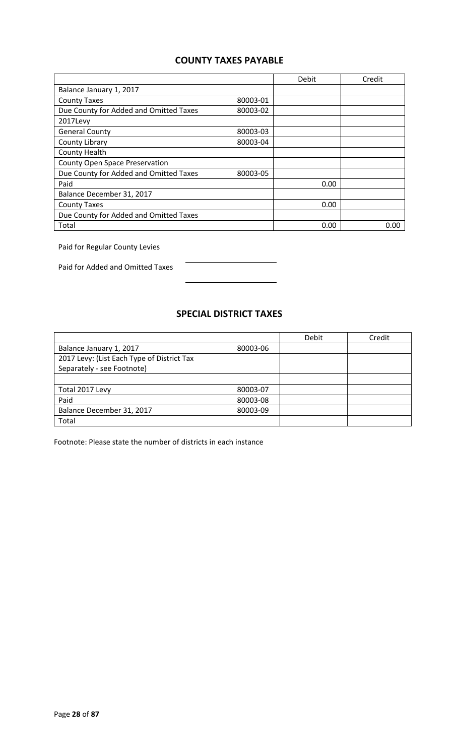## **COUNTY TAXES PAYABLE**

|                                        |          | Debit | Credit |
|----------------------------------------|----------|-------|--------|
| Balance January 1, 2017                |          |       |        |
| <b>County Taxes</b>                    | 80003-01 |       |        |
| Due County for Added and Omitted Taxes | 80003-02 |       |        |
| 2017Levy                               |          |       |        |
| <b>General County</b>                  | 80003-03 |       |        |
| County Library                         | 80003-04 |       |        |
| County Health                          |          |       |        |
| <b>County Open Space Preservation</b>  |          |       |        |
| Due County for Added and Omitted Taxes | 80003-05 |       |        |
| Paid                                   |          | 0.00  |        |
| Balance December 31, 2017              |          |       |        |
| <b>County Taxes</b>                    |          | 0.00  |        |
| Due County for Added and Omitted Taxes |          |       |        |
| Total                                  |          | 0.00  | 0.00   |

Paid for Regular County Levies

Paid for Added and Omitted Taxes

## **SPECIAL DISTRICT TAXES**

|                                            |          | Debit | Credit |
|--------------------------------------------|----------|-------|--------|
| Balance January 1, 2017                    | 80003-06 |       |        |
| 2017 Levy: (List Each Type of District Tax |          |       |        |
| Separately - see Footnote)                 |          |       |        |
|                                            |          |       |        |
| Total 2017 Levy                            | 80003-07 |       |        |
| Paid                                       | 80003-08 |       |        |
| Balance December 31, 2017                  | 80003-09 |       |        |
| Total                                      |          |       |        |

Footnote: Please state the number of districts in each instance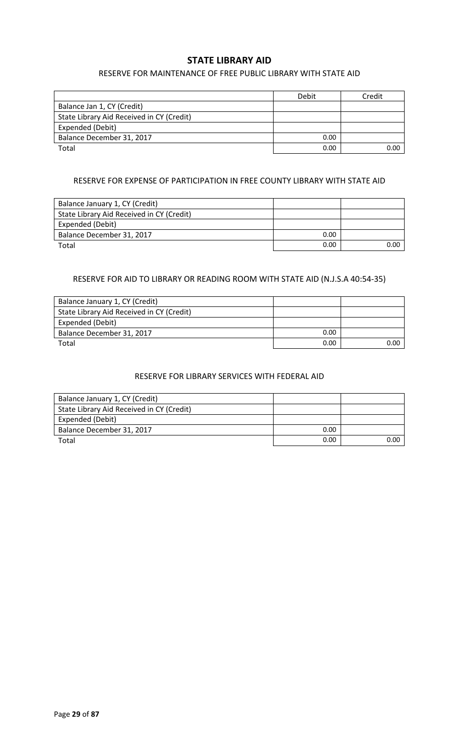### **STATE LIBRARY AID**

### RESERVE FOR MAINTENANCE OF FREE PUBLIC LIBRARY WITH STATE AID

|                                           | Debit | Credit |
|-------------------------------------------|-------|--------|
| Balance Jan 1, CY (Credit)                |       |        |
| State Library Aid Received in CY (Credit) |       |        |
| Expended (Debit)                          |       |        |
| Balance December 31, 2017                 | 0.00  |        |
| Total                                     | 0.00  | 0.00   |

### RESERVE FOR EXPENSE OF PARTICIPATION IN FREE COUNTY LIBRARY WITH STATE AID

| Balance January 1, CY (Credit)            |      |      |
|-------------------------------------------|------|------|
| State Library Aid Received in CY (Credit) |      |      |
| Expended (Debit)                          |      |      |
| Balance December 31, 2017                 | 0.00 |      |
| Total                                     | 0.00 | ი იი |

### RESERVE FOR AID TO LIBRARY OR READING ROOM WITH STATE AID (N.J.S.A 40:54-35)

| Balance January 1, CY (Credit)            |      |      |
|-------------------------------------------|------|------|
| State Library Aid Received in CY (Credit) |      |      |
| Expended (Debit)                          |      |      |
| Balance December 31, 2017                 | 0.00 |      |
| Total                                     | 0.00 | 0.00 |

### RESERVE FOR LIBRARY SERVICES WITH FEDERAL AID

| Balance January 1, CY (Credit)            |      |      |
|-------------------------------------------|------|------|
| State Library Aid Received in CY (Credit) |      |      |
| Expended (Debit)                          |      |      |
| Balance December 31, 2017                 | 0.00 |      |
| Total                                     | 0.00 | 0.00 |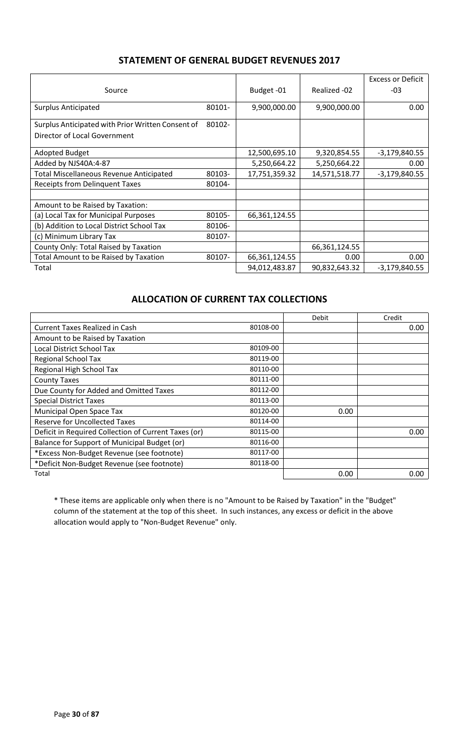## **STATEMENT OF GENERAL BUDGET REVENUES 2017**

| Source                                            |        | Budget-01     | Realized -02  | <b>Excess or Deficit</b><br>$-03$ |
|---------------------------------------------------|--------|---------------|---------------|-----------------------------------|
|                                                   |        |               |               |                                   |
| <b>Surplus Anticipated</b>                        | 80101- | 9,900,000.00  | 9,900,000.00  | 0.00                              |
| Surplus Anticipated with Prior Written Consent of | 80102- |               |               |                                   |
| Director of Local Government                      |        |               |               |                                   |
| <b>Adopted Budget</b>                             |        | 12,500,695.10 | 9,320,854.55  | $-3,179,840.55$                   |
| Added by NJS40A:4-87                              |        | 5,250,664.22  | 5,250,664.22  | 0.00                              |
| <b>Total Miscellaneous Revenue Anticipated</b>    | 80103- | 17,751,359.32 | 14,571,518.77 | $-3,179,840.55$                   |
| <b>Receipts from Delinquent Taxes</b>             | 80104- |               |               |                                   |
|                                                   |        |               |               |                                   |
| Amount to be Raised by Taxation:                  |        |               |               |                                   |
| (a) Local Tax for Municipal Purposes              | 80105- | 66,361,124.55 |               |                                   |
| (b) Addition to Local District School Tax         | 80106- |               |               |                                   |
| (c) Minimum Library Tax                           | 80107- |               |               |                                   |
| County Only: Total Raised by Taxation             |        |               | 66,361,124.55 |                                   |
| <b>Total Amount to be Raised by Taxation</b>      | 80107- | 66,361,124.55 | 0.00          | 0.00                              |
| Total                                             |        | 94,012,483.87 | 90,832,643.32 | $-3,179,840.55$                   |

## **ALLOCATION OF CURRENT TAX COLLECTIONS**

|                                                      |          | Debit | Credit |
|------------------------------------------------------|----------|-------|--------|
| <b>Current Taxes Realized in Cash</b>                | 80108-00 |       | 0.00   |
| Amount to be Raised by Taxation                      |          |       |        |
| Local District School Tax                            | 80109-00 |       |        |
| Regional School Tax                                  | 80119-00 |       |        |
| Regional High School Tax                             | 80110-00 |       |        |
| <b>County Taxes</b>                                  | 80111-00 |       |        |
| Due County for Added and Omitted Taxes               | 80112-00 |       |        |
| <b>Special District Taxes</b>                        | 80113-00 |       |        |
| Municipal Open Space Tax                             | 80120-00 | 0.00  |        |
| <b>Reserve for Uncollected Taxes</b>                 | 80114-00 |       |        |
| Deficit in Required Collection of Current Taxes (or) | 80115-00 |       | 0.00   |
| Balance for Support of Municipal Budget (or)         | 80116-00 |       |        |
| *Excess Non-Budget Revenue (see footnote)            | 80117-00 |       |        |
| *Deficit Non-Budget Revenue (see footnote)           | 80118-00 |       |        |
| Total                                                |          | 0.00  | 0.00   |

\* These items are applicable only when there is no "Amount to be Raised by Taxation" in the "Budget" column of the statement at the top of this sheet. In such instances, any excess or deficit in the above allocation would apply to "Non-Budget Revenue" only.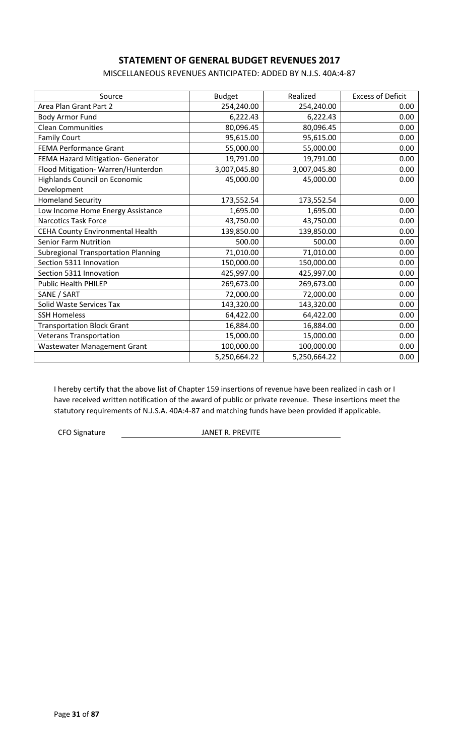## **STATEMENT OF GENERAL BUDGET REVENUES 2017**

MISCELLANEOUS REVENUES ANTICIPATED: ADDED BY N.J.S. 40A:4-87

| Source                                     | <b>Budget</b> | Realized     | <b>Excess of Deficit</b> |
|--------------------------------------------|---------------|--------------|--------------------------|
| Area Plan Grant Part 2                     | 254,240.00    | 254,240.00   | 0.00                     |
| Body Armor Fund                            | 6,222.43      | 6,222.43     | 0.00                     |
| <b>Clean Communities</b>                   | 80,096.45     | 80,096.45    | 0.00                     |
| <b>Family Court</b>                        | 95,615.00     | 95,615.00    | 0.00                     |
| <b>FEMA Performance Grant</b>              | 55,000.00     | 55,000.00    | 0.00                     |
| FEMA Hazard Mitigation- Generator          | 19,791.00     | 19,791.00    | 0.00                     |
| Flood Mitigation-Warren/Hunterdon          | 3,007,045.80  | 3,007,045.80 | 0.00                     |
| <b>Highlands Council on Economic</b>       | 45,000.00     | 45,000.00    | 0.00                     |
| Development                                |               |              |                          |
| <b>Homeland Security</b>                   | 173,552.54    | 173,552.54   | 0.00                     |
| Low Income Home Energy Assistance          | 1,695.00      | 1,695.00     | 0.00                     |
| Narcotics Task Force                       | 43,750.00     | 43,750.00    | 0.00                     |
| CEHA County Environmental Health           | 139,850.00    | 139,850.00   | 0.00                     |
| <b>Senior Farm Nutrition</b>               | 500.00        | 500.00       | 0.00                     |
| <b>Subregional Transportation Planning</b> | 71,010.00     | 71,010.00    | 0.00                     |
| Section 5311 Innovation                    | 150,000.00    | 150,000.00   | 0.00                     |
| Section 5311 Innovation                    | 425,997.00    | 425,997.00   | 0.00                     |
| <b>Public Health PHILEP</b>                | 269,673.00    | 269,673.00   | 0.00                     |
| SANE / SART                                | 72,000.00     | 72,000.00    | 0.00                     |
| Solid Waste Services Tax                   | 143,320.00    | 143,320.00   | 0.00                     |
| <b>SSH Homeless</b>                        | 64,422.00     | 64,422.00    | 0.00                     |
| <b>Transportation Block Grant</b>          | 16,884.00     | 16,884.00    | 0.00                     |
| <b>Veterans Transportation</b>             | 15,000.00     | 15,000.00    | 0.00                     |
| Wastewater Management Grant                | 100,000.00    | 100,000.00   | 0.00                     |
|                                            | 5,250,664.22  | 5,250,664.22 | 0.00                     |

I hereby certify that the above list of Chapter 159 insertions of revenue have been realized in cash or I have received written notification of the award of public or private revenue. These insertions meet the statutory requirements of N.J.S.A. 40A:4-87 and matching funds have been provided if applicable.

CFO Signature **In the Second Structure CFO** Signature JANET R. PREVITE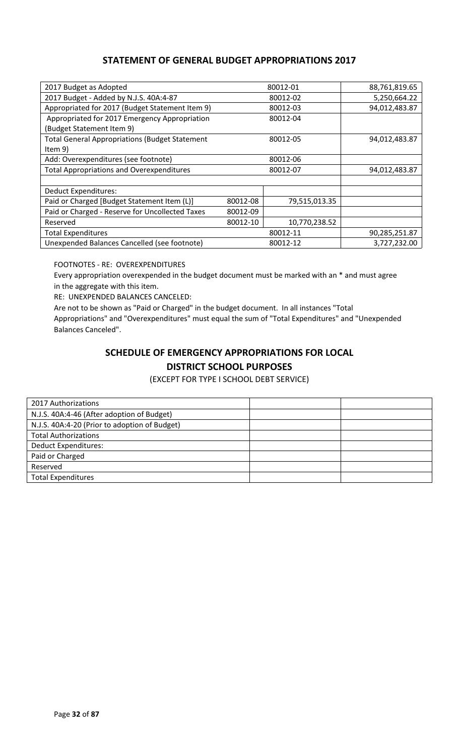## **STATEMENT OF GENERAL BUDGET APPROPRIATIONS 2017**

| 2017 Budget as Adopted                                |          | 80012-01      | 88,761,819.65 |
|-------------------------------------------------------|----------|---------------|---------------|
| 2017 Budget - Added by N.J.S. 40A:4-87                |          | 80012-02      | 5,250,664.22  |
| Appropriated for 2017 (Budget Statement Item 9)       |          | 80012-03      | 94,012,483.87 |
| Appropriated for 2017 Emergency Appropriation         |          | 80012-04      |               |
| (Budget Statement Item 9)                             |          |               |               |
| <b>Total General Appropriations (Budget Statement</b> |          | 80012-05      | 94,012,483.87 |
| Item $9)$                                             |          |               |               |
| Add: Overexpenditures (see footnote)                  |          | 80012-06      |               |
| <b>Total Appropriations and Overexpenditures</b>      |          | 80012-07      | 94,012,483.87 |
|                                                       |          |               |               |
| Deduct Expenditures:                                  |          |               |               |
| Paid or Charged [Budget Statement Item (L)]           | 80012-08 | 79,515,013.35 |               |
| Paid or Charged - Reserve for Uncollected Taxes       | 80012-09 |               |               |
| Reserved                                              | 80012-10 | 10,770,238.52 |               |
| <b>Total Expenditures</b>                             |          | 80012-11      | 90,285,251.87 |
| Unexpended Balances Cancelled (see footnote)          |          | 80012-12      | 3,727,232.00  |

FOOTNOTES - RE: OVEREXPENDITURES

Every appropriation overexpended in the budget document must be marked with an \* and must agree in the aggregate with this item.

RE: UNEXPENDED BALANCES CANCELED:

Are not to be shown as "Paid or Charged" in the budget document. In all instances "Total Appropriations" and "Overexpenditures" must equal the sum of "Total Expenditures" and "Unexpended Balances Canceled".

## **SCHEDULE OF EMERGENCY APPROPRIATIONS FOR LOCAL DISTRICT SCHOOL PURPOSES**

(EXCEPT FOR TYPE I SCHOOL DEBT SERVICE)

| 2017 Authorizations                           |  |
|-----------------------------------------------|--|
| N.J.S. 40A:4-46 (After adoption of Budget)    |  |
| N.J.S. 40A:4-20 (Prior to adoption of Budget) |  |
| <b>Total Authorizations</b>                   |  |
| <b>Deduct Expenditures:</b>                   |  |
| Paid or Charged                               |  |
| Reserved                                      |  |
| <b>Total Expenditures</b>                     |  |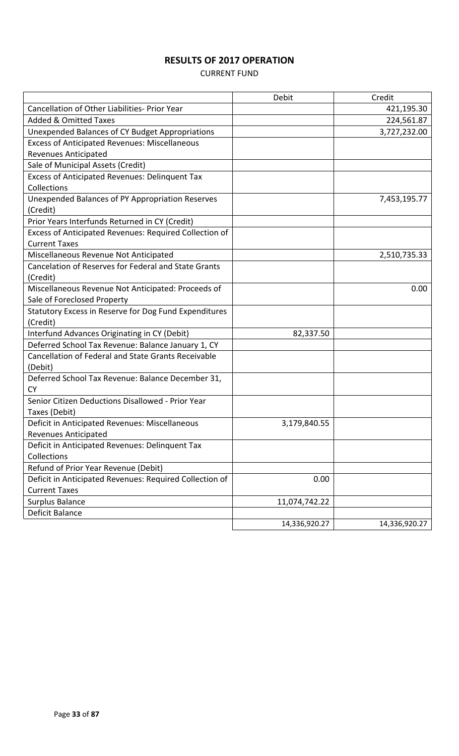# **RESULTS OF 2017 OPERATION**

### CURRENT FUND

|                                                         | Debit         | Credit        |
|---------------------------------------------------------|---------------|---------------|
| Cancellation of Other Liabilities- Prior Year           |               | 421,195.30    |
| <b>Added &amp; Omitted Taxes</b>                        |               | 224,561.87    |
| Unexpended Balances of CY Budget Appropriations         |               | 3,727,232.00  |
| <b>Excess of Anticipated Revenues: Miscellaneous</b>    |               |               |
| <b>Revenues Anticipated</b>                             |               |               |
| Sale of Municipal Assets (Credit)                       |               |               |
| Excess of Anticipated Revenues: Delinquent Tax          |               |               |
| Collections                                             |               |               |
| Unexpended Balances of PY Appropriation Reserves        |               | 7,453,195.77  |
| (Credit)                                                |               |               |
| Prior Years Interfunds Returned in CY (Credit)          |               |               |
| Excess of Anticipated Revenues: Required Collection of  |               |               |
| <b>Current Taxes</b>                                    |               |               |
| Miscellaneous Revenue Not Anticipated                   |               | 2,510,735.33  |
| Cancelation of Reserves for Federal and State Grants    |               |               |
| (Credit)                                                |               |               |
| Miscellaneous Revenue Not Anticipated: Proceeds of      |               | 0.00          |
| Sale of Foreclosed Property                             |               |               |
| Statutory Excess in Reserve for Dog Fund Expenditures   |               |               |
| (Credit)                                                |               |               |
| Interfund Advances Originating in CY (Debit)            | 82,337.50     |               |
| Deferred School Tax Revenue: Balance January 1, CY      |               |               |
| Cancellation of Federal and State Grants Receivable     |               |               |
| (Debit)                                                 |               |               |
| Deferred School Tax Revenue: Balance December 31,       |               |               |
| <b>CY</b>                                               |               |               |
| Senior Citizen Deductions Disallowed - Prior Year       |               |               |
| Taxes (Debit)                                           |               |               |
| Deficit in Anticipated Revenues: Miscellaneous          | 3,179,840.55  |               |
| <b>Revenues Anticipated</b>                             |               |               |
| Deficit in Anticipated Revenues: Delinquent Tax         |               |               |
| Collections                                             |               |               |
| Refund of Prior Year Revenue (Debit)                    |               |               |
| Deficit in Anticipated Revenues: Required Collection of | 0.00          |               |
| <b>Current Taxes</b>                                    |               |               |
| Surplus Balance                                         | 11,074,742.22 |               |
| Deficit Balance                                         |               |               |
|                                                         | 14,336,920.27 | 14,336,920.27 |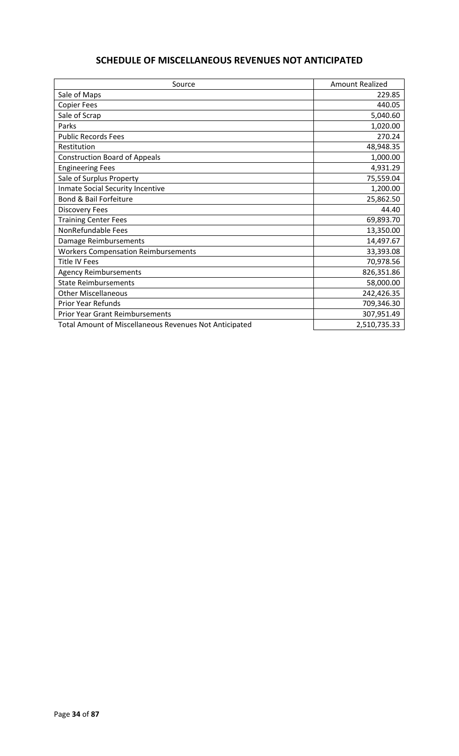# **SCHEDULE OF MISCELLANEOUS REVENUES NOT ANTICIPATED**

| Source                                                 | <b>Amount Realized</b> |
|--------------------------------------------------------|------------------------|
| Sale of Maps                                           | 229.85                 |
| <b>Copier Fees</b>                                     | 440.05                 |
| Sale of Scrap                                          | 5,040.60               |
| Parks                                                  | 1,020.00               |
| <b>Public Records Fees</b>                             | 270.24                 |
| Restitution                                            | 48,948.35              |
| <b>Construction Board of Appeals</b>                   | 1,000.00               |
| <b>Engineering Fees</b>                                | 4,931.29               |
| Sale of Surplus Property                               | 75,559.04              |
| Inmate Social Security Incentive                       | 1,200.00               |
| Bond & Bail Forfeiture                                 | 25,862.50              |
| <b>Discovery Fees</b>                                  | 44.40                  |
| <b>Training Center Fees</b>                            | 69,893.70              |
| NonRefundable Fees                                     | 13,350.00              |
| Damage Reimbursements                                  | 14,497.67              |
| <b>Workers Compensation Reimbursements</b>             | 33,393.08              |
| <b>Title IV Fees</b>                                   | 70,978.56              |
| <b>Agency Reimbursements</b>                           | 826,351.86             |
| <b>State Reimbursements</b>                            | 58,000.00              |
| <b>Other Miscellaneous</b>                             | 242,426.35             |
| Prior Year Refunds                                     | 709,346.30             |
| <b>Prior Year Grant Reimbursements</b>                 | 307,951.49             |
| Total Amount of Miscellaneous Revenues Not Anticipated | 2,510,735.33           |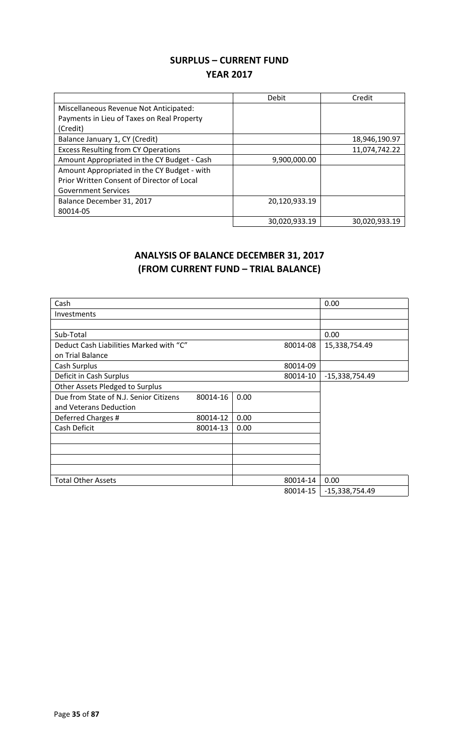## **SURPLUS – CURRENT FUND YEAR 2017**

|                                             | Debit         | Credit        |
|---------------------------------------------|---------------|---------------|
| Miscellaneous Revenue Not Anticipated:      |               |               |
| Payments in Lieu of Taxes on Real Property  |               |               |
| (Credit)                                    |               |               |
| Balance January 1, CY (Credit)              |               | 18,946,190.97 |
| <b>Excess Resulting from CY Operations</b>  |               | 11,074,742.22 |
| Amount Appropriated in the CY Budget - Cash | 9,900,000.00  |               |
| Amount Appropriated in the CY Budget - with |               |               |
| Prior Written Consent of Director of Local  |               |               |
| <b>Government Services</b>                  |               |               |
| Balance December 31, 2017                   | 20,120,933.19 |               |
| 80014-05                                    |               |               |
|                                             | 30,020,933.19 | 30,020,933.19 |

# **ANALYSIS OF BALANCE DECEMBER 31, 2017 (FROM CURRENT FUND – TRIAL BALANCE)**

| Cash                                    |          |      |          | 0.00             |
|-----------------------------------------|----------|------|----------|------------------|
| Investments                             |          |      |          |                  |
|                                         |          |      |          |                  |
| Sub-Total                               |          |      |          | 0.00             |
| Deduct Cash Liabilities Marked with "C" |          |      | 80014-08 | 15,338,754.49    |
| on Trial Balance                        |          |      |          |                  |
| Cash Surplus                            |          |      | 80014-09 |                  |
| Deficit in Cash Surplus                 |          |      | 80014-10 | -15,338,754.49   |
| Other Assets Pledged to Surplus         |          |      |          |                  |
| Due from State of N.J. Senior Citizens  | 80014-16 | 0.00 |          |                  |
| and Veterans Deduction                  |          |      |          |                  |
| Deferred Charges #                      | 80014-12 | 0.00 |          |                  |
| Cash Deficit                            | 80014-13 | 0.00 |          |                  |
|                                         |          |      |          |                  |
|                                         |          |      |          |                  |
|                                         |          |      |          |                  |
|                                         |          |      |          |                  |
| <b>Total Other Assets</b>               |          |      | 80014-14 | 0.00             |
|                                         |          |      | 80014-15 | $-15,338,754.49$ |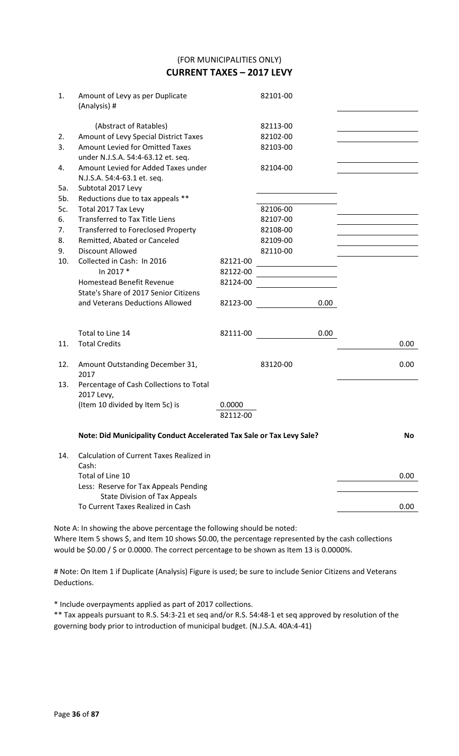(FOR MUNICIPALITIES ONLY) **CURRENT TAXES – 2017 LEVY**

| 1.  | Amount of Levy as per Duplicate<br>(Analysis) #                       |          | 82101-00 |      |
|-----|-----------------------------------------------------------------------|----------|----------|------|
|     | (Abstract of Ratables)                                                |          | 82113-00 |      |
| 2.  | Amount of Levy Special District Taxes                                 |          | 82102-00 |      |
| 3.  | Amount Levied for Omitted Taxes<br>under N.J.S.A. 54:4-63.12 et. seq. |          | 82103-00 |      |
| 4.  | Amount Levied for Added Taxes under                                   |          | 82104-00 |      |
|     | N.J.S.A. 54:4-63.1 et. seq.                                           |          |          |      |
| 5a. | Subtotal 2017 Levy                                                    |          |          |      |
| 5b. | Reductions due to tax appeals **                                      |          |          |      |
| 5c. | Total 2017 Tax Levy                                                   |          | 82106-00 |      |
| 6.  | <b>Transferred to Tax Title Liens</b>                                 |          | 82107-00 |      |
| 7.  | <b>Transferred to Foreclosed Property</b>                             |          | 82108-00 |      |
| 8.  | Remitted, Abated or Canceled                                          |          | 82109-00 |      |
| 9.  | <b>Discount Allowed</b>                                               |          | 82110-00 |      |
| 10. | Collected in Cash: In 2016                                            | 82121-00 |          |      |
|     | In 2017 *                                                             | 82122-00 |          |      |
|     | <b>Homestead Benefit Revenue</b>                                      | 82124-00 |          |      |
|     | State's Share of 2017 Senior Citizens                                 |          |          |      |
|     | and Veterans Deductions Allowed                                       | 82123-00 | 0.00     |      |
|     | Total to Line 14                                                      | 82111-00 | 0.00     |      |
| 11. | <b>Total Credits</b>                                                  |          |          | 0.00 |
| 12. | Amount Outstanding December 31,<br>2017                               |          | 83120-00 | 0.00 |
| 13. | Percentage of Cash Collections to Total<br>2017 Levy,                 |          |          |      |
|     | (Item 10 divided by Item 5c) is                                       | 0.0000   |          |      |
|     |                                                                       | 82112-00 |          |      |
|     | Note: Did Municipality Conduct Accelerated Tax Sale or Tax Levy Sale? | No       |          |      |
| 14. | <b>Calculation of Current Taxes Realized in</b>                       |          |          |      |
|     | Cash:                                                                 |          |          |      |
|     | Total of Line 10                                                      |          |          | 0.00 |
|     | Less: Reserve for Tax Appeals Pending                                 |          |          |      |
|     | <b>State Division of Tax Appeals</b>                                  |          |          |      |
|     | To Current Taxes Realized in Cash                                     |          |          | 0.00 |
|     |                                                                       |          |          |      |

Note A: In showing the above percentage the following should be noted: Where Item 5 shows \$, and Item 10 shows \$0.00, the percentage represented by the cash collections would be \$0.00 / \$ or 0.0000. The correct percentage to be shown as Item 13 is 0.0000%.

# Note: On Item 1 if Duplicate (Analysis) Figure is used; be sure to include Senior Citizens and Veterans Deductions.

\* Include overpayments applied as part of 2017 collections.

\*\* Tax appeals pursuant to R.S. 54:3-21 et seq and/or R.S. 54:48-1 et seq approved by resolution of the governing body prior to introduction of municipal budget. (N.J.S.A. 40A:4-41)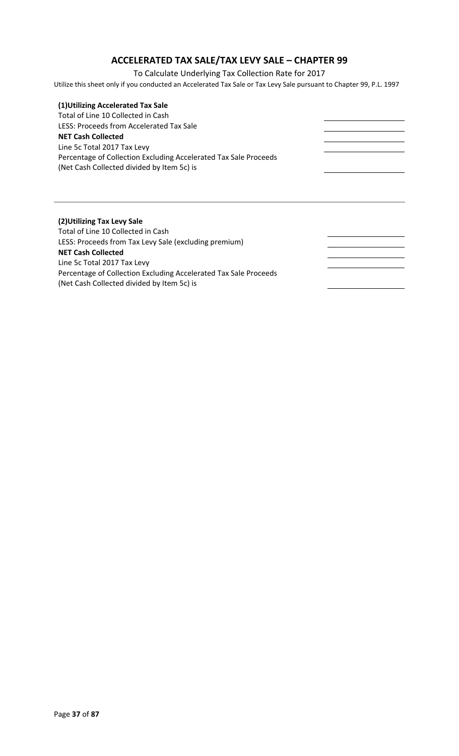# **ACCELERATED TAX SALE/TAX LEVY SALE – CHAPTER 99**

To Calculate Underlying Tax Collection Rate for 2017

Utilize this sheet only if you conducted an Accelerated Tax Sale or Tax Levy Sale pursuant to Chapter 99, P.L. 1997

| (1) Utilizing Accelerated Tax Sale                               |  |
|------------------------------------------------------------------|--|
| Total of Line 10 Collected in Cash                               |  |
| LESS: Proceeds from Accelerated Tax Sale                         |  |
| <b>NET Cash Collected</b>                                        |  |
| Line 5c Total 2017 Tax Levy                                      |  |
| Percentage of Collection Excluding Accelerated Tax Sale Proceeds |  |
| (Net Cash Collected divided by Item 5c) is                       |  |
|                                                                  |  |
|                                                                  |  |
|                                                                  |  |
|                                                                  |  |
|                                                                  |  |
| (2) Utilizing Tax Levy Sale                                      |  |
| Total of Line 10 Collected in Cash                               |  |
| LESS: Proceeds from Tax Levy Sale (excluding premium)            |  |
| <b>NET Cash Collected</b>                                        |  |
| Line 5c Total 2017 Tax Levy                                      |  |
| Percentage of Collection Excluding Accelerated Tax Sale Proceeds |  |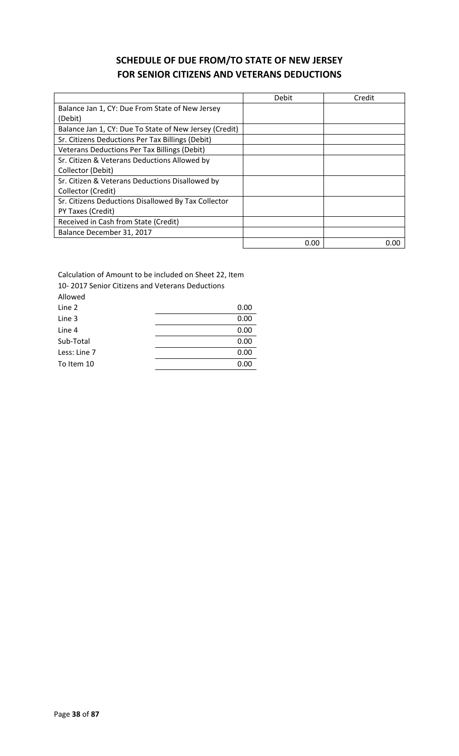# **SCHEDULE OF DUE FROM/TO STATE OF NEW JERSEY FOR SENIOR CITIZENS AND VETERANS DEDUCTIONS**

|                                                        | Debit | Credit |
|--------------------------------------------------------|-------|--------|
| Balance Jan 1, CY: Due From State of New Jersey        |       |        |
| (Debit)                                                |       |        |
| Balance Jan 1, CY: Due To State of New Jersey (Credit) |       |        |
| Sr. Citizens Deductions Per Tax Billings (Debit)       |       |        |
| Veterans Deductions Per Tax Billings (Debit)           |       |        |
| Sr. Citizen & Veterans Deductions Allowed by           |       |        |
| Collector (Debit)                                      |       |        |
| Sr. Citizen & Veterans Deductions Disallowed by        |       |        |
| Collector (Credit)                                     |       |        |
| Sr. Citizens Deductions Disallowed By Tax Collector    |       |        |
| PY Taxes (Credit)                                      |       |        |
| Received in Cash from State (Credit)                   |       |        |
| Balance December 31, 2017                              |       |        |
|                                                        | 0.00  | 0.00   |

Calculation of Amount to be included on Sheet 22, Item 10- 2017 Senior Citizens and Veterans Deductions

| 0.00 |
|------|
| 0.00 |
| 0.00 |
| 0.00 |
| 0.00 |
| 0.00 |
|      |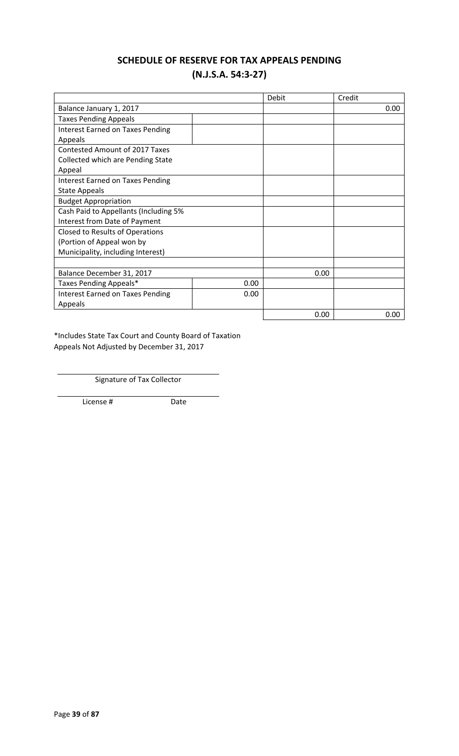### **SCHEDULE OF RESERVE FOR TAX APPEALS PENDING (N.J.S.A. 54:3-27)**

|                                         |      | Debit | Credit |
|-----------------------------------------|------|-------|--------|
| Balance January 1, 2017                 |      |       | 0.00   |
| <b>Taxes Pending Appeals</b>            |      |       |        |
| <b>Interest Earned on Taxes Pending</b> |      |       |        |
| Appeals                                 |      |       |        |
| <b>Contested Amount of 2017 Taxes</b>   |      |       |        |
| Collected which are Pending State       |      |       |        |
| Appeal                                  |      |       |        |
| <b>Interest Earned on Taxes Pending</b> |      |       |        |
| <b>State Appeals</b>                    |      |       |        |
| <b>Budget Appropriation</b>             |      |       |        |
| Cash Paid to Appellants (Including 5%   |      |       |        |
| Interest from Date of Payment           |      |       |        |
| Closed to Results of Operations         |      |       |        |
| (Portion of Appeal won by               |      |       |        |
| Municipality, including Interest)       |      |       |        |
|                                         |      |       |        |
| Balance December 31, 2017               |      | 0.00  |        |
| Taxes Pending Appeals*                  | 0.00 |       |        |
| <b>Interest Earned on Taxes Pending</b> | 0.00 |       |        |
| Appeals                                 |      |       |        |
|                                         |      | 0.00  | 0.00   |

\*Includes State Tax Court and County Board of Taxation Appeals Not Adjusted by December 31, 2017

Signature of Tax Collector

License # Date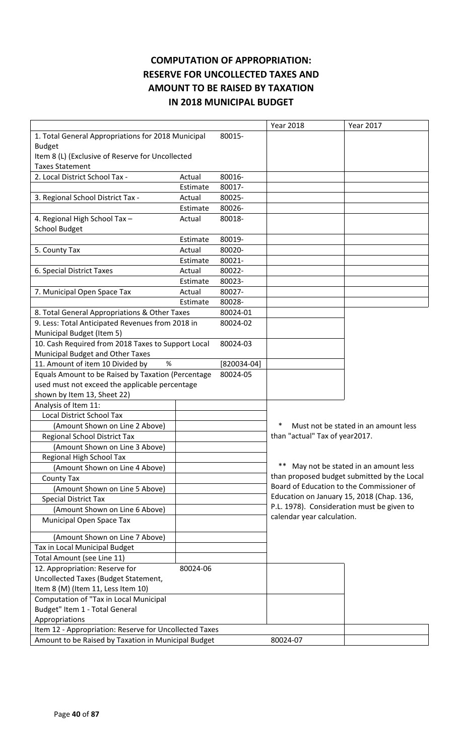# **COMPUTATION OF APPROPRIATION: RESERVE FOR UNCOLLECTED TAXES AND AMOUNT TO BE RAISED BY TAXATION IN 2018 MUNICIPAL BUDGET**

|                                                        |          |               | <b>Year 2018</b>                          | <b>Year 2017</b>                            |
|--------------------------------------------------------|----------|---------------|-------------------------------------------|---------------------------------------------|
| 1. Total General Appropriations for 2018 Municipal     |          | 80015-        |                                           |                                             |
| <b>Budget</b>                                          |          |               |                                           |                                             |
| Item 8 (L) (Exclusive of Reserve for Uncollected       |          |               |                                           |                                             |
| <b>Taxes Statement</b>                                 |          |               |                                           |                                             |
| 2. Local District School Tax -                         | Actual   | 80016-        |                                           |                                             |
|                                                        | Estimate | 80017-        |                                           |                                             |
| 3. Regional School District Tax -                      | Actual   | 80025-        |                                           |                                             |
|                                                        | Estimate | 80026-        |                                           |                                             |
| 4. Regional High School Tax -                          | Actual   | 80018-        |                                           |                                             |
| <b>School Budget</b>                                   |          |               |                                           |                                             |
|                                                        | Estimate | 80019-        |                                           |                                             |
| 5. County Tax                                          | Actual   | 80020-        |                                           |                                             |
|                                                        | Estimate | 80021-        |                                           |                                             |
| 6. Special District Taxes                              | Actual   | 80022-        |                                           |                                             |
|                                                        | Estimate | 80023-        |                                           |                                             |
| 7. Municipal Open Space Tax                            | Actual   | 80027-        |                                           |                                             |
|                                                        | Estimate | 80028-        |                                           |                                             |
| 8. Total General Appropriations & Other Taxes          |          | 80024-01      |                                           |                                             |
| 9. Less: Total Anticipated Revenues from 2018 in       |          | 80024-02      |                                           |                                             |
| Municipal Budget (Item 5)                              |          |               |                                           |                                             |
| 10. Cash Required from 2018 Taxes to Support Local     |          | 80024-03      |                                           |                                             |
| Municipal Budget and Other Taxes                       |          |               |                                           |                                             |
| %<br>11. Amount of item 10 Divided by                  |          | $[820034-04]$ |                                           |                                             |
| Equals Amount to be Raised by Taxation (Percentage     |          | 80024-05      |                                           |                                             |
| used must not exceed the applicable percentage         |          |               |                                           |                                             |
| shown by Item 13, Sheet 22)                            |          |               |                                           |                                             |
| Analysis of Item 11:                                   |          |               |                                           |                                             |
| <b>Local District School Tax</b>                       |          |               |                                           |                                             |
| (Amount Shown on Line 2 Above)                         |          |               |                                           | Must not be stated in an amount less        |
| Regional School District Tax                           |          |               | than "actual" Tax of year2017.            |                                             |
| (Amount Shown on Line 3 Above)                         |          |               |                                           |                                             |
| Regional High School Tax                               |          |               |                                           |                                             |
| (Amount Shown on Line 4 Above)                         |          |               |                                           | ** May not be stated in an amount less      |
| <b>County Tax</b>                                      |          |               |                                           | than proposed budget submitted by the Local |
| (Amount Shown on Line 5 Above)                         |          |               |                                           | Board of Education to the Commissioner of   |
| <b>Special District Tax</b>                            |          |               | Education on January 15, 2018 (Chap. 136, |                                             |
| (Amount Shown on Line 6 Above)                         |          |               |                                           | P.L. 1978). Consideration must be given to  |
| Municipal Open Space Tax                               |          |               | calendar year calculation.                |                                             |
|                                                        |          |               |                                           |                                             |
| (Amount Shown on Line 7 Above)                         |          |               |                                           |                                             |
| Tax in Local Municipal Budget                          |          |               |                                           |                                             |
| Total Amount (see Line 11)                             |          |               |                                           |                                             |
| 12. Appropriation: Reserve for                         | 80024-06 |               |                                           |                                             |
| Uncollected Taxes (Budget Statement,                   |          |               |                                           |                                             |
| Item 8 (M) (Item 11, Less Item 10)                     |          |               |                                           |                                             |
| Computation of "Tax in Local Municipal                 |          |               |                                           |                                             |
| Budget" Item 1 - Total General                         |          |               |                                           |                                             |
| Appropriations                                         |          |               |                                           |                                             |
| Item 12 - Appropriation: Reserve for Uncollected Taxes |          |               |                                           |                                             |
| Amount to be Raised by Taxation in Municipal Budget    |          |               | 80024-07                                  |                                             |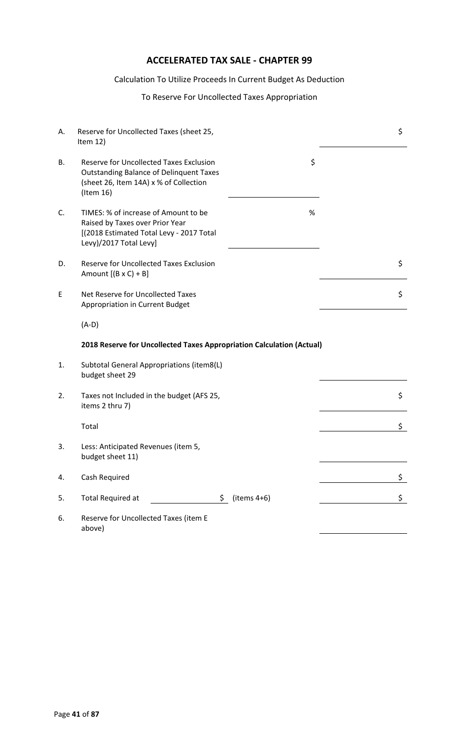# **ACCELERATED TAX SALE - CHAPTER 99**

#### Calculation To Utilize Proceeds In Current Budget As Deduction

#### To Reserve For Uncollected Taxes Appropriation

| А. | Reserve for Uncollected Taxes (sheet 25,<br>Item $12)$                                                                                                  |                 | \$ |
|----|---------------------------------------------------------------------------------------------------------------------------------------------------------|-----------------|----|
| В. | <b>Reserve for Uncollected Taxes Exclusion</b><br><b>Outstanding Balance of Delinquent Taxes</b><br>(sheet 26, Item 14A) x % of Collection<br>(Item 16) | \$              |    |
| C. | TIMES: % of increase of Amount to be<br>Raised by Taxes over Prior Year<br>[(2018 Estimated Total Levy - 2017 Total<br>Levy)/2017 Total Levy]           | $\%$            |    |
| D. | <b>Reserve for Uncollected Taxes Exclusion</b><br>Amount $[(B \times C) + B]$                                                                           |                 | \$ |
| E  | Net Reserve for Uncollected Taxes<br>Appropriation in Current Budget                                                                                    |                 | \$ |
|    | $(A-D)$                                                                                                                                                 |                 |    |
|    | 2018 Reserve for Uncollected Taxes Appropriation Calculation (Actual)                                                                                   |                 |    |
| 1. | Subtotal General Appropriations (item8(L)<br>budget sheet 29                                                                                            |                 |    |
| 2. | Taxes not Included in the budget (AFS 25,<br>items 2 thru 7)                                                                                            |                 | \$ |
|    | Total                                                                                                                                                   |                 | \$ |
| 3. | Less: Anticipated Revenues (item 5,<br>budget sheet 11)                                                                                                 |                 |    |
| 4. | Cash Required                                                                                                                                           |                 | \$ |
| 5. | <b>Total Required at</b>                                                                                                                                | $$$ (items 4+6) | \$ |
| 6. | Reserve for Uncollected Taxes (item E<br>above)                                                                                                         |                 |    |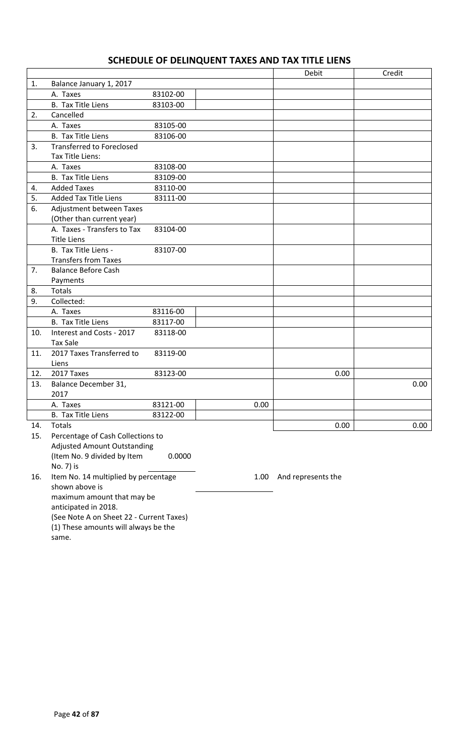# **SCHEDULE OF DELINQUENT TAXES AND TAX TITLE LIENS**

|     |                                    |          |      | Debit | Credit       |
|-----|------------------------------------|----------|------|-------|--------------|
| 1.  | Balance January 1, 2017            |          |      |       |              |
|     | A. Taxes                           | 83102-00 |      |       |              |
|     | <b>B.</b> Tax Title Liens          | 83103-00 |      |       |              |
| 2.  | Cancelled                          |          |      |       |              |
|     | A. Taxes                           | 83105-00 |      |       |              |
|     | <b>B.</b> Tax Title Liens          | 83106-00 |      |       |              |
| 3.  | <b>Transferred to Foreclosed</b>   |          |      |       |              |
|     | Tax Title Liens:                   |          |      |       |              |
|     | A. Taxes                           | 83108-00 |      |       |              |
|     | <b>B.</b> Tax Title Liens          | 83109-00 |      |       |              |
| 4.  | <b>Added Taxes</b>                 | 83110-00 |      |       |              |
| 5.  | <b>Added Tax Title Liens</b>       | 83111-00 |      |       |              |
| 6.  | Adjustment between Taxes           |          |      |       |              |
|     | (Other than current year)          |          |      |       |              |
|     | A. Taxes - Transfers to Tax        | 83104-00 |      |       |              |
|     | <b>Title Liens</b>                 |          |      |       |              |
|     | B. Tax Title Liens -               | 83107-00 |      |       |              |
|     | <b>Transfers from Taxes</b>        |          |      |       |              |
| 7.  | <b>Balance Before Cash</b>         |          |      |       |              |
|     | Payments                           |          |      |       |              |
| 8.  | Totals                             |          |      |       |              |
| 9.  | Collected:                         |          |      |       |              |
|     | A. Taxes                           | 83116-00 |      |       |              |
|     | <b>B.</b> Tax Title Liens          | 83117-00 |      |       |              |
| 10. | Interest and Costs - 2017          | 83118-00 |      |       |              |
|     | <b>Tax Sale</b>                    |          |      |       |              |
| 11. | 2017 Taxes Transferred to          | 83119-00 |      |       |              |
|     | Liens                              |          |      |       |              |
| 12. | 2017 Taxes                         | 83123-00 |      |       | 0.00         |
| 13. | Balance December 31,               |          |      |       | 0.00         |
|     | 2017                               |          |      |       |              |
|     | A. Taxes                           | 83121-00 | 0.00 |       |              |
|     | B. Tax Title Liens                 | 83122-00 |      |       |              |
| 14. | Totals                             |          |      |       | 0.00<br>0.00 |
| 15. | Percentage of Cash Collections to  |          |      |       |              |
|     | <b>Adjusted Amount Outstanding</b> |          |      |       |              |
|     | (Item No. 9 divided by Item        | 0.0000   |      |       |              |
|     | No. 7) is                          |          |      |       |              |

16. Item No. 14 multiplied by percentage shown above is 1.00 And represents the maximum amount that may be anticipated in 2018.

(See Note A on Sheet 22 - Current Taxes)

(1) These amounts will always be the

same.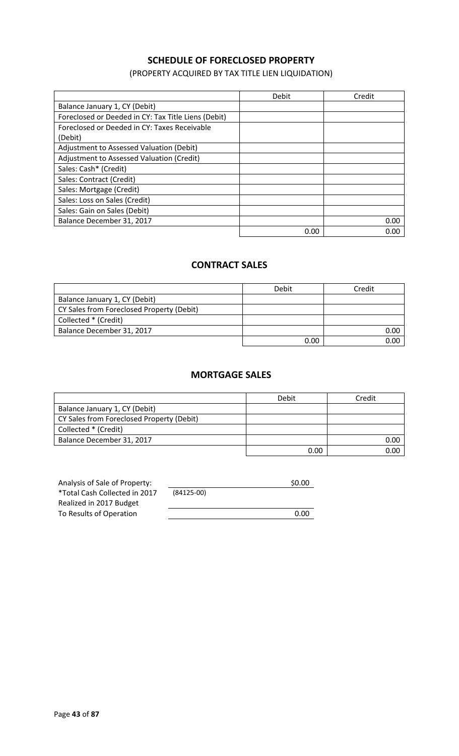### **SCHEDULE OF FORECLOSED PROPERTY**

(PROPERTY ACQUIRED BY TAX TITLE LIEN LIQUIDATION)

|                                                     | Debit | Credit |
|-----------------------------------------------------|-------|--------|
| Balance January 1, CY (Debit)                       |       |        |
| Foreclosed or Deeded in CY: Tax Title Liens (Debit) |       |        |
| Foreclosed or Deeded in CY: Taxes Receivable        |       |        |
| (Debit)                                             |       |        |
| Adjustment to Assessed Valuation (Debit)            |       |        |
| Adjustment to Assessed Valuation (Credit)           |       |        |
| Sales: Cash* (Credit)                               |       |        |
| Sales: Contract (Credit)                            |       |        |
| Sales: Mortgage (Credit)                            |       |        |
| Sales: Loss on Sales (Credit)                       |       |        |
| Sales: Gain on Sales (Debit)                        |       |        |
| Balance December 31, 2017                           |       | 0.00   |
|                                                     | 0.00  | 0.00   |

### **CONTRACT SALES**

|                                           | Debit | Credit |
|-------------------------------------------|-------|--------|
| Balance January 1, CY (Debit)             |       |        |
| CY Sales from Foreclosed Property (Debit) |       |        |
| Collected * (Credit)                      |       |        |
| Balance December 31, 2017                 |       | 0.00   |
|                                           | 0.00  | ገ በበ   |

#### **MORTGAGE SALES**

|                                           | Debit | Credit |
|-------------------------------------------|-------|--------|
| Balance January 1, CY (Debit)             |       |        |
| CY Sales from Foreclosed Property (Debit) |       |        |
| Collected * (Credit)                      |       |        |
| Balance December 31, 2017                 |       | 0.00   |
|                                           | 0.00  | 0.00   |

| Analysis of Sale of Property: |              | \$0.00 |
|-------------------------------|--------------|--------|
| *Total Cash Collected in 2017 | $(84125-00)$ |        |
| Realized in 2017 Budget       |              |        |
| To Results of Operation       |              | 0.00   |
|                               |              |        |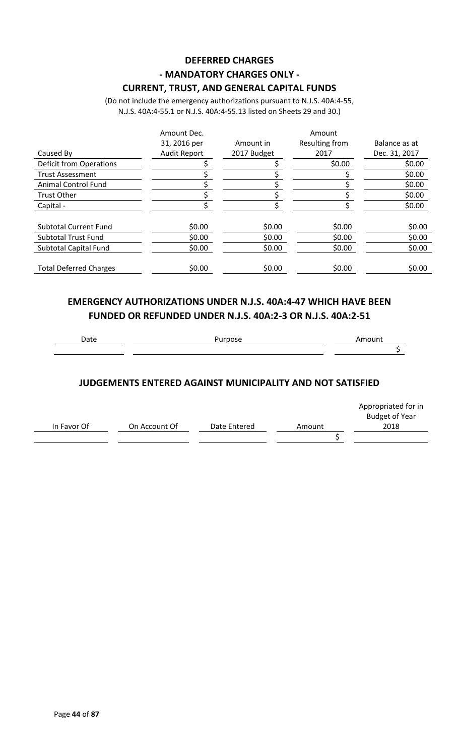# **DEFERRED CHARGES - MANDATORY CHARGES ONLY -**

**CURRENT, TRUST, AND GENERAL CAPITAL FUNDS**

(Do not include the emergency authorizations pursuant to N.J.S. 40A:4-55, N.J.S. 40A:4-55.1 or N.J.S. 40A:4-55.13 listed on Sheets 29 and 30.)

|                                | Amount Dec.         |             | Amount         |               |
|--------------------------------|---------------------|-------------|----------------|---------------|
|                                | 31, 2016 per        | Amount in   | Resulting from | Balance as at |
| Caused By                      | <b>Audit Report</b> | 2017 Budget | 2017           | Dec. 31, 2017 |
| <b>Deficit from Operations</b> |                     |             | \$0.00         | \$0.00        |
| <b>Trust Assessment</b>        |                     |             |                | \$0.00        |
| <b>Animal Control Fund</b>     |                     |             |                | \$0.00        |
| <b>Trust Other</b>             |                     |             |                | \$0.00        |
| Capital -                      |                     |             |                | \$0.00        |
| <b>Subtotal Current Fund</b>   | \$0.00              | \$0.00      | \$0.00         | \$0.00        |
| <b>Subtotal Trust Fund</b>     | \$0.00              | \$0.00      | \$0.00         | \$0.00        |
| Subtotal Capital Fund          | \$0.00              | \$0.00      | \$0.00         | \$0.00        |
| <b>Total Deferred Charges</b>  | \$0.00              | \$0.00      | \$0.00         | \$0.00        |

### **EMERGENCY AUTHORIZATIONS UNDER N.J.S. 40A:4-47 WHICH HAVE BEEN FUNDED OR REFUNDED UNDER N.J.S. 40A:2-3 OR N.J.S. 40A:2-51**

### **JUDGEMENTS ENTERED AGAINST MUNICIPALITY AND NOT SATISFIED**

|             |               |              |        | Appropriated for in<br><b>Budget of Year</b> |
|-------------|---------------|--------------|--------|----------------------------------------------|
| In Favor Of | On Account Of | Date Entered | Amount | 2018                                         |
|             |               |              |        |                                              |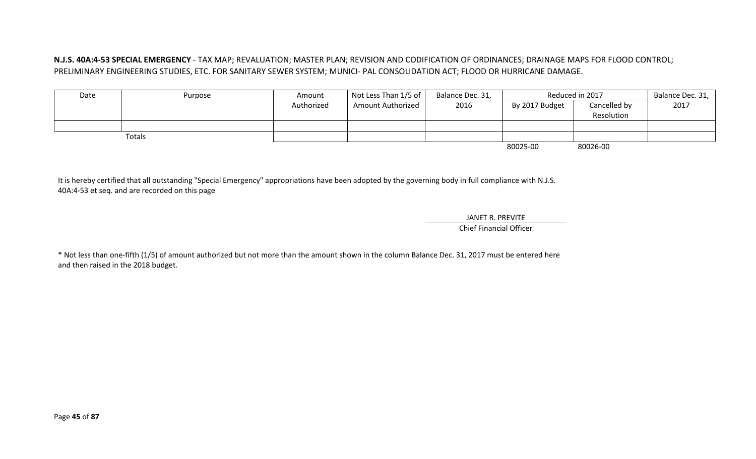#### **N.J.S. 40A:4-53 SPECIAL EMERGENCY** - TAX MAP; REVALUATION; MASTER PLAN; REVISION AND CODIFICATION OF ORDINANCES; DRAINAGE MAPS FOR FLOOD CONTROL; PRELIMINARY ENGINEERING STUDIES, ETC. FOR SANITARY SEWER SYSTEM; MUNICI- PAL CONSOLIDATION ACT; FLOOD OR HURRICANE DAMAGE.

| Date | Purpose | Amount     | Not Less Than $1/5$ of $\vert$ | Balance Dec. 31, |                | Reduced in 2017 | Balance Dec. 31, |
|------|---------|------------|--------------------------------|------------------|----------------|-----------------|------------------|
|      |         | Authorized | <b>Amount Authorized</b>       | 2016             | By 2017 Budget | Cancelled by    | 2017             |
|      |         |            |                                |                  |                | Resolution      |                  |
|      |         |            |                                |                  |                |                 |                  |
|      | Totals  |            |                                |                  |                |                 |                  |
|      |         |            |                                |                  | 80025-00       | 80026-00        |                  |

It is hereby certified that all outstanding "Special Emergency" appropriations have been adopted by the governing body in full compliance with N.J.S. 40A:4-53 et seq. and are recorded on this page

> JANET R. PREVITE Chief Financial Officer

\* Not less than one-fifth (1/5) of amount authorized but not more than the amount shown in the column Balance Dec. 31, 2017 must be entered here and then raised in the 2018 budget.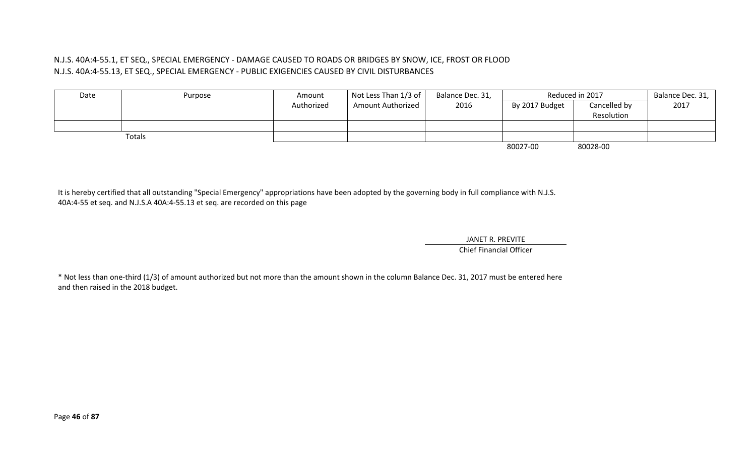#### N.J.S. 40A:4-55.1, ET SEQ., SPECIAL EMERGENCY - DAMAGE CAUSED TO ROADS OR BRIDGES BY SNOW, ICE, FROST OR FLOOD N.J.S. 40A:4-55.13, ET SEQ., SPECIAL EMERGENCY - PUBLIC EXIGENCIES CAUSED BY CIVIL DISTURBANCES

| Date | Purpose | Amount     | Not Less Than $1/3$ of $ $ | Balance Dec. 31, |                | Reduced in 2017 | Balance Dec. 31, |
|------|---------|------------|----------------------------|------------------|----------------|-----------------|------------------|
|      |         | Authorized | <b>Amount Authorized</b>   | 2016             | By 2017 Budget | Cancelled by    | 2017             |
|      |         |            |                            |                  |                | Resolution      |                  |
|      |         |            |                            |                  |                |                 |                  |
|      | Totals  |            |                            |                  |                |                 |                  |
|      |         |            |                            |                  | 80027-00       | 80028-00        |                  |

It is hereby certified that all outstanding "Special Emergency" appropriations have been adopted by the governing body in full compliance with N.J.S. 40A:4-55 et seq. and N.J.S.A 40A:4-55.13 et seq. are recorded on this page

> JANET R. PREVITE Chief Financial Officer

\* Not less than one-third (1/3) of amount authorized but not more than the amount shown in the column Balance Dec. 31, 2017 must be entered here and then raised in the 2018 budget.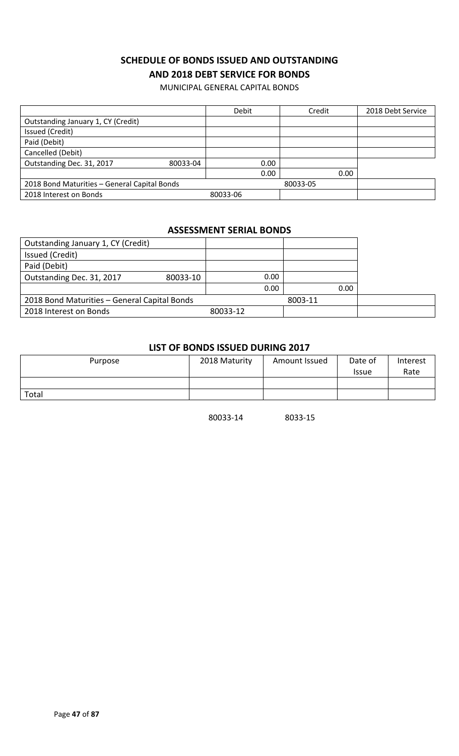### **SCHEDULE OF BONDS ISSUED AND OUTSTANDING AND 2018 DEBT SERVICE FOR BONDS**

MUNICIPAL GENERAL CAPITAL BONDS

|                                              | Debit    | Credit   | 2018 Debt Service |
|----------------------------------------------|----------|----------|-------------------|
| Outstanding January 1, CY (Credit)           |          |          |                   |
| Issued (Credit)                              |          |          |                   |
| Paid (Debit)                                 |          |          |                   |
| Cancelled (Debit)                            |          |          |                   |
| Outstanding Dec. 31, 2017<br>80033-04        | 0.00     |          |                   |
|                                              | 0.00     | 0.00     |                   |
| 2018 Bond Maturities - General Capital Bonds |          | 80033-05 |                   |
| 2018 Interest on Bonds                       | 80033-06 |          |                   |

#### **ASSESSMENT SERIAL BONDS**

| Outstanding January 1, CY (Credit)           |          |          |         |  |
|----------------------------------------------|----------|----------|---------|--|
| Issued (Credit)                              |          |          |         |  |
| Paid (Debit)                                 |          |          |         |  |
| Outstanding Dec. 31, 2017                    | 80033-10 | 0.00     |         |  |
|                                              |          | 0.00     | 0.00    |  |
| 2018 Bond Maturities - General Capital Bonds |          |          | 8003-11 |  |
| 2018 Interest on Bonds                       |          | 80033-12 |         |  |

#### **LIST OF BONDS ISSUED DURING 2017**

| Purpose | 2018 Maturity | Amount Issued | Date of<br><b>Issue</b> | Interest<br>Rate |
|---------|---------------|---------------|-------------------------|------------------|
|         |               |               |                         |                  |
| Total   |               |               |                         |                  |

80033-14 8033-15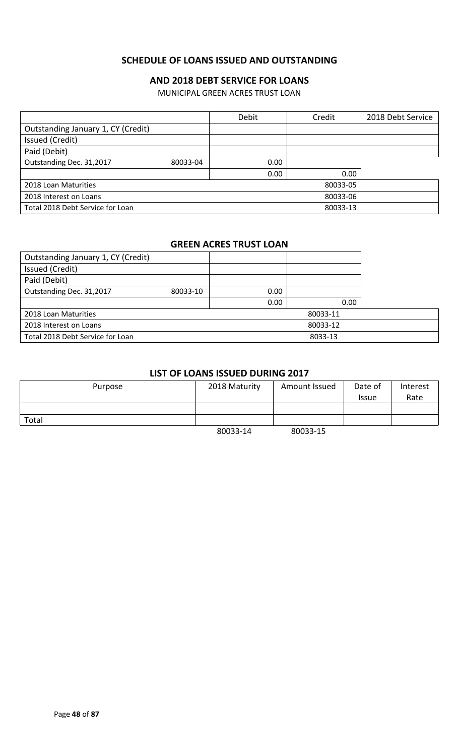### **SCHEDULE OF LOANS ISSUED AND OUTSTANDING**

### **AND 2018 DEBT SERVICE FOR LOANS**

MUNICIPAL GREEN ACRES TRUST LOAN

|                                    |          | Debit | Credit   | 2018 Debt Service |
|------------------------------------|----------|-------|----------|-------------------|
| Outstanding January 1, CY (Credit) |          |       |          |                   |
| Issued (Credit)                    |          |       |          |                   |
| Paid (Debit)                       |          |       |          |                   |
| Outstanding Dec. 31,2017           | 80033-04 | 0.00  |          |                   |
|                                    |          | 0.00  | 0.00     |                   |
| 2018 Loan Maturities               |          |       | 80033-05 |                   |
| 2018 Interest on Loans             |          |       | 80033-06 |                   |
| Total 2018 Debt Service for Loan   |          |       | 80033-13 |                   |

### **GREEN ACRES TRUST LOAN**

| Outstanding January 1, CY (Credit) |          |      |          |  |
|------------------------------------|----------|------|----------|--|
| Issued (Credit)                    |          |      |          |  |
| Paid (Debit)                       |          |      |          |  |
| Outstanding Dec. 31,2017           | 80033-10 | 0.00 |          |  |
|                                    |          | 0.00 | 0.00     |  |
| 2018 Loan Maturities               |          |      | 80033-11 |  |
| 2018 Interest on Loans             |          |      | 80033-12 |  |
| Total 2018 Debt Service for Loan   |          |      | 8033-13  |  |

### **LIST OF LOANS ISSUED DURING 2017**

| Purpose | 2018 Maturity | Amount Issued | Date of<br><b>Issue</b> | Interest<br>Rate |
|---------|---------------|---------------|-------------------------|------------------|
|         |               |               |                         |                  |
| Total   |               |               |                         |                  |
|         | 80033-14      | 80033-15      |                         |                  |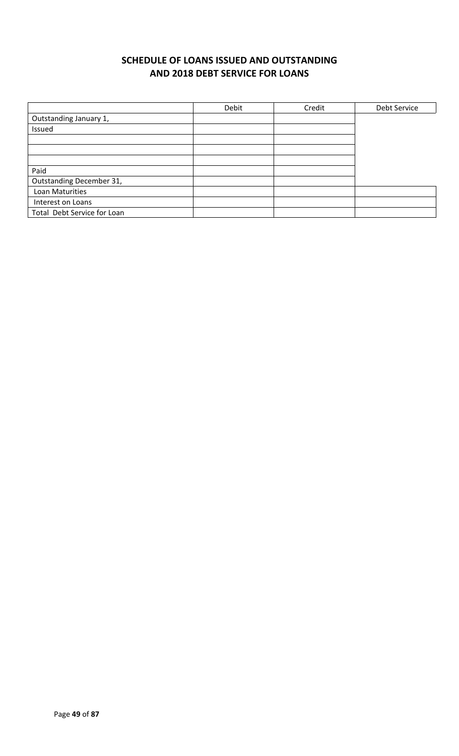# **SCHEDULE OF LOANS ISSUED AND OUTSTANDING AND 2018 DEBT SERVICE FOR LOANS**

|                             | Debit | Credit | Debt Service |
|-----------------------------|-------|--------|--------------|
| Outstanding January 1,      |       |        |              |
| Issued                      |       |        |              |
|                             |       |        |              |
|                             |       |        |              |
|                             |       |        |              |
| Paid                        |       |        |              |
| Outstanding December 31,    |       |        |              |
| Loan Maturities             |       |        |              |
| Interest on Loans           |       |        |              |
| Total Debt Service for Loan |       |        |              |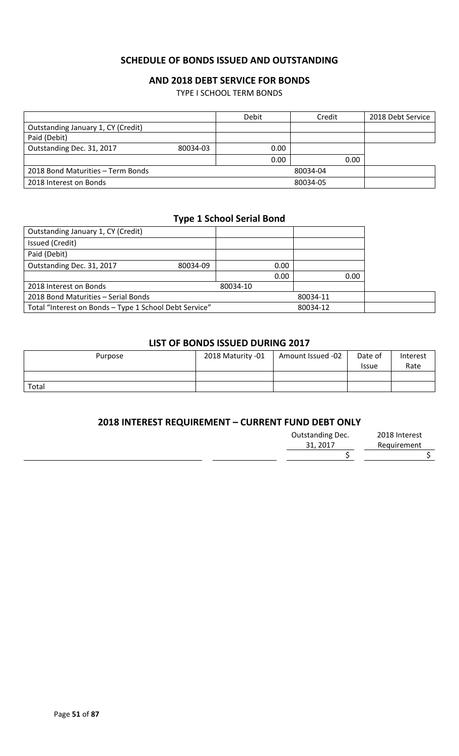#### **SCHEDULE OF BONDS ISSUED AND OUTSTANDING**

#### **AND 2018 DEBT SERVICE FOR BONDS**

TYPE I SCHOOL TERM BONDS

|                                    |          | Debit | Credit   | 2018 Debt Service |
|------------------------------------|----------|-------|----------|-------------------|
| Outstanding January 1, CY (Credit) |          |       |          |                   |
| Paid (Debit)                       |          |       |          |                   |
| Outstanding Dec. 31, 2017          | 80034-03 | 0.00  |          |                   |
|                                    |          | 0.00  | 0.00     |                   |
| 2018 Bond Maturities - Term Bonds  |          |       | 80034-04 |                   |
| 2018 Interest on Bonds             |          |       | 80034-05 |                   |

#### **Type 1 School Serial Bond**

| Outstanding January 1, CY (Credit)                     |          |          |      |          |      |  |
|--------------------------------------------------------|----------|----------|------|----------|------|--|
| Issued (Credit)                                        |          |          |      |          |      |  |
| Paid (Debit)                                           |          |          |      |          |      |  |
| Outstanding Dec. 31, 2017                              | 80034-09 |          | 0.00 |          |      |  |
|                                                        |          |          | 0.00 |          | 0.00 |  |
| 2018 Interest on Bonds                                 |          | 80034-10 |      |          |      |  |
| 2018 Bond Maturities - Serial Bonds                    |          |          |      | 80034-11 |      |  |
| Total "Interest on Bonds - Type 1 School Debt Service" |          |          |      | 80034-12 |      |  |

#### **LIST OF BONDS ISSUED DURING 2017**

| Purpose | 2018 Maturity -01 | Amount Issued -02 | Date of<br><b>Issue</b> | Interest<br>Rate |
|---------|-------------------|-------------------|-------------------------|------------------|
|         |                   |                   |                         |                  |
| Total   |                   |                   |                         |                  |

### **2018 INTEREST REQUIREMENT – CURRENT FUND DEBT ONLY**

| <b>Outstanding Dec.</b> | 2018 Interest |
|-------------------------|---------------|
| 31, 2017                | Requirement   |
|                         |               |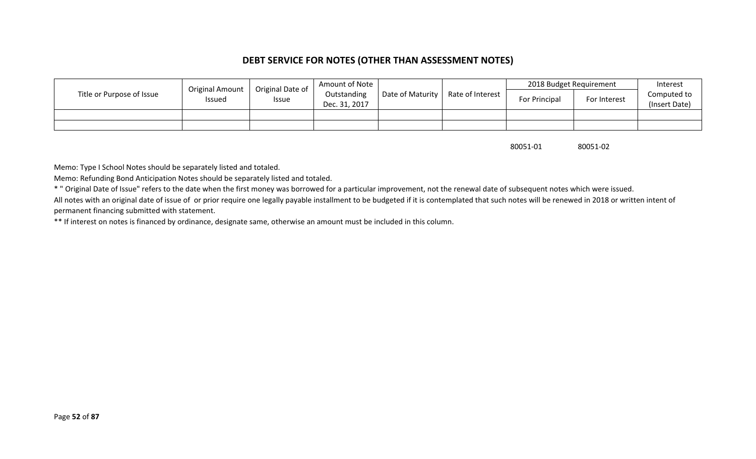### **DEBT SERVICE FOR NOTES (OTHER THAN ASSESSMENT NOTES)**

|                           |                                         | Original Date of | Amount of Note               |                          |                  | 2018 Budget Requirement |              | Interest                     |
|---------------------------|-----------------------------------------|------------------|------------------------------|--------------------------|------------------|-------------------------|--------------|------------------------------|
| Title or Purpose of Issue | <b>Original Amount</b><br><b>Issued</b> | <b>Issue</b>     | Outstanding<br>Dec. 31, 2017 | Date of Maturity $\vert$ | Rate of Interest | For Principal           | For Interest | Computed to<br>(Insert Date) |
|                           |                                         |                  |                              |                          |                  |                         |              |                              |
|                           |                                         |                  |                              |                          |                  |                         |              |                              |

80051-01 80051-02

Memo: Type I School Notes should be separately listed and totaled.

Memo: Refunding Bond Anticipation Notes should be separately listed and totaled.

\* " Original Date of Issue" refers to the date when the first money was borrowed for a particular improvement, not the renewal date of subsequent notes which were issued.

All notes with an original date of issue of or prior require one legally payable installment to be budgeted if it is contemplated that such notes will be renewed in 2018 or written intent of permanent financing submitted with statement.

\*\* If interest on notes is financed by ordinance, designate same, otherwise an amount must be included in this column.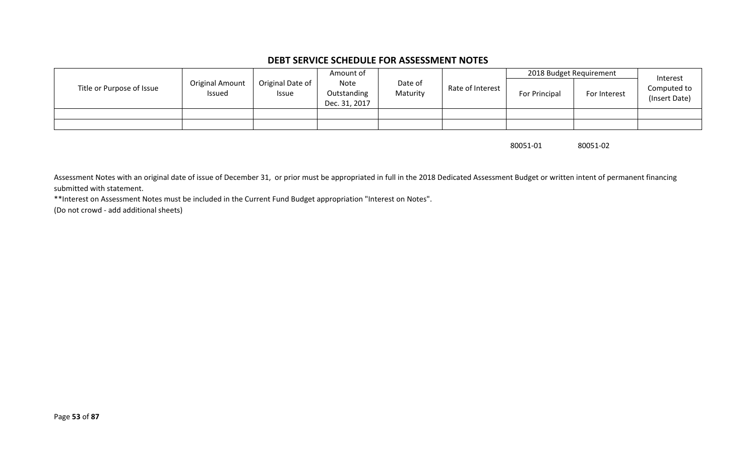#### **DEBT SERVICE SCHEDULE FOR ASSESSMENT NOTES**

|                           |                           |                           | Amount of                            |                     |                  | 2018 Budget Requirement |              | Interest                     |
|---------------------------|---------------------------|---------------------------|--------------------------------------|---------------------|------------------|-------------------------|--------------|------------------------------|
| Title or Purpose of Issue | Original Amount<br>Issued | Original Date of<br>Issue | Note<br>Outstanding<br>Dec. 31, 2017 | Date of<br>Maturity | Rate of Interest | For Principal           | For Interest | Computed to<br>(Insert Date) |
|                           |                           |                           |                                      |                     |                  |                         |              |                              |
|                           |                           |                           |                                      |                     |                  |                         |              |                              |

80051-01 80051-02

Assessment Notes with an original date of issue of December 31, or prior must be appropriated in full in the 2018 Dedicated Assessment Budget or written intent of permanent financing submitted with statement.

\*\*Interest on Assessment Notes must be included in the Current Fund Budget appropriation "Interest on Notes".

(Do not crowd - add additional sheets)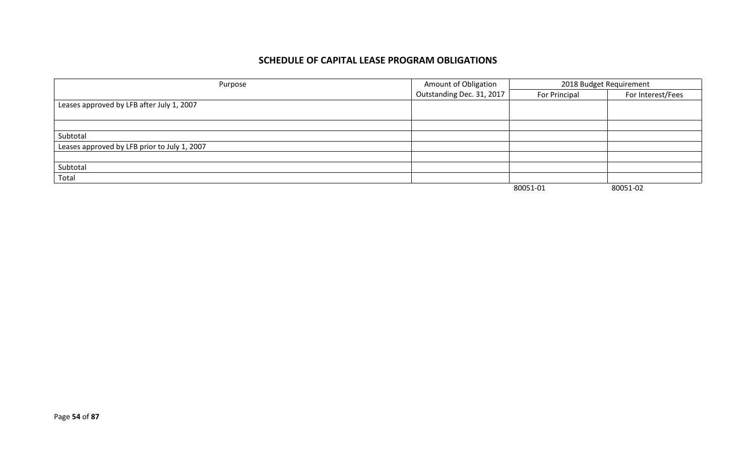### **SCHEDULE OF CAPITAL LEASE PROGRAM OBLIGATIONS**

| Purpose                                      | Amount of Obligation      | 2018 Budget Requirement |                   |  |
|----------------------------------------------|---------------------------|-------------------------|-------------------|--|
|                                              | Outstanding Dec. 31, 2017 | For Principal           | For Interest/Fees |  |
| Leases approved by LFB after July 1, 2007    |                           |                         |                   |  |
|                                              |                           |                         |                   |  |
|                                              |                           |                         |                   |  |
| Subtotal                                     |                           |                         |                   |  |
| Leases approved by LFB prior to July 1, 2007 |                           |                         |                   |  |
|                                              |                           |                         |                   |  |
| Subtotal                                     |                           |                         |                   |  |
| Total                                        |                           |                         |                   |  |
|                                              |                           | 80051-01                | 80051-02          |  |

Page **54** of **87**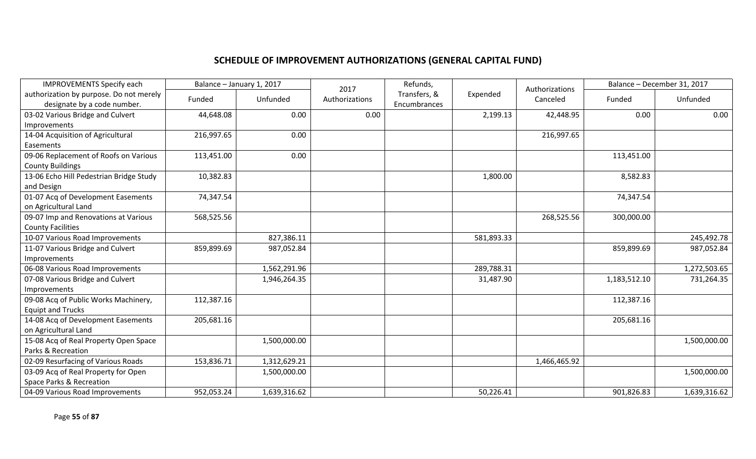# **SCHEDULE OF IMPROVEMENT AUTHORIZATIONS (GENERAL CAPITAL FUND)**

| <b>IMPROVEMENTS Specify each</b>        | Balance - January 1, 2017 |              | 2017           | Refunds,     |            | Authorizations |              | Balance - December 31, 2017 |
|-----------------------------------------|---------------------------|--------------|----------------|--------------|------------|----------------|--------------|-----------------------------|
| authorization by purpose. Do not merely | Funded                    | Unfunded     | Authorizations | Transfers, & | Expended   | Canceled       | Funded       | Unfunded                    |
| designate by a code number.             |                           |              |                | Encumbrances |            |                |              |                             |
| 03-02 Various Bridge and Culvert        | 44,648.08                 | 0.00         | 0.00           |              | 2,199.13   | 42,448.95      | 0.00         | 0.00                        |
| Improvements                            |                           |              |                |              |            |                |              |                             |
| 14-04 Acquisition of Agricultural       | 216,997.65                | 0.00         |                |              |            | 216,997.65     |              |                             |
| Easements                               |                           |              |                |              |            |                |              |                             |
| 09-06 Replacement of Roofs on Various   | 113,451.00                | 0.00         |                |              |            |                | 113,451.00   |                             |
| <b>County Buildings</b>                 |                           |              |                |              |            |                |              |                             |
| 13-06 Echo Hill Pedestrian Bridge Study | 10,382.83                 |              |                |              | 1,800.00   |                | 8,582.83     |                             |
| and Design                              |                           |              |                |              |            |                |              |                             |
| 01-07 Acq of Development Easements      | 74,347.54                 |              |                |              |            |                | 74,347.54    |                             |
| on Agricultural Land                    |                           |              |                |              |            |                |              |                             |
| 09-07 Imp and Renovations at Various    | 568,525.56                |              |                |              |            | 268,525.56     | 300,000.00   |                             |
| <b>County Facilities</b>                |                           |              |                |              |            |                |              |                             |
| 10-07 Various Road Improvements         |                           | 827,386.11   |                |              | 581,893.33 |                |              | 245,492.78                  |
| 11-07 Various Bridge and Culvert        | 859,899.69                | 987,052.84   |                |              |            |                | 859,899.69   | 987,052.84                  |
| <b>Improvements</b>                     |                           |              |                |              |            |                |              |                             |
| 06-08 Various Road Improvements         |                           | 1,562,291.96 |                |              | 289,788.31 |                |              | 1,272,503.65                |
| 07-08 Various Bridge and Culvert        |                           | 1,946,264.35 |                |              | 31,487.90  |                | 1,183,512.10 | 731,264.35                  |
| Improvements                            |                           |              |                |              |            |                |              |                             |
| 09-08 Acq of Public Works Machinery,    | 112,387.16                |              |                |              |            |                | 112,387.16   |                             |
| <b>Equipt and Trucks</b>                |                           |              |                |              |            |                |              |                             |
| 14-08 Acq of Development Easements      | 205,681.16                |              |                |              |            |                | 205,681.16   |                             |
| on Agricultural Land                    |                           |              |                |              |            |                |              |                             |
| 15-08 Acq of Real Property Open Space   |                           | 1,500,000.00 |                |              |            |                |              | 1,500,000.00                |
| Parks & Recreation                      |                           |              |                |              |            |                |              |                             |
| 02-09 Resurfacing of Various Roads      | 153,836.71                | 1,312,629.21 |                |              |            | 1,466,465.92   |              |                             |
| 03-09 Acq of Real Property for Open     |                           | 1,500,000.00 |                |              |            |                |              | 1,500,000.00                |
| Space Parks & Recreation                |                           |              |                |              |            |                |              |                             |
| 04-09 Various Road Improvements         | 952,053.24                | 1,639,316.62 |                |              | 50,226.41  |                | 901,826.83   | 1,639,316.62                |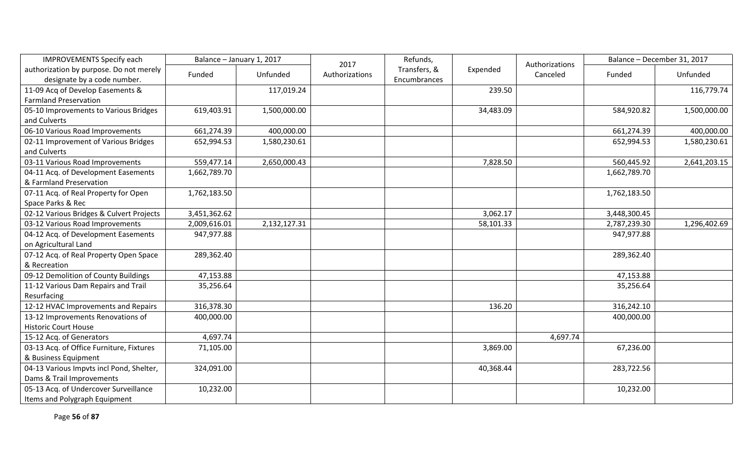| <b>IMPROVEMENTS Specify each</b>         | Balance - January 1, 2017 |              | 2017           | Refunds,     |           | Authorizations |              | Balance - December 31, 2017 |
|------------------------------------------|---------------------------|--------------|----------------|--------------|-----------|----------------|--------------|-----------------------------|
| authorization by purpose. Do not merely  | Funded                    | Unfunded     | Authorizations | Transfers, & | Expended  | Canceled       | Funded       | Unfunded                    |
| designate by a code number.              |                           |              |                | Encumbrances |           |                |              |                             |
| 11-09 Acq of Develop Easements &         |                           | 117,019.24   |                |              | 239.50    |                |              | 116,779.74                  |
| <b>Farmland Preservation</b>             |                           |              |                |              |           |                |              |                             |
| 05-10 Improvements to Various Bridges    | 619,403.91                | 1,500,000.00 |                |              | 34,483.09 |                | 584,920.82   | 1,500,000.00                |
| and Culverts                             |                           |              |                |              |           |                |              |                             |
| 06-10 Various Road Improvements          | 661,274.39                | 400,000.00   |                |              |           |                | 661,274.39   | 400,000.00                  |
| 02-11 Improvement of Various Bridges     | 652,994.53                | 1,580,230.61 |                |              |           |                | 652,994.53   | 1,580,230.61                |
| and Culverts                             |                           |              |                |              |           |                |              |                             |
| 03-11 Various Road Improvements          | 559,477.14                | 2,650,000.43 |                |              | 7,828.50  |                | 560,445.92   | 2,641,203.15                |
| 04-11 Acq. of Development Easements      | 1,662,789.70              |              |                |              |           |                | 1,662,789.70 |                             |
| & Farmland Preservation                  |                           |              |                |              |           |                |              |                             |
| 07-11 Acq. of Real Property for Open     | 1,762,183.50              |              |                |              |           |                | 1,762,183.50 |                             |
| Space Parks & Rec                        |                           |              |                |              |           |                |              |                             |
| 02-12 Various Bridges & Culvert Projects | 3,451,362.62              |              |                |              | 3,062.17  |                | 3,448,300.45 |                             |
| 03-12 Various Road Improvements          | 2,009,616.01              | 2,132,127.31 |                |              | 58,101.33 |                | 2,787,239.30 | 1,296,402.69                |
| 04-12 Acq. of Development Easements      | 947,977.88                |              |                |              |           |                | 947,977.88   |                             |
| on Agricultural Land                     |                           |              |                |              |           |                |              |                             |
| 07-12 Acq. of Real Property Open Space   | 289,362.40                |              |                |              |           |                | 289,362.40   |                             |
| & Recreation                             |                           |              |                |              |           |                |              |                             |
| 09-12 Demolition of County Buildings     | 47,153.88                 |              |                |              |           |                | 47,153.88    |                             |
| 11-12 Various Dam Repairs and Trail      | 35,256.64                 |              |                |              |           |                | 35,256.64    |                             |
| Resurfacing                              |                           |              |                |              |           |                |              |                             |
| 12-12 HVAC Improvements and Repairs      | 316,378.30                |              |                |              | 136.20    |                | 316,242.10   |                             |
| 13-12 Improvements Renovations of        | 400,000.00                |              |                |              |           |                | 400,000.00   |                             |
| <b>Historic Court House</b>              |                           |              |                |              |           |                |              |                             |
| 15-12 Acq. of Generators                 | 4,697.74                  |              |                |              |           | 4,697.74       |              |                             |
| 03-13 Acq. of Office Furniture, Fixtures | 71,105.00                 |              |                |              | 3,869.00  |                | 67,236.00    |                             |
| & Business Equipment                     |                           |              |                |              |           |                |              |                             |
| 04-13 Various Impvts incl Pond, Shelter, | 324,091.00                |              |                |              | 40,368.44 |                | 283,722.56   |                             |
| Dams & Trail Improvements                |                           |              |                |              |           |                |              |                             |
| 05-13 Acq. of Undercover Surveillance    | 10,232.00                 |              |                |              |           |                | 10,232.00    |                             |
| Items and Polygraph Equipment            |                           |              |                |              |           |                |              |                             |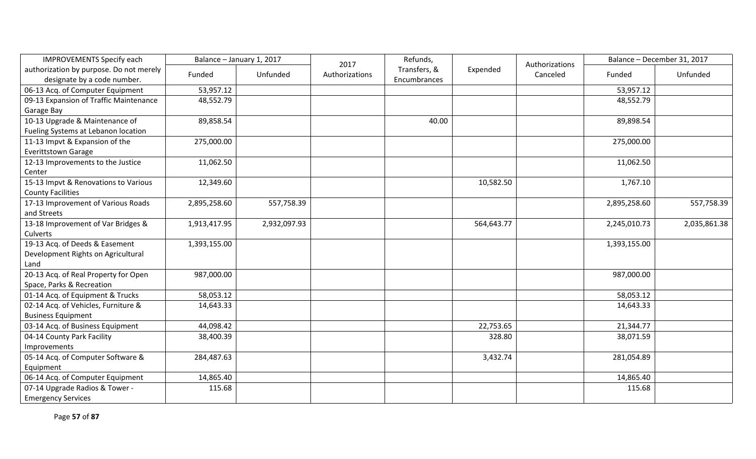| <b>IMPROVEMENTS Specify each</b>                                       | Balance - January 1, 2017 |              | 2017           | Refunds,                     |            | Authorizations |              | Balance - December 31, 2017 |
|------------------------------------------------------------------------|---------------------------|--------------|----------------|------------------------------|------------|----------------|--------------|-----------------------------|
| authorization by purpose. Do not merely<br>designate by a code number. | Funded                    | Unfunded     | Authorizations | Transfers, &<br>Encumbrances | Expended   | Canceled       | Funded       | Unfunded                    |
| 06-13 Acq. of Computer Equipment                                       | 53,957.12                 |              |                |                              |            |                | 53,957.12    |                             |
| 09-13 Expansion of Traffic Maintenance                                 | 48,552.79                 |              |                |                              |            |                | 48,552.79    |                             |
| Garage Bay                                                             |                           |              |                |                              |            |                |              |                             |
| 10-13 Upgrade & Maintenance of                                         | 89,858.54                 |              |                | 40.00                        |            |                | 89,898.54    |                             |
| Fueling Systems at Lebanon location                                    |                           |              |                |                              |            |                |              |                             |
| 11-13 Impvt & Expansion of the                                         | 275,000.00                |              |                |                              |            |                | 275,000.00   |                             |
| <b>Everittstown Garage</b>                                             |                           |              |                |                              |            |                |              |                             |
| 12-13 Improvements to the Justice                                      | 11,062.50                 |              |                |                              |            |                | 11,062.50    |                             |
| Center                                                                 |                           |              |                |                              |            |                |              |                             |
| 15-13 Impvt & Renovations to Various                                   | 12,349.60                 |              |                |                              | 10,582.50  |                | 1,767.10     |                             |
| <b>County Facilities</b>                                               |                           |              |                |                              |            |                |              |                             |
| 17-13 Improvement of Various Roads                                     | 2,895,258.60              | 557,758.39   |                |                              |            |                | 2,895,258.60 | 557,758.39                  |
| and Streets                                                            |                           |              |                |                              |            |                |              |                             |
| 13-18 Improvement of Var Bridges &                                     | 1,913,417.95              | 2,932,097.93 |                |                              | 564,643.77 |                | 2,245,010.73 | 2,035,861.38                |
| Culverts                                                               |                           |              |                |                              |            |                |              |                             |
| 19-13 Acq. of Deeds & Easement                                         | 1,393,155.00              |              |                |                              |            |                | 1,393,155.00 |                             |
| Development Rights on Agricultural                                     |                           |              |                |                              |            |                |              |                             |
| Land                                                                   |                           |              |                |                              |            |                |              |                             |
| 20-13 Acq. of Real Property for Open                                   | 987,000.00                |              |                |                              |            |                | 987,000.00   |                             |
| Space, Parks & Recreation                                              |                           |              |                |                              |            |                |              |                             |
| 01-14 Acq. of Equipment & Trucks                                       | 58,053.12                 |              |                |                              |            |                | 58,053.12    |                             |
| 02-14 Acq. of Vehicles, Furniture &                                    | 14,643.33                 |              |                |                              |            |                | 14,643.33    |                             |
| <b>Business Equipment</b>                                              |                           |              |                |                              |            |                |              |                             |
| 03-14 Acq. of Business Equipment                                       | 44,098.42                 |              |                |                              | 22,753.65  |                | 21,344.77    |                             |
| 04-14 County Park Facility                                             | 38,400.39                 |              |                |                              | 328.80     |                | 38,071.59    |                             |
| Improvements                                                           |                           |              |                |                              |            |                |              |                             |
| 05-14 Acq. of Computer Software &                                      | 284,487.63                |              |                |                              | 3,432.74   |                | 281,054.89   |                             |
| Equipment                                                              |                           |              |                |                              |            |                |              |                             |
| 06-14 Acq. of Computer Equipment                                       | 14,865.40                 |              |                |                              |            |                | 14,865.40    |                             |
| 07-14 Upgrade Radios & Tower -                                         | 115.68                    |              |                |                              |            |                | 115.68       |                             |
| <b>Emergency Services</b>                                              |                           |              |                |                              |            |                |              |                             |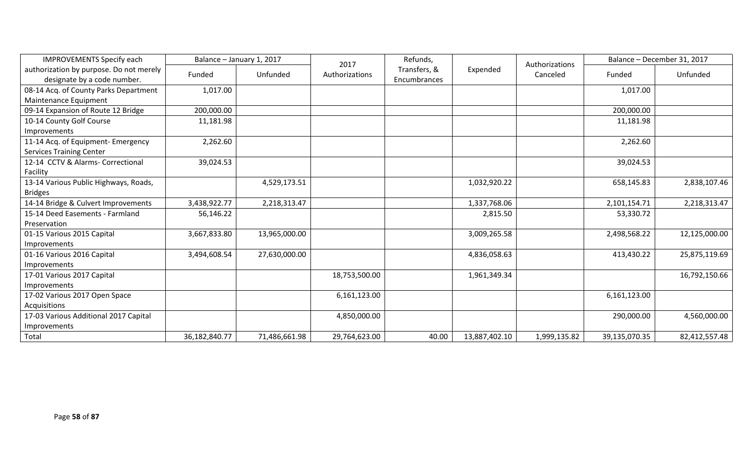| <b>IMPROVEMENTS Specify each</b>        | Balance - January 1, 2017 |               | 2017           | Refunds,     |               | Authorizations |               | Balance - December 31, 2017 |
|-----------------------------------------|---------------------------|---------------|----------------|--------------|---------------|----------------|---------------|-----------------------------|
| authorization by purpose. Do not merely | Funded                    | Unfunded      | Authorizations | Transfers, & | Expended      | Canceled       | Funded        | Unfunded                    |
| designate by a code number.             |                           |               |                | Encumbrances |               |                |               |                             |
| 08-14 Acq. of County Parks Department   | 1,017.00                  |               |                |              |               |                | 1,017.00      |                             |
| Maintenance Equipment                   |                           |               |                |              |               |                |               |                             |
| 09-14 Expansion of Route 12 Bridge      | 200,000.00                |               |                |              |               |                | 200,000.00    |                             |
| 10-14 County Golf Course                | 11,181.98                 |               |                |              |               |                | 11,181.98     |                             |
| Improvements                            |                           |               |                |              |               |                |               |                             |
| 11-14 Acq. of Equipment- Emergency      | 2,262.60                  |               |                |              |               |                | 2,262.60      |                             |
| <b>Services Training Center</b>         |                           |               |                |              |               |                |               |                             |
| 12-14 CCTV & Alarms- Correctional       | 39,024.53                 |               |                |              |               |                | 39,024.53     |                             |
| Facility                                |                           |               |                |              |               |                |               |                             |
| 13-14 Various Public Highways, Roads,   |                           | 4,529,173.51  |                |              | 1,032,920.22  |                | 658,145.83    | 2,838,107.46                |
| <b>Bridges</b>                          |                           |               |                |              |               |                |               |                             |
| 14-14 Bridge & Culvert Improvements     | 3,438,922.77              | 2,218,313.47  |                |              | 1,337,768.06  |                | 2,101,154.71  | 2,218,313.47                |
| 15-14 Deed Easements - Farmland         | 56,146.22                 |               |                |              | 2,815.50      |                | 53,330.72     |                             |
| Preservation                            |                           |               |                |              |               |                |               |                             |
| 01-15 Various 2015 Capital              | 3,667,833.80              | 13,965,000.00 |                |              | 3,009,265.58  |                | 2,498,568.22  | 12,125,000.00               |
| Improvements                            |                           |               |                |              |               |                |               |                             |
| 01-16 Various 2016 Capital              | 3,494,608.54              | 27,630,000.00 |                |              | 4,836,058.63  |                | 413,430.22    | 25,875,119.69               |
| Improvements                            |                           |               |                |              |               |                |               |                             |
| 17-01 Various 2017 Capital              |                           |               | 18,753,500.00  |              | 1,961,349.34  |                |               | 16,792,150.66               |
| Improvements                            |                           |               |                |              |               |                |               |                             |
| 17-02 Various 2017 Open Space           |                           |               | 6,161,123.00   |              |               |                | 6,161,123.00  |                             |
| <b>Acquisitions</b>                     |                           |               |                |              |               |                |               |                             |
| 17-03 Various Additional 2017 Capital   |                           |               | 4,850,000.00   |              |               |                | 290,000.00    | 4,560,000.00                |
| Improvements                            |                           |               |                |              |               |                |               |                             |
| Total                                   | 36,182,840.77             | 71,486,661.98 | 29,764,623.00  | 40.00        | 13,887,402.10 | 1,999,135.82   | 39,135,070.35 | 82,412,557.48               |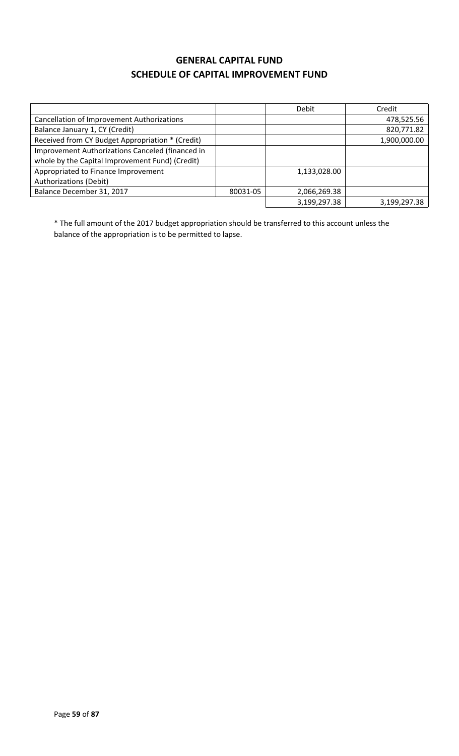### **GENERAL CAPITAL FUND SCHEDULE OF CAPITAL IMPROVEMENT FUND**

|                                                  |          | <b>Debit</b> | Credit       |
|--------------------------------------------------|----------|--------------|--------------|
| Cancellation of Improvement Authorizations       |          |              | 478,525.56   |
| Balance January 1, CY (Credit)                   |          |              | 820,771.82   |
| Received from CY Budget Appropriation * (Credit) |          |              | 1,900,000.00 |
| Improvement Authorizations Canceled (financed in |          |              |              |
| whole by the Capital Improvement Fund) (Credit)  |          |              |              |
| Appropriated to Finance Improvement              |          | 1,133,028.00 |              |
| Authorizations (Debit)                           |          |              |              |
| Balance December 31, 2017                        | 80031-05 | 2,066,269.38 |              |
|                                                  |          | 3,199,297.38 | 3,199,297.38 |

\* The full amount of the 2017 budget appropriation should be transferred to this account unless the balance of the appropriation is to be permitted to lapse.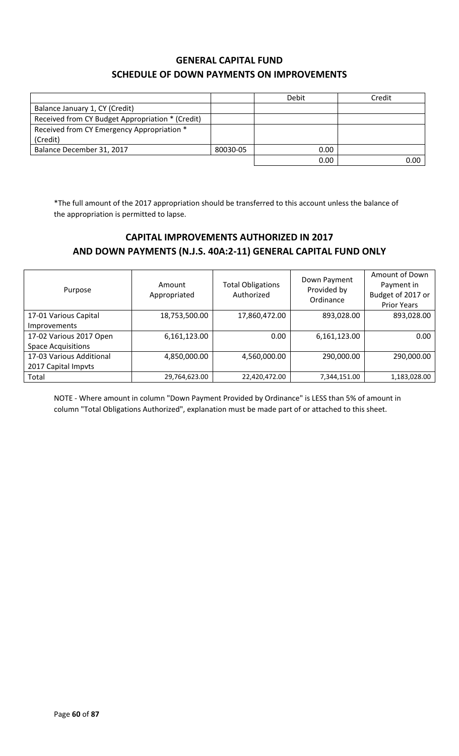### **GENERAL CAPITAL FUND SCHEDULE OF DOWN PAYMENTS ON IMPROVEMENTS**

|                                                  |          | <b>Debit</b> | Credit |
|--------------------------------------------------|----------|--------------|--------|
| Balance January 1, CY (Credit)                   |          |              |        |
| Received from CY Budget Appropriation * (Credit) |          |              |        |
| Received from CY Emergency Appropriation *       |          |              |        |
| (Credit)                                         |          |              |        |
| Balance December 31, 2017                        | 80030-05 | 0.00         |        |
|                                                  |          | 0.00         | 0.00   |

\*The full amount of the 2017 appropriation should be transferred to this account unless the balance of the appropriation is permitted to lapse.

### **CAPITAL IMPROVEMENTS AUTHORIZED IN 2017 AND DOWN PAYMENTS (N.J.S. 40A:2-11) GENERAL CAPITAL FUND ONLY**

| Purpose                   | Amount<br>Appropriated | <b>Total Obligations</b><br>Authorized | Down Payment<br>Provided by<br>Ordinance | Amount of Down<br>Payment in<br>Budget of 2017 or<br><b>Prior Years</b> |
|---------------------------|------------------------|----------------------------------------|------------------------------------------|-------------------------------------------------------------------------|
| 17-01 Various Capital     | 18,753,500.00          | 17,860,472.00                          | 893,028.00                               | 893,028.00                                                              |
| Improvements              |                        |                                        |                                          |                                                                         |
| 17-02 Various 2017 Open   | 6,161,123.00           | 0.00                                   | 6,161,123.00                             | 0.00                                                                    |
| <b>Space Acquisitions</b> |                        |                                        |                                          |                                                                         |
| 17-03 Various Additional  | 4,850,000.00           | 4,560,000.00                           | 290,000.00                               | 290,000.00                                                              |
| 2017 Capital Impvts       |                        |                                        |                                          |                                                                         |
| Total                     | 29,764,623.00          | 22,420,472.00                          | 7,344,151.00                             | 1,183,028.00                                                            |

NOTE - Where amount in column "Down Payment Provided by Ordinance" is LESS than 5% of amount in column "Total Obligations Authorized", explanation must be made part of or attached to this sheet.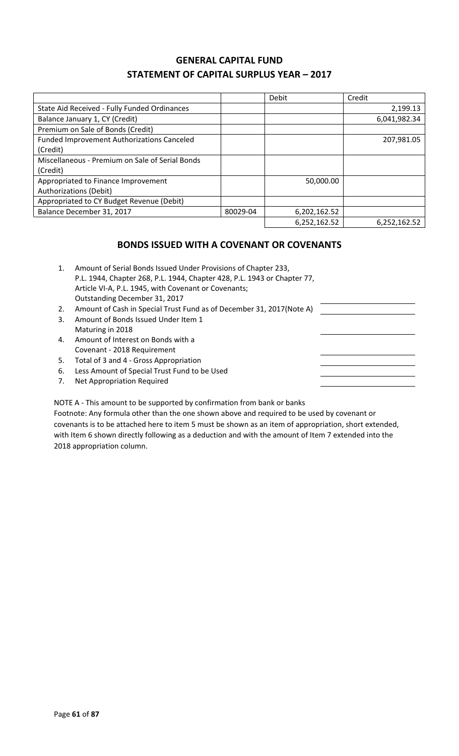### **GENERAL CAPITAL FUND STATEMENT OF CAPITAL SURPLUS YEAR – 2017**

|                                                   |          | Debit        | Credit       |
|---------------------------------------------------|----------|--------------|--------------|
| State Aid Received - Fully Funded Ordinances      |          |              | 2,199.13     |
| Balance January 1, CY (Credit)                    |          |              | 6,041,982.34 |
| Premium on Sale of Bonds (Credit)                 |          |              |              |
| <b>Funded Improvement Authorizations Canceled</b> |          |              | 207,981.05   |
| (Credit)                                          |          |              |              |
| Miscellaneous - Premium on Sale of Serial Bonds   |          |              |              |
| (Credit)                                          |          |              |              |
| Appropriated to Finance Improvement               |          | 50,000.00    |              |
| <b>Authorizations (Debit)</b>                     |          |              |              |
| Appropriated to CY Budget Revenue (Debit)         |          |              |              |
| Balance December 31, 2017                         | 80029-04 | 6,202,162.52 |              |
|                                                   |          | 6,252,162.52 | 6,252,162.52 |

### **BONDS ISSUED WITH A COVENANT OR COVENANTS**

| 1. | Amount of Serial Bonds Issued Under Provisions of Chapter 233,<br>P.L. 1944, Chapter 268, P.L. 1944, Chapter 428, P.L. 1943 or Chapter 77,<br>Article VI-A, P.L. 1945, with Covenant or Covenants;<br>Outstanding December 31, 2017 |
|----|-------------------------------------------------------------------------------------------------------------------------------------------------------------------------------------------------------------------------------------|
| 2. | Amount of Cash in Special Trust Fund as of December 31, 2017 (Note A)                                                                                                                                                               |
| 3. | Amount of Bonds Issued Under Item 1                                                                                                                                                                                                 |
|    | Maturing in 2018                                                                                                                                                                                                                    |
| 4. | Amount of Interest on Bonds with a                                                                                                                                                                                                  |
|    | Covenant - 2018 Requirement                                                                                                                                                                                                         |
| 5. | Total of 3 and 4 - Gross Appropriation                                                                                                                                                                                              |
| 6. | Less Amount of Special Trust Fund to be Used                                                                                                                                                                                        |
| 7. | Net Appropriation Required                                                                                                                                                                                                          |

NOTE A - This amount to be supported by confirmation from bank or banks

Footnote: Any formula other than the one shown above and required to be used by covenant or covenants is to be attached here to item 5 must be shown as an item of appropriation, short extended, with Item 6 shown directly following as a deduction and with the amount of Item 7 extended into the 2018 appropriation column.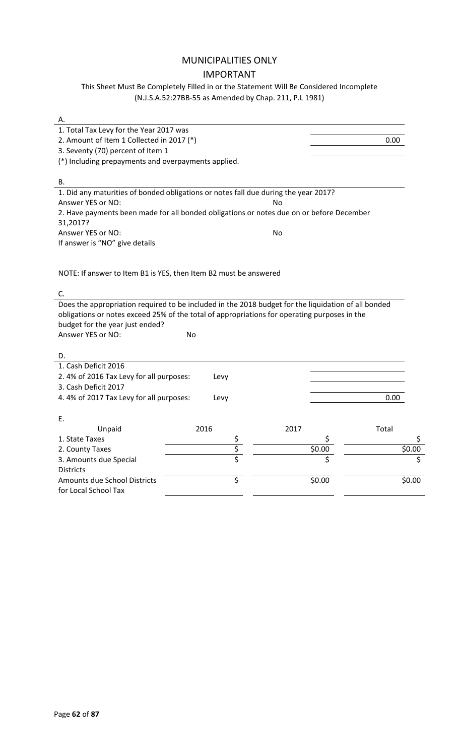### MUNICIPALITIES ONLY IMPORTANT

This Sheet Must Be Completely Filled in or the Statement Will Be Considered Incomplete (N.J.S.A.52:27BB-55 as Amended by Chap. 211, P.L 1981)

| А.                                                                                                                                                                                                  |             |      |        |        |
|-----------------------------------------------------------------------------------------------------------------------------------------------------------------------------------------------------|-------------|------|--------|--------|
| 1. Total Tax Levy for the Year 2017 was                                                                                                                                                             |             |      |        |        |
| 2. Amount of Item 1 Collected in 2017 (*)                                                                                                                                                           |             |      |        | 0.00   |
| 3. Seventy (70) percent of Item 1                                                                                                                                                                   |             |      |        |        |
| (*) Including prepayments and overpayments applied.                                                                                                                                                 |             |      |        |        |
|                                                                                                                                                                                                     |             |      |        |        |
| В.                                                                                                                                                                                                  |             |      |        |        |
| 1. Did any maturities of bonded obligations or notes fall due during the year 2017?                                                                                                                 |             |      |        |        |
| Answer YES or NO:                                                                                                                                                                                   |             | No   |        |        |
| 2. Have payments been made for all bonded obligations or notes due on or before December                                                                                                            |             |      |        |        |
| 31,2017?                                                                                                                                                                                            |             |      |        |        |
| Answer YES or NO:                                                                                                                                                                                   |             | No   |        |        |
| If answer is "NO" give details                                                                                                                                                                      |             |      |        |        |
|                                                                                                                                                                                                     |             |      |        |        |
|                                                                                                                                                                                                     |             |      |        |        |
| NOTE: If answer to Item B1 is YES, then Item B2 must be answered                                                                                                                                    |             |      |        |        |
|                                                                                                                                                                                                     |             |      |        |        |
| C.                                                                                                                                                                                                  |             |      |        |        |
| Does the appropriation required to be included in the 2018 budget for the liquidation of all bonded<br>obligations or notes exceed 25% of the total of appropriations for operating purposes in the |             |      |        |        |
| budget for the year just ended?                                                                                                                                                                     |             |      |        |        |
| Answer YES or NO:                                                                                                                                                                                   | No          |      |        |        |
|                                                                                                                                                                                                     |             |      |        |        |
| D.                                                                                                                                                                                                  |             |      |        |        |
| 1. Cash Deficit 2016                                                                                                                                                                                |             |      |        |        |
| 2.4% of 2016 Tax Levy for all purposes:                                                                                                                                                             | Levy        |      |        |        |
| 3. Cash Deficit 2017                                                                                                                                                                                |             |      |        |        |
| 4.4% of 2017 Tax Levy for all purposes:                                                                                                                                                             | Levy        |      |        | 0.00   |
|                                                                                                                                                                                                     |             |      |        |        |
| Е.                                                                                                                                                                                                  |             |      |        |        |
| Unpaid                                                                                                                                                                                              | 2016        | 2017 |        | Total  |
| 1. State Taxes                                                                                                                                                                                      |             |      |        | \$     |
| 2. County Taxes                                                                                                                                                                                     | $rac{5}{5}$ |      | \$0.00 | \$0.00 |
| 3. Amounts due Special                                                                                                                                                                              |             |      | Ś      | \$     |
| <b>Districts</b>                                                                                                                                                                                    |             |      |        |        |
| <b>Amounts due School Districts</b>                                                                                                                                                                 | \$          |      | \$0.00 | \$0.00 |
| for Local School Tax                                                                                                                                                                                |             |      |        |        |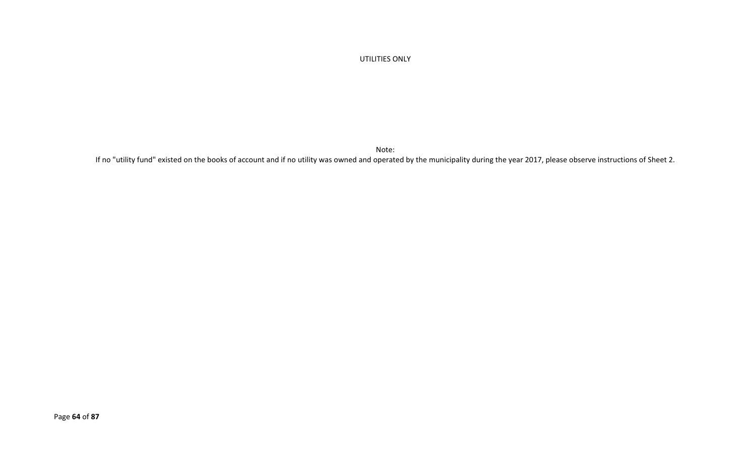#### UTILITIES ONLY

Note:

If no "utility fund" existed on the books of account and if no utility was owned and operated by the municipality during the year 2017, please observe instructions of Sheet 2.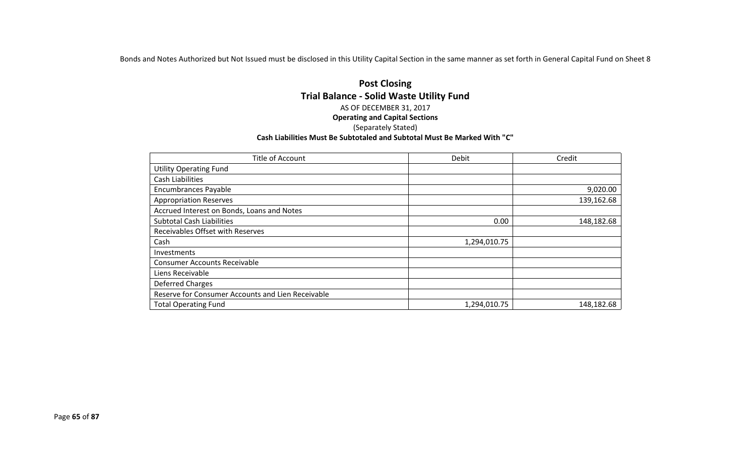Bonds and Notes Authorized but Not Issued must be disclosed in this Utility Capital Section in the same manner as set forth in General Capital Fund on Sheet 8

#### **Post Closing Trial Balance - Solid Waste Utility Fund** AS OF DECEMBER 31, 2017 **Operating and Capital Sections** (Separately Stated) **Cash Liabilities Must Be Subtotaled and Subtotal Must Be Marked With "C"**

| Title of Account                                  | Debit        | Credit     |
|---------------------------------------------------|--------------|------------|
| <b>Utility Operating Fund</b>                     |              |            |
| Cash Liabilities                                  |              |            |
| <b>Encumbrances Payable</b>                       |              | 9,020.00   |
| <b>Appropriation Reserves</b>                     |              | 139,162.68 |
| Accrued Interest on Bonds, Loans and Notes        |              |            |
| <b>Subtotal Cash Liabilities</b>                  | 0.00         | 148,182.68 |
| <b>Receivables Offset with Reserves</b>           |              |            |
| Cash                                              | 1,294,010.75 |            |
| Investments                                       |              |            |
| <b>Consumer Accounts Receivable</b>               |              |            |
| Liens Receivable                                  |              |            |
| Deferred Charges                                  |              |            |
| Reserve for Consumer Accounts and Lien Receivable |              |            |
| <b>Total Operating Fund</b>                       | 1,294,010.75 | 148,182.68 |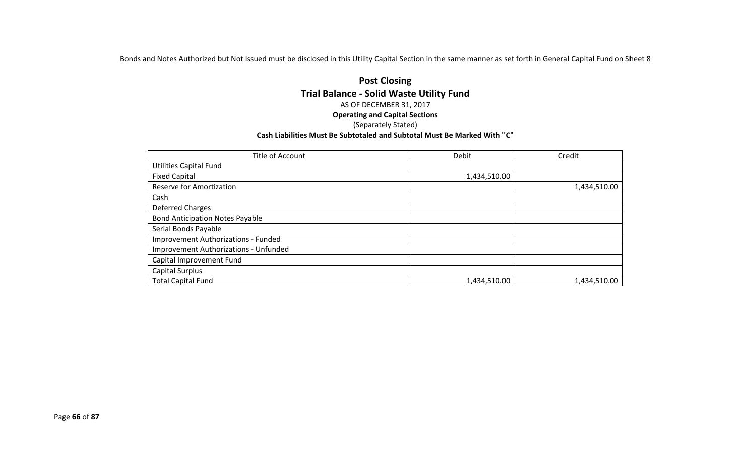Bonds and Notes Authorized but Not Issued must be disclosed in this Utility Capital Section in the same manner as set forth in General Capital Fund on Sheet 8

#### **Post Closing Trial Balance - Solid Waste Utility Fund** AS OF DECEMBER 31, 2017 **Operating and Capital Sections** (Separately Stated) **Cash Liabilities Must Be Subtotaled and Subtotal Must Be Marked With "C"**

| Title of Account                       | Debit        | Credit       |
|----------------------------------------|--------------|--------------|
| <b>Utilities Capital Fund</b>          |              |              |
| <b>Fixed Capital</b>                   | 1,434,510.00 |              |
| <b>Reserve for Amortization</b>        |              | 1,434,510.00 |
| Cash                                   |              |              |
| <b>Deferred Charges</b>                |              |              |
| <b>Bond Anticipation Notes Payable</b> |              |              |
| Serial Bonds Payable                   |              |              |
| Improvement Authorizations - Funded    |              |              |
| Improvement Authorizations - Unfunded  |              |              |
| Capital Improvement Fund               |              |              |
| Capital Surplus                        |              |              |
| <b>Total Capital Fund</b>              | 1,434,510.00 | 1,434,510.00 |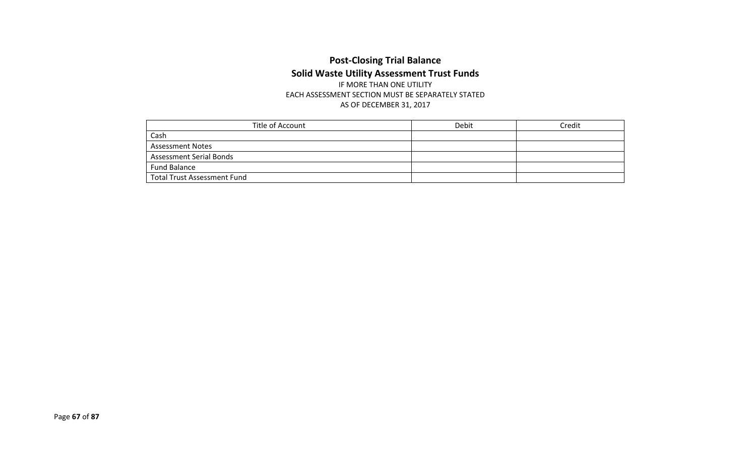# **Post-Closing Trial Balance Solid Waste Utility Assessment Trust Funds** IF MORE THAN ONE UTILITY

EACH ASSESSMENT SECTION MUST BE SEPARATELY STATED AS OF DECEMBER 31, 2017

| Title of Account                   | Debit | Credit |
|------------------------------------|-------|--------|
| Cash                               |       |        |
| <b>Assessment Notes</b>            |       |        |
| <b>Assessment Serial Bonds</b>     |       |        |
| Fund Balance                       |       |        |
| <b>Total Trust Assessment Fund</b> |       |        |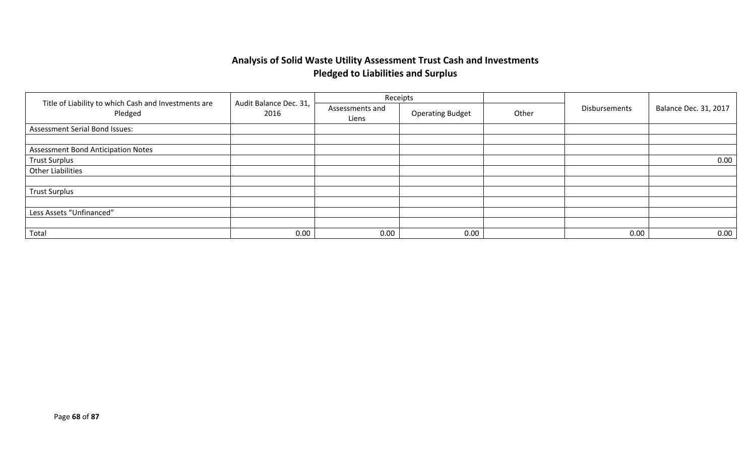# **Analysis of Solid Waste Utility Assessment Trust Cash and Investments Pledged to Liabilities and Surplus**

|                                                                 |                                |                          | Receipts                |       |                      | <b>Balance Dec. 31, 2017</b> |
|-----------------------------------------------------------------|--------------------------------|--------------------------|-------------------------|-------|----------------------|------------------------------|
| Title of Liability to which Cash and Investments are<br>Pledged | Audit Balance Dec. 31,<br>2016 | Assessments and<br>Liens | <b>Operating Budget</b> | Other | <b>Disbursements</b> |                              |
| <b>Assessment Serial Bond Issues:</b>                           |                                |                          |                         |       |                      |                              |
|                                                                 |                                |                          |                         |       |                      |                              |
| <b>Assessment Bond Anticipation Notes</b>                       |                                |                          |                         |       |                      |                              |
| <b>Trust Surplus</b>                                            |                                |                          |                         |       |                      | 0.00                         |
| <b>Other Liabilities</b>                                        |                                |                          |                         |       |                      |                              |
|                                                                 |                                |                          |                         |       |                      |                              |
| <b>Trust Surplus</b>                                            |                                |                          |                         |       |                      |                              |
|                                                                 |                                |                          |                         |       |                      |                              |
| Less Assets "Unfinanced"                                        |                                |                          |                         |       |                      |                              |
|                                                                 |                                |                          |                         |       |                      |                              |
| Total                                                           | 0.00                           | 0.00                     | 0.00                    |       | 0.00                 | 0.00                         |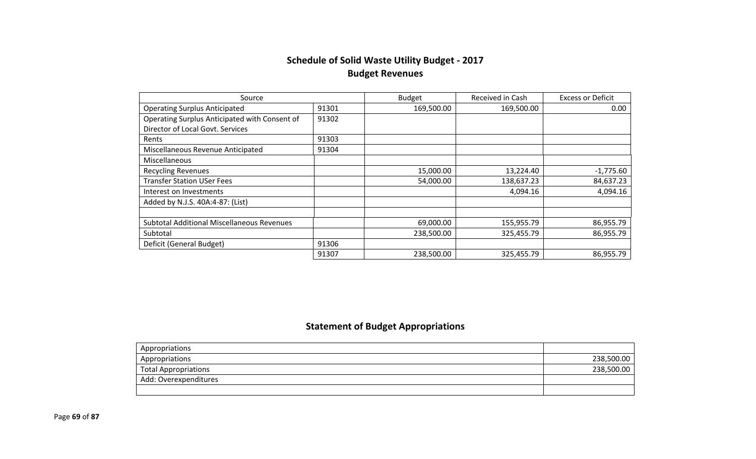# **Schedule of Solid Waste Utility Budget - 2017 Budget Revenues**

| Source                                            |       | <b>Budget</b> | Received in Cash | <b>Excess or Deficit</b> |
|---------------------------------------------------|-------|---------------|------------------|--------------------------|
| <b>Operating Surplus Anticipated</b>              | 91301 | 169,500.00    | 169,500.00       | 0.00                     |
| Operating Surplus Anticipated with Consent of     | 91302 |               |                  |                          |
| Director of Local Govt. Services                  |       |               |                  |                          |
| Rents                                             | 91303 |               |                  |                          |
| Miscellaneous Revenue Anticipated                 | 91304 |               |                  |                          |
| Miscellaneous                                     |       |               |                  |                          |
| <b>Recycling Revenues</b>                         |       | 15,000.00     | 13,224.40        | $-1,775.60$              |
| <b>Transfer Station USer Fees</b>                 |       | 54,000.00     | 138,637.23       | 84,637.23                |
| Interest on Investments                           |       |               | 4,094.16         | 4,094.16                 |
| Added by N.J.S. 40A:4-87: (List)                  |       |               |                  |                          |
|                                                   |       |               |                  |                          |
| <b>Subtotal Additional Miscellaneous Revenues</b> |       | 69,000.00     | 155,955.79       | 86,955.79                |
| Subtotal                                          |       | 238,500.00    | 325,455.79       | 86,955.79                |
| Deficit (General Budget)                          | 91306 |               |                  |                          |
|                                                   | 91307 | 238,500.00    | 325,455.79       | 86,955.79                |

# **Statement of Budget Appropriations**

| Appropriations              |            |
|-----------------------------|------------|
| Appropriations              | 238,500.00 |
| <b>Total Appropriations</b> | 238,500.00 |
| Add: Overexpenditures       |            |
|                             |            |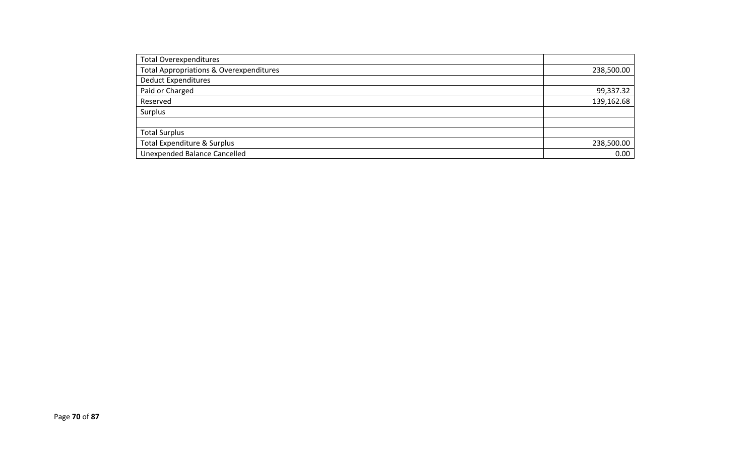| <b>Total Overexpenditures</b>                      |            |
|----------------------------------------------------|------------|
| <b>Total Appropriations &amp; Overexpenditures</b> | 238,500.00 |
| <b>Deduct Expenditures</b>                         |            |
| Paid or Charged                                    | 99,337.32  |
| Reserved                                           | 139,162.68 |
| Surplus                                            |            |
|                                                    |            |
| <b>Total Surplus</b>                               |            |
| <b>Total Expenditure &amp; Surplus</b>             | 238,500.00 |
| <b>Unexpended Balance Cancelled</b>                | 0.00       |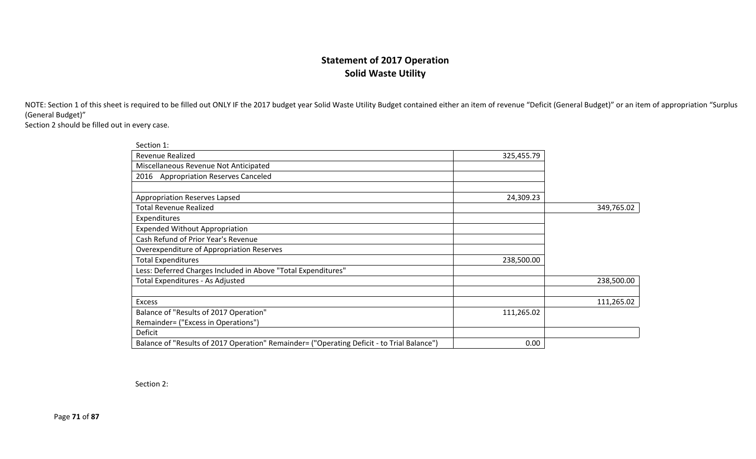### **Statement of 2017 Operation Solid Waste Utility**

NOTE: Section 1 of this sheet is required to be filled out ONLY IF the 2017 budget year Solid Waste Utility Budget contained either an item of revenue "Deficit (General Budget)" or an item of appropriation "Surplus (General Budget)"

Section 2 should be filled out in every case.

| Section 1:                                                                                 |            |            |
|--------------------------------------------------------------------------------------------|------------|------------|
| <b>Revenue Realized</b>                                                                    | 325,455.79 |            |
| Miscellaneous Revenue Not Anticipated                                                      |            |            |
| <b>Appropriation Reserves Canceled</b><br>2016                                             |            |            |
|                                                                                            |            |            |
| Appropriation Reserves Lapsed                                                              | 24,309.23  |            |
| <b>Total Revenue Realized</b>                                                              |            | 349,765.02 |
| Expenditures                                                                               |            |            |
| <b>Expended Without Appropriation</b>                                                      |            |            |
| Cash Refund of Prior Year's Revenue                                                        |            |            |
| Overexpenditure of Appropriation Reserves                                                  |            |            |
| <b>Total Expenditures</b>                                                                  | 238,500.00 |            |
| Less: Deferred Charges Included in Above "Total Expenditures"                              |            |            |
| Total Expenditures - As Adjusted                                                           |            | 238,500.00 |
|                                                                                            |            |            |
| <b>Excess</b>                                                                              |            | 111,265.02 |
| Balance of "Results of 2017 Operation"                                                     | 111,265.02 |            |
| Remainder= ("Excess in Operations")                                                        |            |            |
| Deficit                                                                                    |            |            |
| Balance of "Results of 2017 Operation" Remainder= ("Operating Deficit - to Trial Balance") | 0.00       |            |

Section 2:

Page **71** of **87**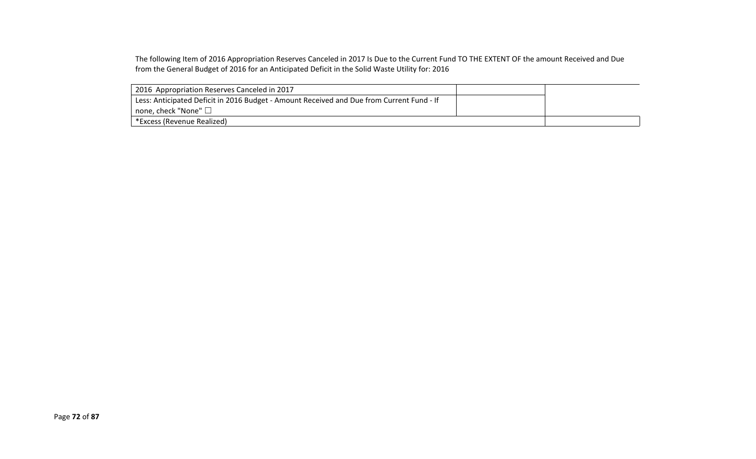The following Item of 2016 Appropriation Reserves Canceled in 2017 Is Due to the Current Fund TO THE EXTENT OF the amount Received and Due from the General Budget of 2016 for an Anticipated Deficit in the Solid Waste Utility for: 2016

| 2016 Appropriation Reserves Canceled in 2017                                              |  |
|-------------------------------------------------------------------------------------------|--|
| Less: Anticipated Deficit in 2016 Budget - Amount Received and Due from Current Fund - If |  |
| $\perp$ none, check "None" $\Box$                                                         |  |
| *Excess (Revenue Realized)                                                                |  |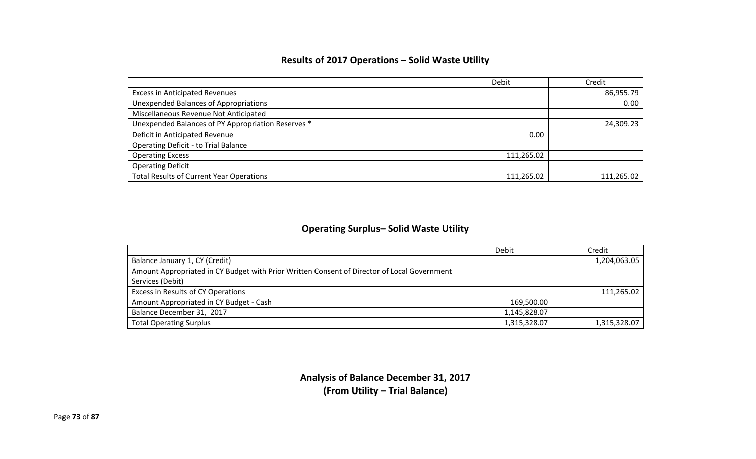## **Results of 2017 Operations – Solid Waste Utility**

|                                                    | Debit      | Credit     |
|----------------------------------------------------|------------|------------|
| <b>Excess in Anticipated Revenues</b>              |            | 86,955.79  |
| Unexpended Balances of Appropriations              |            | 0.00       |
| Miscellaneous Revenue Not Anticipated              |            |            |
| Unexpended Balances of PY Appropriation Reserves * |            | 24,309.23  |
| Deficit in Anticipated Revenue                     | 0.00       |            |
| <b>Operating Deficit - to Trial Balance</b>        |            |            |
| <b>Operating Excess</b>                            | 111,265.02 |            |
| <b>Operating Deficit</b>                           |            |            |
| <b>Total Results of Current Year Operations</b>    | 111,265.02 | 111.265.02 |

## **Operating Surplus– Solid Waste Utility**

|                                                                                             | <b>Debit</b> | Credit       |
|---------------------------------------------------------------------------------------------|--------------|--------------|
| Balance January 1, CY (Credit)                                                              |              | 1,204,063.05 |
| Amount Appropriated in CY Budget with Prior Written Consent of Director of Local Government |              |              |
| Services (Debit)                                                                            |              |              |
| Excess in Results of CY Operations                                                          |              | 111,265.02   |
| Amount Appropriated in CY Budget - Cash                                                     | 169,500.00   |              |
| Balance December 31, 2017                                                                   | 1,145,828.07 |              |
| <b>Total Operating Surplus</b>                                                              | 1,315,328.07 | 1,315,328.07 |

**Analysis of Balance December 31, 2017 (From Utility – Trial Balance)**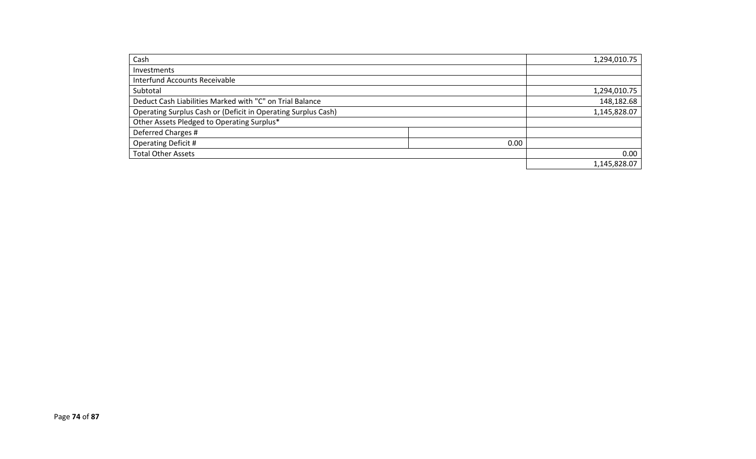| Cash                                                          | 1,294,010.75 |
|---------------------------------------------------------------|--------------|
| Investments                                                   |              |
| Interfund Accounts Receivable                                 |              |
| Subtotal                                                      | 1,294,010.75 |
| Deduct Cash Liabilities Marked with "C" on Trial Balance      | 148,182.68   |
| Operating Surplus Cash or (Deficit in Operating Surplus Cash) | 1,145,828.07 |
| Other Assets Pledged to Operating Surplus*                    |              |
| Deferred Charges #                                            |              |
| <b>Operating Deficit #</b><br>0.00                            |              |
| <b>Total Other Assets</b>                                     | 0.00         |
|                                                               | 1,145,828.07 |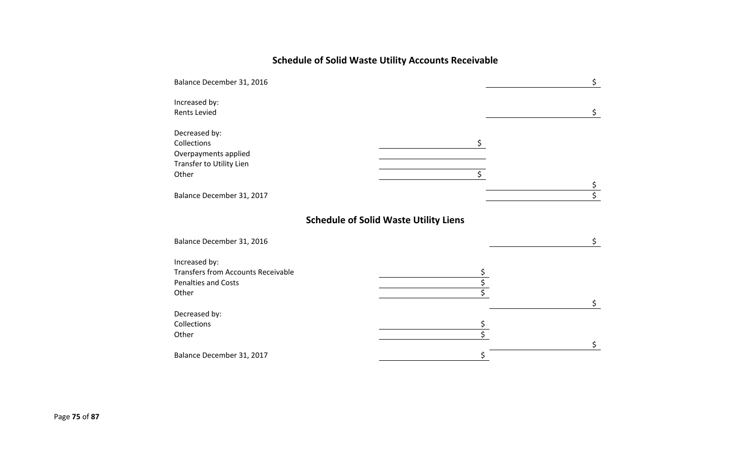# **Schedule of Solid Waste Utility Accounts Receivable**

| Balance December 31, 2016                                                                         |                                              | \$               |
|---------------------------------------------------------------------------------------------------|----------------------------------------------|------------------|
| Increased by:<br><b>Rents Levied</b>                                                              |                                              | \$               |
| Decreased by:<br>Collections<br>Overpayments applied<br>Transfer to Utility Lien<br>Other         | \$<br>\$                                     | \$               |
| Balance December 31, 2017                                                                         |                                              | $\overline{\xi}$ |
|                                                                                                   | <b>Schedule of Solid Waste Utility Liens</b> |                  |
| Balance December 31, 2016                                                                         |                                              | \$.              |
| Increased by:<br><b>Transfers from Accounts Receivable</b><br><b>Penalties and Costs</b><br>Other |                                              | \$               |
| Decreased by:<br>Collections<br>Other                                                             | $\overline{\mathsf{S}}$                      | \$               |
| Balance December 31, 2017                                                                         |                                              |                  |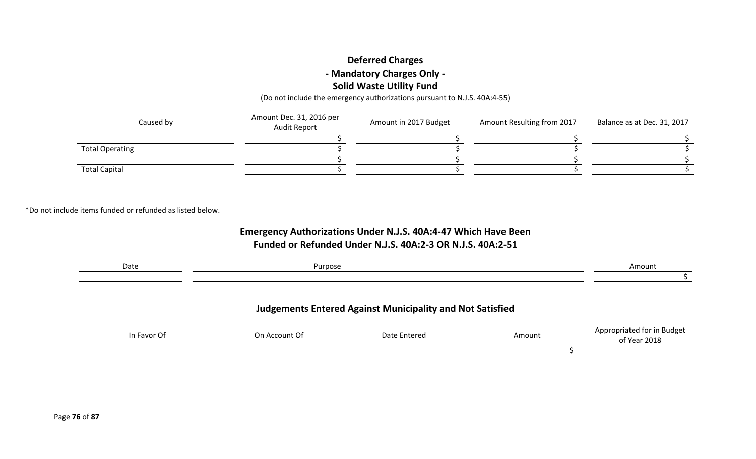## **Deferred Charges - Mandatory Charges Only - Solid Waste Utility Fund**

(Do not include the emergency authorizations pursuant to N.J.S. 40A:4-55)

| Caused by              | Amount Dec. 31, 2016 per<br><b>Audit Report</b> | Amount in 2017 Budget | Amount Resulting from 2017 | Balance as at Dec. 31, 2017 |  |
|------------------------|-------------------------------------------------|-----------------------|----------------------------|-----------------------------|--|
|                        |                                                 |                       |                            |                             |  |
| <b>Total Operating</b> |                                                 |                       |                            |                             |  |
|                        |                                                 |                       |                            |                             |  |
| <b>Total Capital</b>   |                                                 |                       |                            |                             |  |

\*Do not include items funded or refunded as listed below.

## **Emergency Authorizations Under N.J.S. 40A:4-47 Which Have Been Funded or Refunded Under N.J.S. 40A:2-3 OR N.J.S. 40A:2-51**

| Date        | Purpose       |                                                                  |        | Amount                                     |
|-------------|---------------|------------------------------------------------------------------|--------|--------------------------------------------|
|             |               |                                                                  |        |                                            |
|             |               | <b>Judgements Entered Against Municipality and Not Satisfied</b> |        |                                            |
| In Favor Of | On Account Of | Date Entered                                                     | Amount | Appropriated for in Budget<br>of Year 2018 |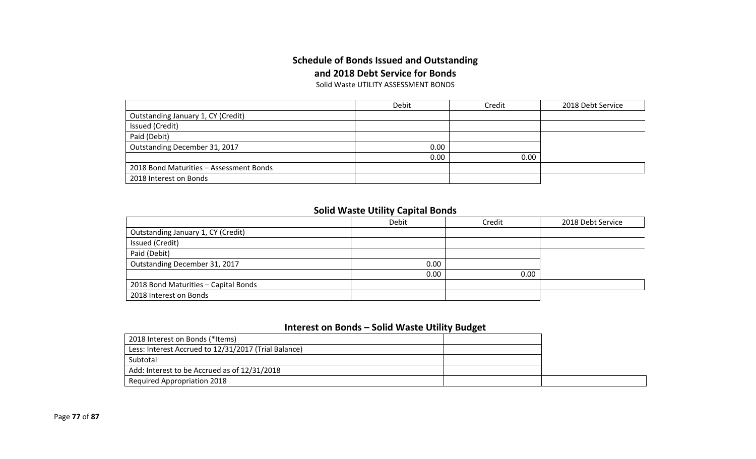## **Schedule of Bonds Issued and Outstanding and 2018 Debt Service for Bonds**

Solid Waste UTILITY ASSESSMENT BONDS

|                                         | Debit | Credit |  |
|-----------------------------------------|-------|--------|--|
| Outstanding January 1, CY (Credit)      |       |        |  |
| Issued (Credit)                         |       |        |  |
| Paid (Debit)                            |       |        |  |
| Outstanding December 31, 2017           | 0.00  |        |  |
|                                         | 0.00  | 0.00   |  |
| 2018 Bond Maturities - Assessment Bonds |       |        |  |
| 2018 Interest on Bonds                  |       |        |  |

#### **Solid Waste Utility Capital Bonds**

|                                      | Debit | Credit | 2018 Debt Service |
|--------------------------------------|-------|--------|-------------------|
| Outstanding January 1, CY (Credit)   |       |        |                   |
| Issued (Credit)                      |       |        |                   |
| Paid (Debit)                         |       |        |                   |
| Outstanding December 31, 2017        | 0.00  |        |                   |
|                                      | 0.00  | 0.00   |                   |
| 2018 Bond Maturities - Capital Bonds |       |        |                   |
| 2018 Interest on Bonds               |       |        |                   |

#### **Interest on Bonds – Solid Waste Utility Budget**

| 2018 Interest on Bonds (*Items)                      |  |
|------------------------------------------------------|--|
| Less: Interest Accrued to 12/31/2017 (Trial Balance) |  |
| Subtotal                                             |  |
| Add: Interest to be Accrued as of 12/31/2018         |  |
| <b>Required Appropriation 2018</b>                   |  |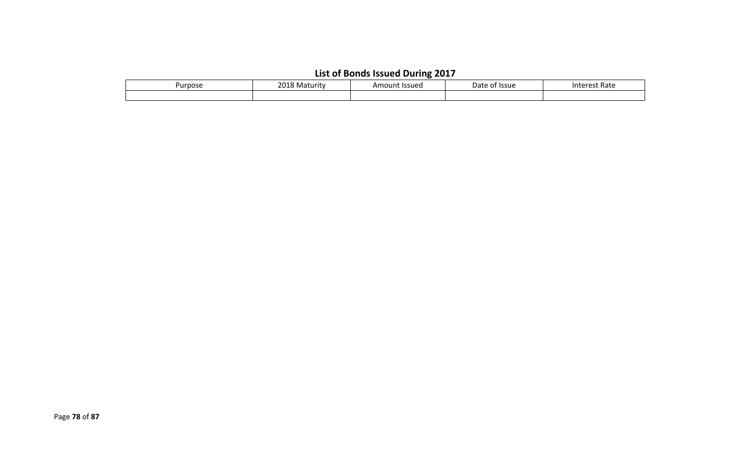|  | List of Bonds Issued During 2017 |  |  |
|--|----------------------------------|--|--|
|--|----------------------------------|--|--|

| Purpose | 2018<br>. .<br>Maturity د | Issued<br>Amount | Date<br><b>Issue</b><br>ωı | Interest Rate |
|---------|---------------------------|------------------|----------------------------|---------------|
|         |                           |                  |                            |               |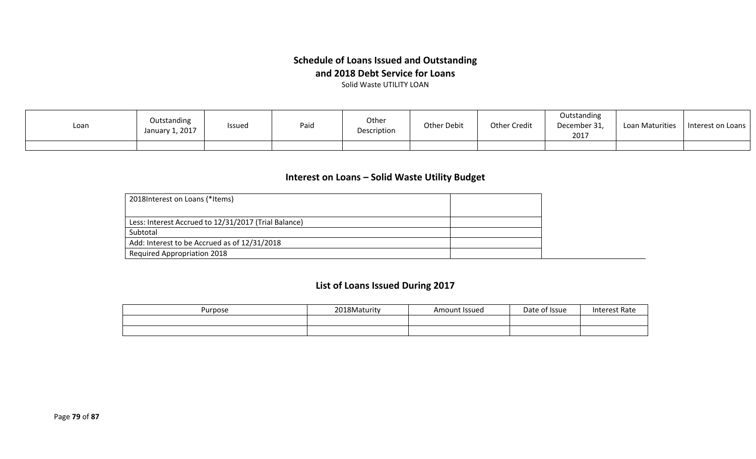## **Schedule of Loans Issued and Outstanding and 2018 Debt Service for Loans**

Solid Waste UTILITY LOAN

| Loan | Outstanding<br>January 1, 2017 | the contract of the contract of the<br><b>Issued</b> | Paio | Other<br>Description | Other Debit | <b>Other Credit</b> | Outstanding<br>December 31,<br>2017 | Loan Maturities | Interest on Loans |
|------|--------------------------------|------------------------------------------------------|------|----------------------|-------------|---------------------|-------------------------------------|-----------------|-------------------|
|      |                                |                                                      |      |                      |             |                     |                                     |                 |                   |

#### **Interest on Loans – Solid Waste Utility Budget**

| 2018 Interest on Loans (*Items)                      |  |
|------------------------------------------------------|--|
|                                                      |  |
| Less: Interest Accrued to 12/31/2017 (Trial Balance) |  |
| Subtotal                                             |  |
| Add: Interest to be Accrued as of 12/31/2018         |  |
| <b>Required Appropriation 2018</b>                   |  |

## **List of Loans Issued During 2017**

| Purpose | 2018Maturity | Amount Issued | Date<br>of Issue | <b>Interest Rate</b> |
|---------|--------------|---------------|------------------|----------------------|
|         |              |               |                  |                      |
|         |              |               |                  |                      |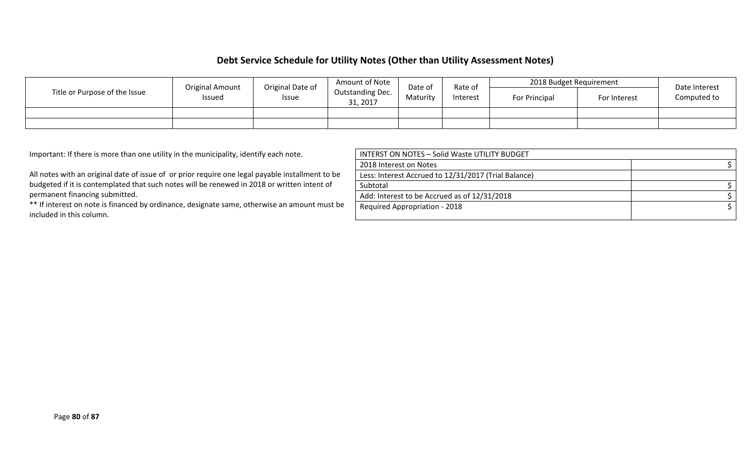### **Debt Service Schedule for Utility Notes (Other than Utility Assessment Notes)**

|                               | <b>Original Amount</b> | Original Date of | Amount of Note               | Date of  | Rate of | 2018 Budget Requirement |          | Date Interest |               |              |             |
|-------------------------------|------------------------|------------------|------------------------------|----------|---------|-------------------------|----------|---------------|---------------|--------------|-------------|
| Title or Purpose of the Issue | Issued                 | <b>Issue</b>     | Outstanding Dec.<br>31, 2017 | Maturity |         |                         | Interest |               | For Principal | For Interest | Computed to |
|                               |                        |                  |                              |          |         |                         |          |               |               |              |             |
|                               |                        |                  |                              |          |         |                         |          |               |               |              |             |

Important: If there is more than one utility in the municipality, identify each note.

All notes with an original date of issue of or prior require one legal payable installment to be budgeted if it is contemplated that such notes will be renewed in 2018 or written intent of permanent financing submitted.

\*\* If interest on note is financed by ordinance, designate same, otherwise an amount must be included in this column.

| INTERST ON NOTES - Solid Waste UTILITY BUDGET        |  |
|------------------------------------------------------|--|
| 2018 Interest on Notes                               |  |
| Less: Interest Accrued to 12/31/2017 (Trial Balance) |  |
| Subtotal                                             |  |
| Add: Interest to be Accrued as of 12/31/2018         |  |
| Required Appropriation - 2018                        |  |
|                                                      |  |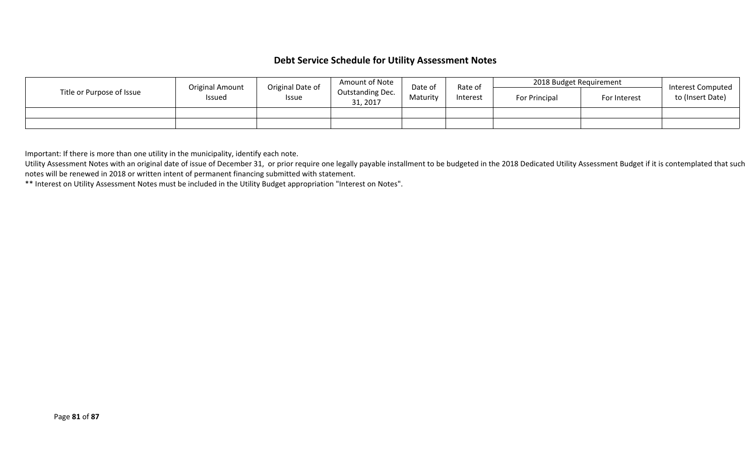#### **Debt Service Schedule for Utility Assessment Notes**

|                           | <b>Original Amount</b> | Original Date of | Amount of Note | Date of                      | Rate of  | 2018 Budget Requirement |  | Interest Computed    |              |                  |
|---------------------------|------------------------|------------------|----------------|------------------------------|----------|-------------------------|--|----------------------|--------------|------------------|
| Title or Purpose of Issue | <b>Issued</b><br>Issue |                  |                | Outstanding Dec.<br>31, 2017 | Maturitv | Interest                |  | <b>For Principal</b> | For Interest | to (Insert Date) |
|                           |                        |                  |                |                              |          |                         |  |                      |              |                  |
|                           |                        |                  |                |                              |          |                         |  |                      |              |                  |

Important: If there is more than one utility in the municipality, identify each note.

Utility Assessment Notes with an original date of issue of December 31, or prior require one legally payable installment to be budgeted in the 2018 Dedicated Utility Assessment Budget if it is contemplated that such notes will be renewed in 2018 or written intent of permanent financing submitted with statement.

\*\* Interest on Utility Assessment Notes must be included in the Utility Budget appropriation "Interest on Notes".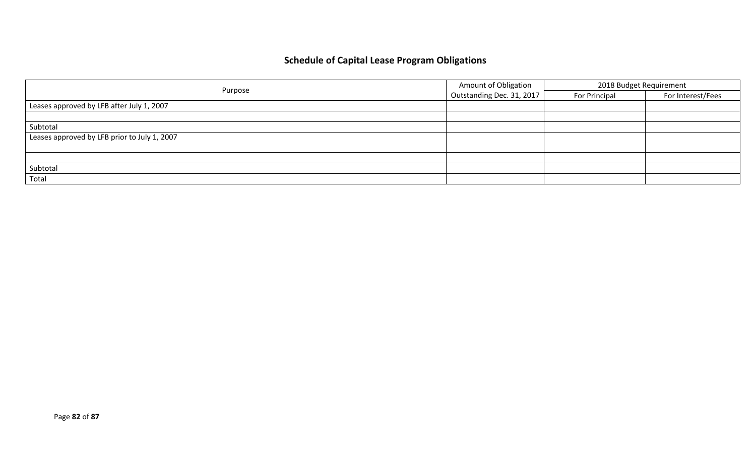# **Schedule of Capital Lease Program Obligations**

|                                              | <b>Amount of Obligation</b> | 2018 Budget Requirement |                   |
|----------------------------------------------|-----------------------------|-------------------------|-------------------|
| Purpose                                      | Outstanding Dec. 31, 2017   | For Principal           | For Interest/Fees |
| Leases approved by LFB after July 1, 2007    |                             |                         |                   |
|                                              |                             |                         |                   |
| Subtotal                                     |                             |                         |                   |
| Leases approved by LFB prior to July 1, 2007 |                             |                         |                   |
|                                              |                             |                         |                   |
|                                              |                             |                         |                   |
| Subtotal                                     |                             |                         |                   |
| Total                                        |                             |                         |                   |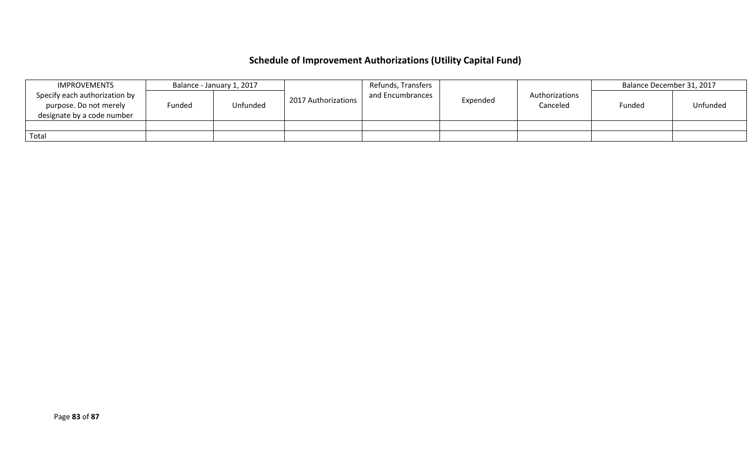# **Schedule of Improvement Authorizations (Utility Capital Fund)**

|       | <b>IMPROVEMENTS</b>                                                                   |        | Refunds, Transfers<br>Balance - January 1, 2017 |                     | Balance December 31, 2017 |          |                            |        |          |
|-------|---------------------------------------------------------------------------------------|--------|-------------------------------------------------|---------------------|---------------------------|----------|----------------------------|--------|----------|
|       | Specify each authorization by<br>purpose. Do not merely<br>designate by a code number | Funded | Unfunded                                        | 2017 Authorizations | and Encumbrances          | Expended | Authorizations<br>Canceled | Funded | Unfunded |
|       |                                                                                       |        |                                                 |                     |                           |          |                            |        |          |
| Total |                                                                                       |        |                                                 |                     |                           |          |                            |        |          |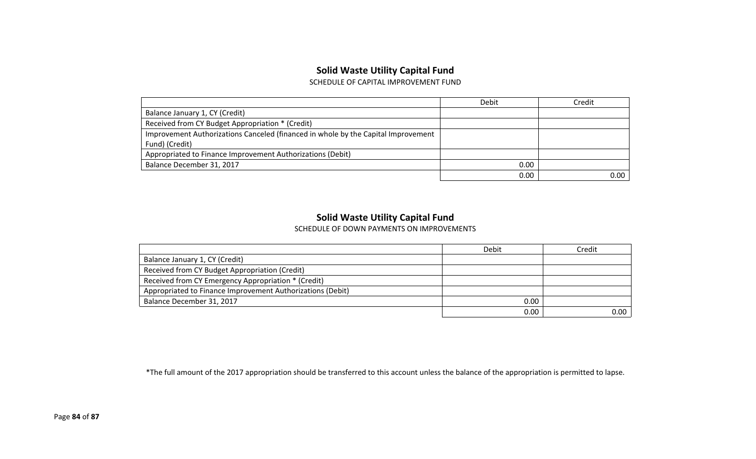#### **Solid Waste Utility Capital Fund**

SCHEDULE OF CAPITAL IMPROVEMENT FUND

|                                                                                   | Debit | Credit   |
|-----------------------------------------------------------------------------------|-------|----------|
| Balance January 1, CY (Credit)                                                    |       |          |
| Received from CY Budget Appropriation * (Credit)                                  |       |          |
| Improvement Authorizations Canceled (financed in whole by the Capital Improvement |       |          |
| Fund) (Credit)                                                                    |       |          |
| Appropriated to Finance Improvement Authorizations (Debit)                        |       |          |
| Balance December 31, 2017                                                         | 0.00  |          |
|                                                                                   | 0.00  | $0.00\,$ |

### **Solid Waste Utility Capital Fund**

SCHEDULE OF DOWN PAYMENTS ON IMPROVEMENTS

|                                                            | Debit    | Credit |
|------------------------------------------------------------|----------|--------|
| Balance January 1, CY (Credit)                             |          |        |
| Received from CY Budget Appropriation (Credit)             |          |        |
| Received from CY Emergency Appropriation * (Credit)        |          |        |
| Appropriated to Finance Improvement Authorizations (Debit) |          |        |
| Balance December 31, 2017                                  | 0.00     |        |
|                                                            | $0.00\,$ | 0.00   |

\*The full amount of the 2017 appropriation should be transferred to this account unless the balance of the appropriation is permitted to lapse.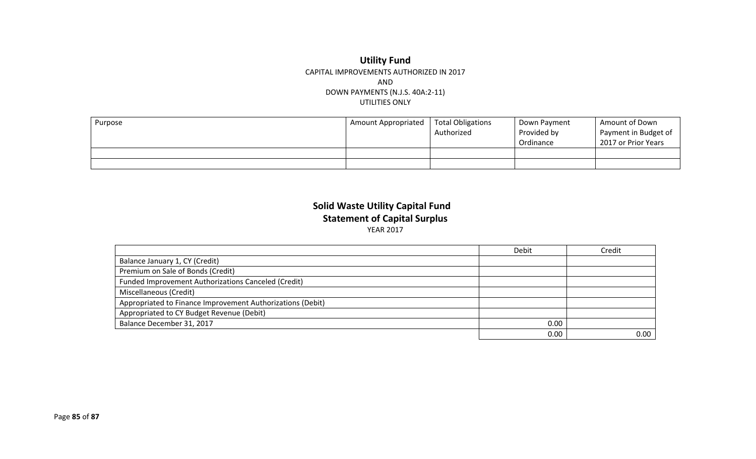#### **Utility Fund** CAPITAL IMPROVEMENTS AUTHORIZED IN 2017 AND DOWN PAYMENTS (N.J.S. 40A:2-11) UTILITIES ONLY

| Purpose | <b>Amount Appropriated</b> | <b>Total Obligations</b><br>Authorized | Down Payment<br>Provided by<br>Ordinance | Amount of Down<br>Payment in Budget of<br>2017 or Prior Years |
|---------|----------------------------|----------------------------------------|------------------------------------------|---------------------------------------------------------------|
|         |                            |                                        |                                          |                                                               |
|         |                            |                                        |                                          |                                                               |

### **Solid Waste Utility Capital Fund Statement of Capital Surplus** YEAR 2017

|                                                            | Debit | Credit |
|------------------------------------------------------------|-------|--------|
| Balance January 1, CY (Credit)                             |       |        |
| Premium on Sale of Bonds (Credit)                          |       |        |
| Funded Improvement Authorizations Canceled (Credit)        |       |        |
| Miscellaneous (Credit)                                     |       |        |
| Appropriated to Finance Improvement Authorizations (Debit) |       |        |
| Appropriated to CY Budget Revenue (Debit)                  |       |        |
| Balance December 31, 2017                                  | 0.00  |        |
|                                                            | 0.00  | 0.00   |